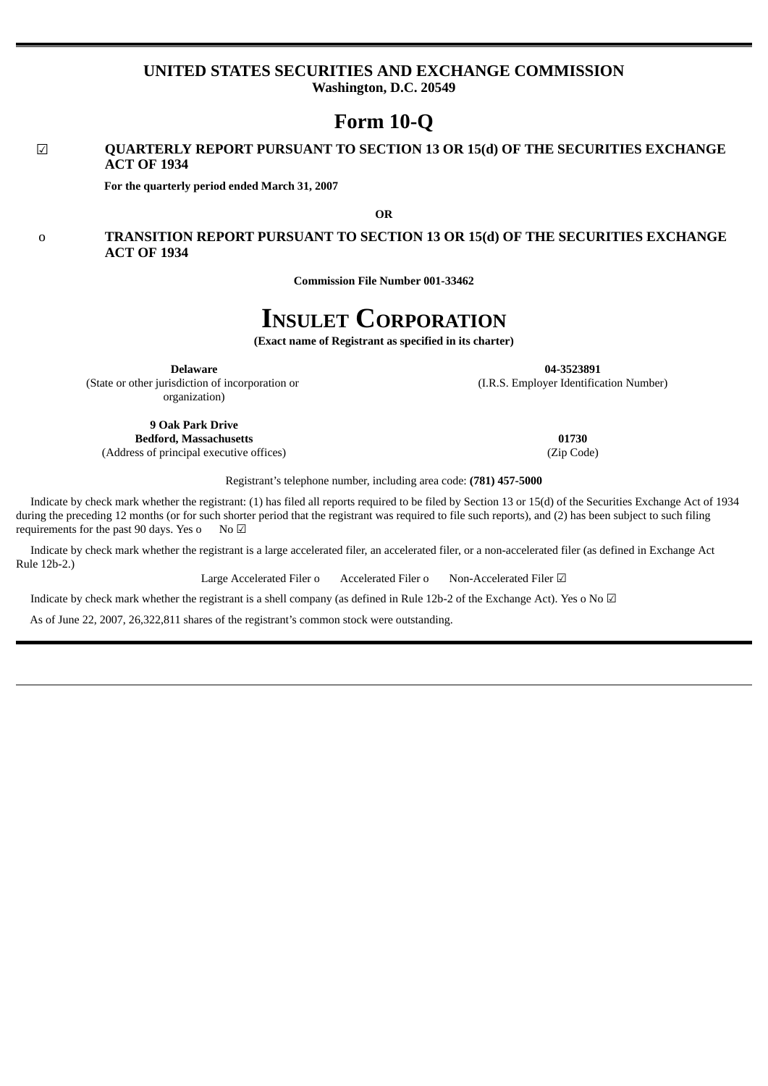# **UNITED STATES SECURITIES AND EXCHANGE COMMISSION Washington, D.C. 20549**

**Form 10-Q**

# ☑ **QUARTERLY REPORT PURSUANT TO SECTION 13 OR 15(d) OF THE SECURITIES EXCHANGE ACT OF 1934**

**For the quarterly period ended March 31, 2007**

**OR**

# o **TRANSITION REPORT PURSUANT TO SECTION 13 OR 15(d) OF THE SECURITIES EXCHANGE ACT OF 1934**

**Commission File Number 001-33462**

# **INSULET CORPORATION**

**(Exact name of Registrant as specified in its charter)**

**Delaware**

**04-3523891** (I.R.S. Employer Identification Number)

(State or other jurisdiction of incorporation or organization)

**9 Oak Park Drive Bedford, Massachusetts 01730** (Address of principal executive offices) (Zip Code)

Registrant's telephone number, including area code: **(781) 457-5000**

Indicate by check mark whether the registrant: (1) has filed all reports required to be filed by Section 13 or 15(d) of the Securities Exchange Act of 1934 during the preceding 12 months (or for such shorter period that the registrant was required to file such reports), and (2) has been subject to such filing requirements for the past 90 days. Yes o No  $\boxtimes$ 

Indicate by check mark whether the registrant is a large accelerated filer, an accelerated filer, or a non-accelerated filer (as defined in Exchange Act Rule 12b-2.)

Large Accelerated Filer o Accelerated Filer o Non-Accelerated Filer **Ø** 

Indicate by check mark whether the registrant is a shell company (as defined in Rule 12b-2 of the Exchange Act). Yes o No  $\Box$ 

As of June 22, 2007, 26,322,811 shares of the registrant's common stock were outstanding.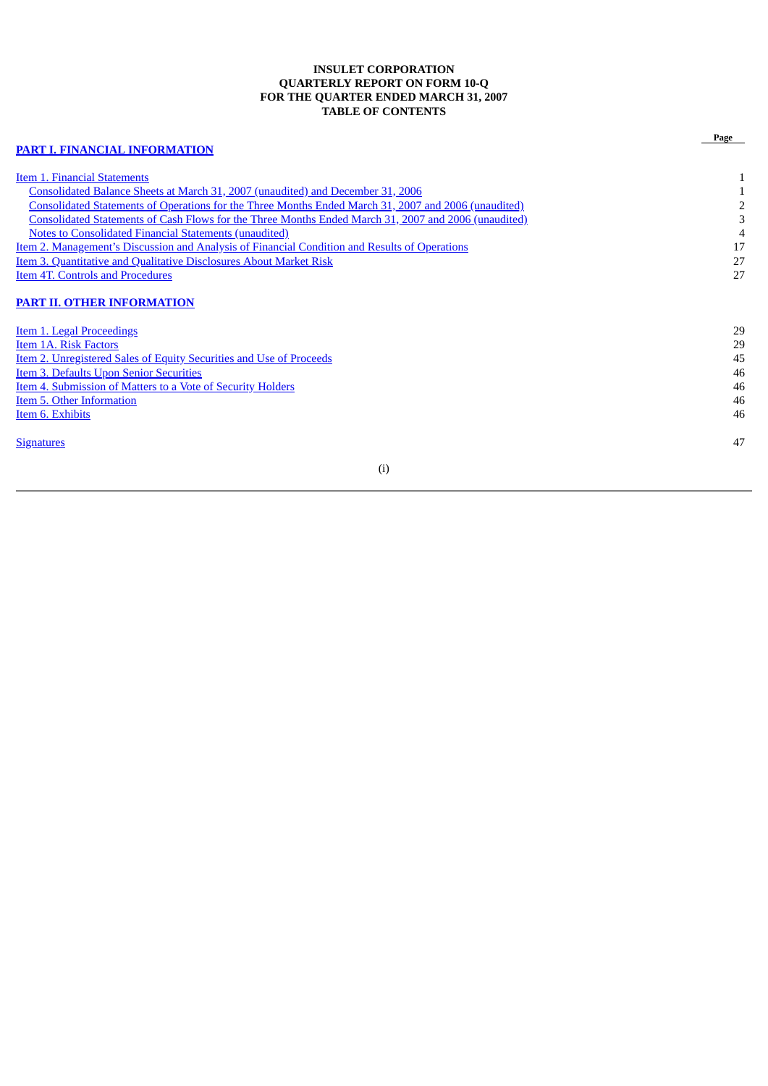# **INSULET CORPORATION QUARTERLY REPORT ON FORM 10-Q FOR THE QUARTER ENDED MARCH 31, 2007 TABLE OF CONTENTS**

|                                                                                                      | Page |
|------------------------------------------------------------------------------------------------------|------|
| <b>PART I. FINANCIAL INFORMATION</b>                                                                 |      |
| Item 1. Financial Statements                                                                         |      |
| Consolidated Balance Sheets at March 31, 2007 (unaudited) and December 31, 2006                      |      |
| Consolidated Statements of Operations for the Three Months Ended March 31, 2007 and 2006 (unaudited) |      |
| Consolidated Statements of Cash Flows for the Three Months Ended March 31, 2007 and 2006 (unaudited) |      |
| <b>Notes to Consolidated Financial Statements (unaudited)</b>                                        |      |
| Item 2. Management's Discussion and Analysis of Financial Condition and Results of Operations        | 17   |
| Item 3. Quantitative and Qualitative Disclosures About Market Risk                                   | 27   |
| <b>Item 4T. Controls and Procedures</b>                                                              | 27   |
| <b>PART II. OTHER INFORMATION</b>                                                                    |      |
| <b>Item 1. Legal Proceedings</b>                                                                     | 29   |
| Item 1A. Risk Factors                                                                                | 29   |
| Item 2. Unregistered Sales of Equity Securities and Use of Proceeds                                  | 45   |
| <b>Item 3. Defaults Upon Senior Securities</b>                                                       | 46   |
| Item 4. Submission of Matters to a Vote of Security Holders                                          | 46   |
| Item 5. Other Information                                                                            | 46   |
| Item 6. Exhibits                                                                                     | 46   |
| <b>Signatures</b>                                                                                    | 47   |
|                                                                                                      |      |

# (i)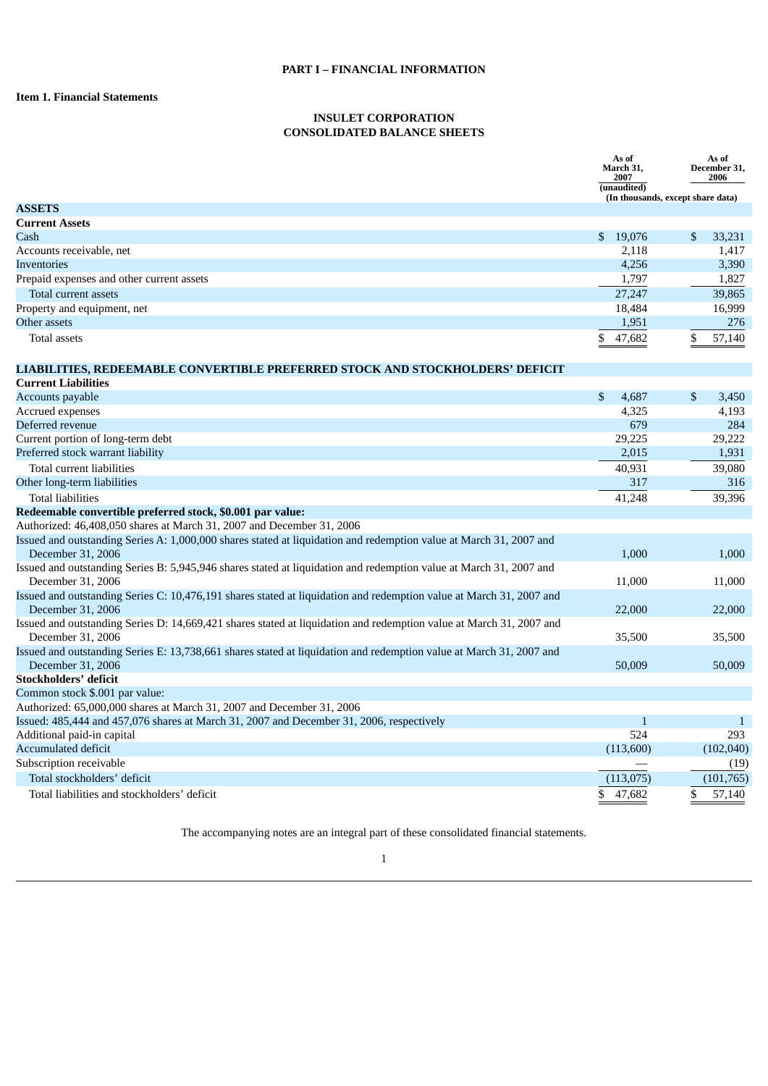# <span id="page-3-1"></span><span id="page-3-0"></span>**Item 1. Financial Statements**

# **INSULET CORPORATION CONSOLIDATED BALANCE SHEETS**

<span id="page-3-2"></span>

|                                                                                                                                                                   | As of<br>March 31,<br>2007<br>(unaudited) | As of<br>December 31,<br>2006<br>(In thousands, except share data) |
|-------------------------------------------------------------------------------------------------------------------------------------------------------------------|-------------------------------------------|--------------------------------------------------------------------|
| <b>ASSETS</b>                                                                                                                                                     |                                           |                                                                    |
| <b>Current Assets</b>                                                                                                                                             |                                           |                                                                    |
| Cash                                                                                                                                                              | 19,076<br>\$                              | $\mathbb{S}$<br>33,231                                             |
| Accounts receivable, net                                                                                                                                          | 2.118                                     | 1.417                                                              |
| <b>Inventories</b>                                                                                                                                                | 4,256                                     | 3,390                                                              |
| Prepaid expenses and other current assets                                                                                                                         | 1,797                                     | 1,827                                                              |
| Total current assets                                                                                                                                              | 27,247                                    | 39,865                                                             |
| Property and equipment, net                                                                                                                                       | 18,484                                    | 16,999                                                             |
| Other assets                                                                                                                                                      | 1,951                                     | 276                                                                |
| <b>Total assets</b>                                                                                                                                               | \$<br>47,682                              | \$<br>57,140                                                       |
| LIABILITIES, REDEEMABLE CONVERTIBLE PREFERRED STOCK AND STOCKHOLDERS' DEFICIT                                                                                     |                                           |                                                                    |
| <b>Current Liabilities</b>                                                                                                                                        |                                           |                                                                    |
| Accounts payable                                                                                                                                                  | \$<br>4,687                               | \$<br>3,450                                                        |
| Accrued expenses                                                                                                                                                  | 4,325                                     | 4,193                                                              |
| Deferred revenue                                                                                                                                                  | 679                                       | 284                                                                |
| Current portion of long-term debt                                                                                                                                 | 29,225                                    | 29,222                                                             |
| Preferred stock warrant liability                                                                                                                                 | 2,015                                     | 1,931                                                              |
| Total current liabilities                                                                                                                                         | 40,931                                    | 39.080                                                             |
| Other long-term liabilities                                                                                                                                       | 317                                       | 316                                                                |
| <b>Total liabilities</b>                                                                                                                                          | 41,248                                    | 39,396                                                             |
| Redeemable convertible preferred stock, \$0.001 par value:                                                                                                        |                                           |                                                                    |
| Authorized: 46,408,050 shares at March 31, 2007 and December 31, 2006                                                                                             |                                           |                                                                    |
| Issued and outstanding Series A: 1,000,000 shares stated at liquidation and redemption value at March 31, 2007 and<br>December 31, 2006                           | 1,000                                     | 1,000                                                              |
| Issued and outstanding Series B: 5,945,946 shares stated at liquidation and redemption value at March 31, 2007 and<br>December 31, 2006                           | 11,000                                    | 11,000                                                             |
| Issued and outstanding Series C: 10,476,191 shares stated at liquidation and redemption value at March 31, 2007 and<br>December 31, 2006                          | 22,000                                    | 22,000                                                             |
| Issued and outstanding Series D: 14,669,421 shares stated at liquidation and redemption value at March 31, 2007 and<br>December 31, 2006                          | 35,500                                    | 35,500                                                             |
| Issued and outstanding Series E: 13,738,661 shares stated at liquidation and redemption value at March 31, 2007 and<br>December 31, 2006                          | 50,009                                    | 50,009                                                             |
| Stockholders' deficit                                                                                                                                             |                                           |                                                                    |
| Common stock \$.001 par value:                                                                                                                                    |                                           |                                                                    |
| Authorized: 65,000,000 shares at March 31, 2007 and December 31, 2006<br>Issued: 485,444 and 457,076 shares at March 31, 2007 and December 31, 2006, respectively | $\mathbf{1}$                              | $\mathbf{1}$                                                       |
| Additional paid-in capital                                                                                                                                        | 524                                       | 293                                                                |
| Accumulated deficit                                                                                                                                               | (113,600)                                 | (102,040)                                                          |
| Subscription receivable                                                                                                                                           |                                           | (19)                                                               |
| Total stockholders' deficit                                                                                                                                       | (113,075)                                 | (101, 765)                                                         |
| Total liabilities and stockholders' deficit                                                                                                                       | \$<br>47,682                              | \$<br>57,140                                                       |

The accompanying notes are an integral part of these consolidated financial statements.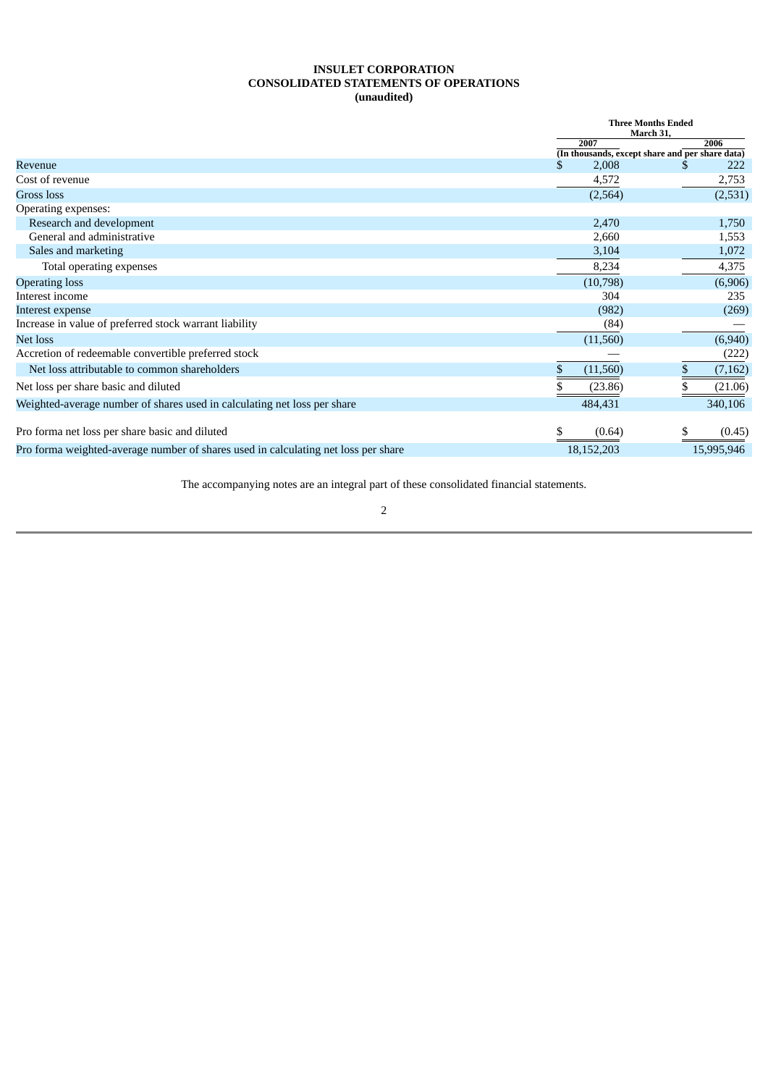# **INSULET CORPORATION CONSOLIDATED STATEMENTS OF OPERATIONS (unaudited)**

<span id="page-4-0"></span>

|                                                                                    |             | <b>Three Months Ended</b><br>March 31,                 |
|------------------------------------------------------------------------------------|-------------|--------------------------------------------------------|
|                                                                                    | 2007        | 2006                                                   |
| Revenue                                                                            | 2,008<br>S. | (In thousands, except share and per share data)<br>222 |
| Cost of revenue                                                                    | 4,572       | 2,753                                                  |
| Gross loss                                                                         | (2,564)     | (2,531)                                                |
| Operating expenses:                                                                |             |                                                        |
| Research and development                                                           | 2,470       | 1,750                                                  |
| General and administrative                                                         | 2,660       | 1,553                                                  |
| Sales and marketing                                                                | 3,104       | 1,072                                                  |
| Total operating expenses                                                           | 8,234       | 4,375                                                  |
| <b>Operating loss</b>                                                              | (10,798)    | (6,906)                                                |
| Interest income                                                                    | 304         | 235                                                    |
| Interest expense                                                                   | (982)       | (269)                                                  |
| Increase in value of preferred stock warrant liability                             | (84)        |                                                        |
| Net loss                                                                           | (11,560)    | (6,940)                                                |
| Accretion of redeemable convertible preferred stock                                |             | (222)                                                  |
| Net loss attributable to common shareholders                                       | (11,560)    | (7, 162)                                               |
| Net loss per share basic and diluted                                               | (23.86)     | (21.06)                                                |
| Weighted-average number of shares used in calculating net loss per share           | 484,431     | 340,106                                                |
| Pro forma net loss per share basic and diluted                                     | (0.64)      | (0.45)                                                 |
| Pro forma weighted-average number of shares used in calculating net loss per share | 18,152,203  | 15,995,946                                             |

The accompanying notes are an integral part of these consolidated financial statements.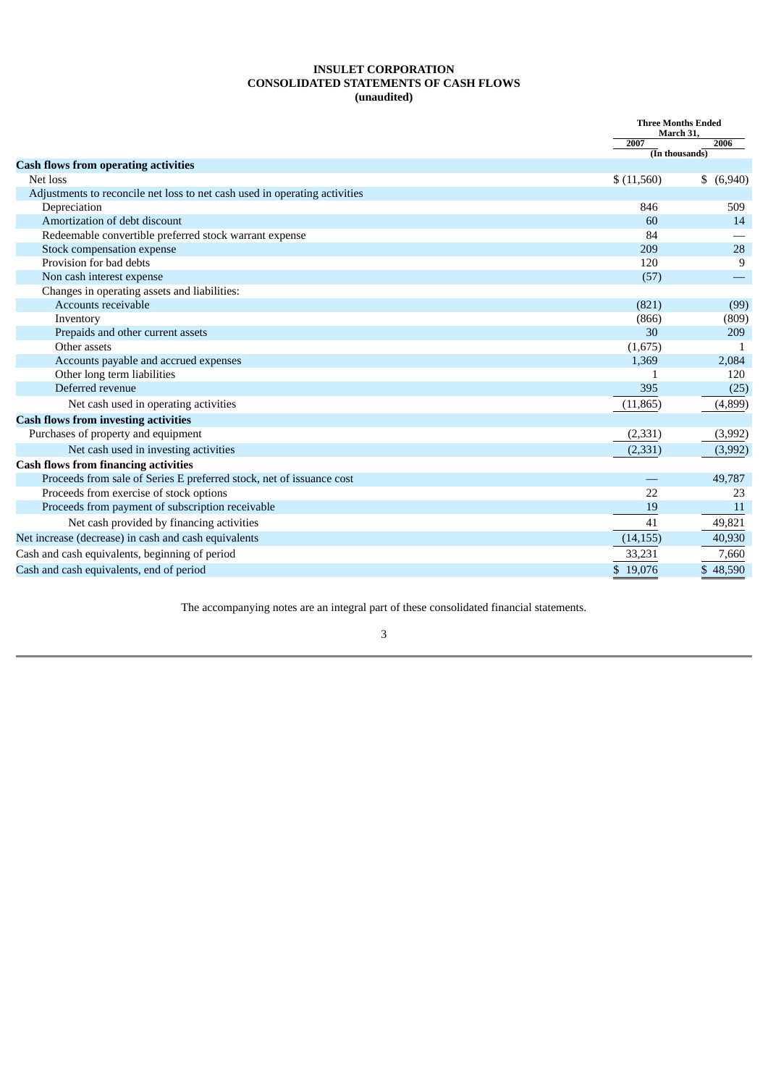# **INSULET CORPORATION CONSOLIDATED STATEMENTS OF CASH FLOWS (unaudited)**

<span id="page-5-0"></span>

|                                                                            | <b>Three Months Ended</b><br>March 31, |                      |
|----------------------------------------------------------------------------|----------------------------------------|----------------------|
|                                                                            | 2007                                   | 2006                 |
| <b>Cash flows from operating activities</b>                                |                                        | $($ In thousands $)$ |
| Net loss                                                                   | \$(11,560)                             | \$ (6,940)           |
| Adjustments to reconcile net loss to net cash used in operating activities |                                        |                      |
| Depreciation                                                               | 846                                    | 509                  |
| Amortization of debt discount                                              | 60                                     | 14                   |
| Redeemable convertible preferred stock warrant expense                     | 84                                     |                      |
| Stock compensation expense                                                 | 209                                    | 28                   |
| Provision for bad debts                                                    | 120                                    | 9                    |
| Non cash interest expense                                                  | (57)                                   |                      |
| Changes in operating assets and liabilities:                               |                                        |                      |
| Accounts receivable                                                        | (821)                                  | (99)                 |
| Inventory                                                                  | (866)                                  | (809)                |
| Prepaids and other current assets                                          | 30                                     | 209                  |
| Other assets                                                               | (1,675)                                |                      |
| Accounts payable and accrued expenses                                      | 1,369                                  | 2,084                |
| Other long term liabilities                                                |                                        | 120                  |
| Deferred revenue                                                           | 395                                    | (25)                 |
| Net cash used in operating activities                                      | (11, 865)                              | (4,899)              |
| <b>Cash flows from investing activities</b>                                |                                        |                      |
| Purchases of property and equipment                                        | (2, 331)                               | (3,992)              |
| Net cash used in investing activities                                      | (2, 331)                               | (3,992)              |
| <b>Cash flows from financing activities</b>                                |                                        |                      |
| Proceeds from sale of Series E preferred stock, net of issuance cost       |                                        | 49,787               |
| Proceeds from exercise of stock options                                    | 22                                     | 23                   |
| Proceeds from payment of subscription receivable                           | 19                                     | 11                   |
| Net cash provided by financing activities                                  | 41                                     | 49,821               |
| Net increase (decrease) in cash and cash equivalents                       | (14, 155)                              | 40,930               |
| Cash and cash equivalents, beginning of period                             | 33,231                                 | 7,660                |
| Cash and cash equivalents, end of period                                   | \$19,076                               | \$48,590             |

The accompanying notes are an integral part of these consolidated financial statements.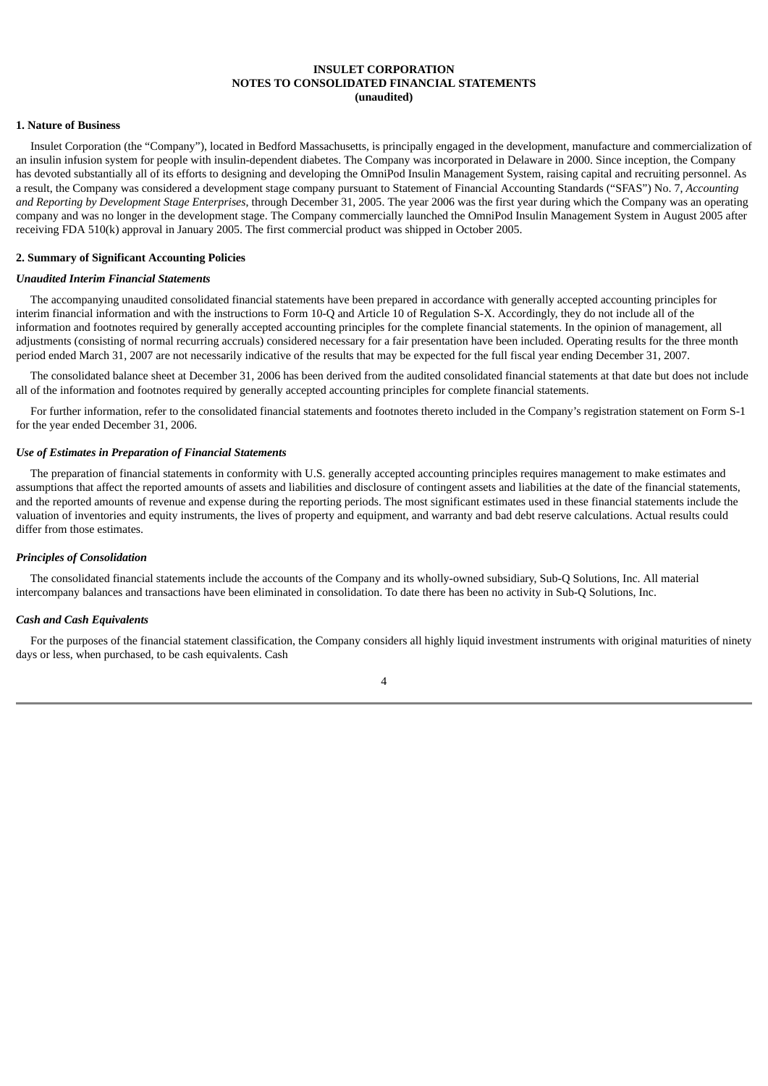# **INSULET CORPORATION NOTES TO CONSOLIDATED FINANCIAL STATEMENTS (unaudited)**

#### <span id="page-6-0"></span>**1. Nature of Business**

Insulet Corporation (the "Company"), located in Bedford Massachusetts, is principally engaged in the development, manufacture and commercialization of an insulin infusion system for people with insulin-dependent diabetes. The Company was incorporated in Delaware in 2000. Since inception, the Company has devoted substantially all of its efforts to designing and developing the OmniPod Insulin Management System, raising capital and recruiting personnel. As a result, the Company was considered a development stage company pursuant to Statement of Financial Accounting Standards ("SFAS") No. 7, *Accounting and Reporting by Development Stage Enterprises*, through December 31, 2005. The year 2006 was the first year during which the Company was an operating company and was no longer in the development stage. The Company commercially launched the OmniPod Insulin Management System in August 2005 after receiving FDA 510(k) approval in January 2005. The first commercial product was shipped in October 2005.

#### **2. Summary of Significant Accounting Policies**

#### *Unaudited Interim Financial Statements*

The accompanying unaudited consolidated financial statements have been prepared in accordance with generally accepted accounting principles for interim financial information and with the instructions to Form 10-Q and Article 10 of Regulation S-X. Accordingly, they do not include all of the information and footnotes required by generally accepted accounting principles for the complete financial statements. In the opinion of management, all adjustments (consisting of normal recurring accruals) considered necessary for a fair presentation have been included. Operating results for the three month period ended March 31, 2007 are not necessarily indicative of the results that may be expected for the full fiscal year ending December 31, 2007.

The consolidated balance sheet at December 31, 2006 has been derived from the audited consolidated financial statements at that date but does not include all of the information and footnotes required by generally accepted accounting principles for complete financial statements.

For further information, refer to the consolidated financial statements and footnotes thereto included in the Company's registration statement on Form S-1 for the year ended December 31, 2006.

# *Use of Estimates in Preparation of Financial Statements*

The preparation of financial statements in conformity with U.S. generally accepted accounting principles requires management to make estimates and assumptions that affect the reported amounts of assets and liabilities and disclosure of contingent assets and liabilities at the date of the financial statements, and the reported amounts of revenue and expense during the reporting periods. The most significant estimates used in these financial statements include the valuation of inventories and equity instruments, the lives of property and equipment, and warranty and bad debt reserve calculations. Actual results could differ from those estimates.

#### *Principles of Consolidation*

The consolidated financial statements include the accounts of the Company and its wholly-owned subsidiary, Sub-Q Solutions, Inc. All material intercompany balances and transactions have been eliminated in consolidation. To date there has been no activity in Sub-Q Solutions, Inc.

# *Cash and Cash Equivalents*

For the purposes of the financial statement classification, the Company considers all highly liquid investment instruments with original maturities of ninety days or less, when purchased, to be cash equivalents. Cash

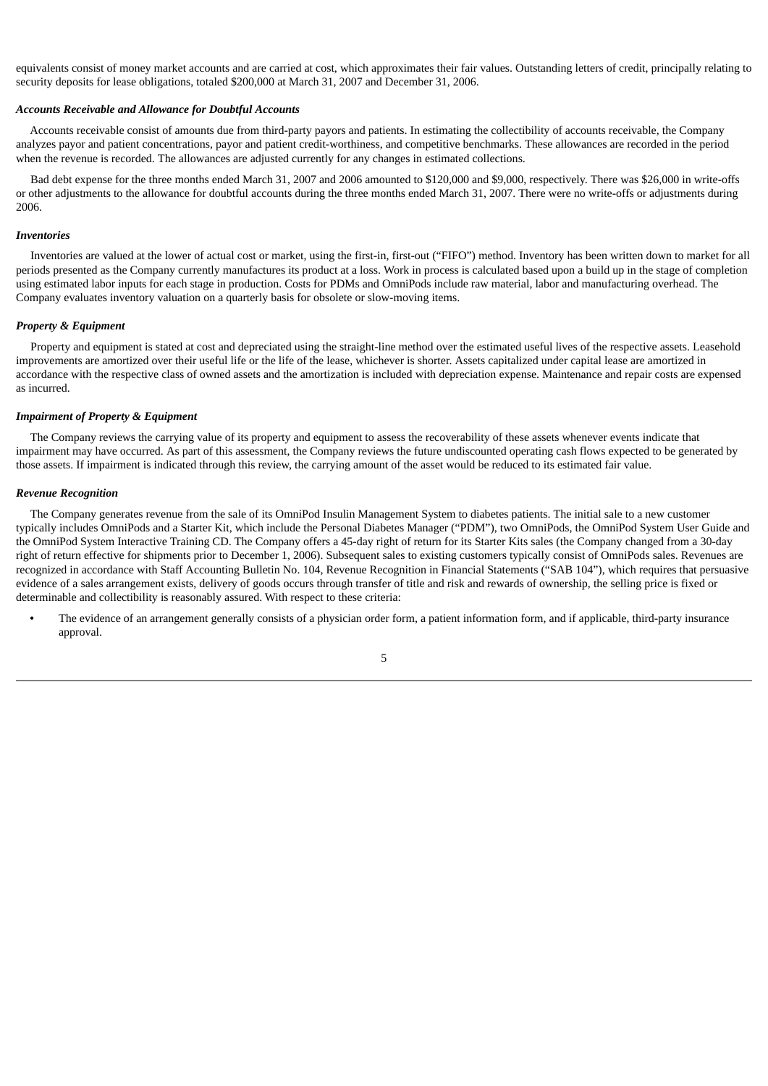equivalents consist of money market accounts and are carried at cost, which approximates their fair values. Outstanding letters of credit, principally relating to security deposits for lease obligations, totaled \$200,000 at March 31, 2007 and December 31, 2006.

#### *Accounts Receivable and Allowance for Doubtful Accounts*

Accounts receivable consist of amounts due from third-party payors and patients. In estimating the collectibility of accounts receivable, the Company analyzes payor and patient concentrations, payor and patient credit-worthiness, and competitive benchmarks. These allowances are recorded in the period when the revenue is recorded. The allowances are adjusted currently for any changes in estimated collections.

Bad debt expense for the three months ended March 31, 2007 and 2006 amounted to \$120,000 and \$9,000, respectively. There was \$26,000 in write-offs or other adjustments to the allowance for doubtful accounts during the three months ended March 31, 2007. There were no write-offs or adjustments during 2006.

#### *Inventories*

Inventories are valued at the lower of actual cost or market, using the first-in, first-out ("FIFO") method. Inventory has been written down to market for all periods presented as the Company currently manufactures its product at a loss. Work in process is calculated based upon a build up in the stage of completion using estimated labor inputs for each stage in production. Costs for PDMs and OmniPods include raw material, labor and manufacturing overhead. The Company evaluates inventory valuation on a quarterly basis for obsolete or slow-moving items.

#### *Property & Equipment*

Property and equipment is stated at cost and depreciated using the straight-line method over the estimated useful lives of the respective assets. Leasehold improvements are amortized over their useful life or the life of the lease, whichever is shorter. Assets capitalized under capital lease are amortized in accordance with the respective class of owned assets and the amortization is included with depreciation expense. Maintenance and repair costs are expensed as incurred.

# *Impairment of Property & Equipment*

The Company reviews the carrying value of its property and equipment to assess the recoverability of these assets whenever events indicate that impairment may have occurred. As part of this assessment, the Company reviews the future undiscounted operating cash flows expected to be generated by those assets. If impairment is indicated through this review, the carrying amount of the asset would be reduced to its estimated fair value.

#### *Revenue Recognition*

The Company generates revenue from the sale of its OmniPod Insulin Management System to diabetes patients. The initial sale to a new customer typically includes OmniPods and a Starter Kit, which include the Personal Diabetes Manager ("PDM"), two OmniPods, the OmniPod System User Guide and the OmniPod System Interactive Training CD. The Company offers a 45-day right of return for its Starter Kits sales (the Company changed from a 30-day right of return effective for shipments prior to December 1, 2006). Subsequent sales to existing customers typically consist of OmniPods sales. Revenues are recognized in accordance with Staff Accounting Bulletin No. 104, Revenue Recognition in Financial Statements ("SAB 104"), which requires that persuasive evidence of a sales arrangement exists, delivery of goods occurs through transfer of title and risk and rewards of ownership, the selling price is fixed or determinable and collectibility is reasonably assured. With respect to these criteria:

**•** The evidence of an arrangement generally consists of a physician order form, a patient information form, and if applicable, third-party insurance approval.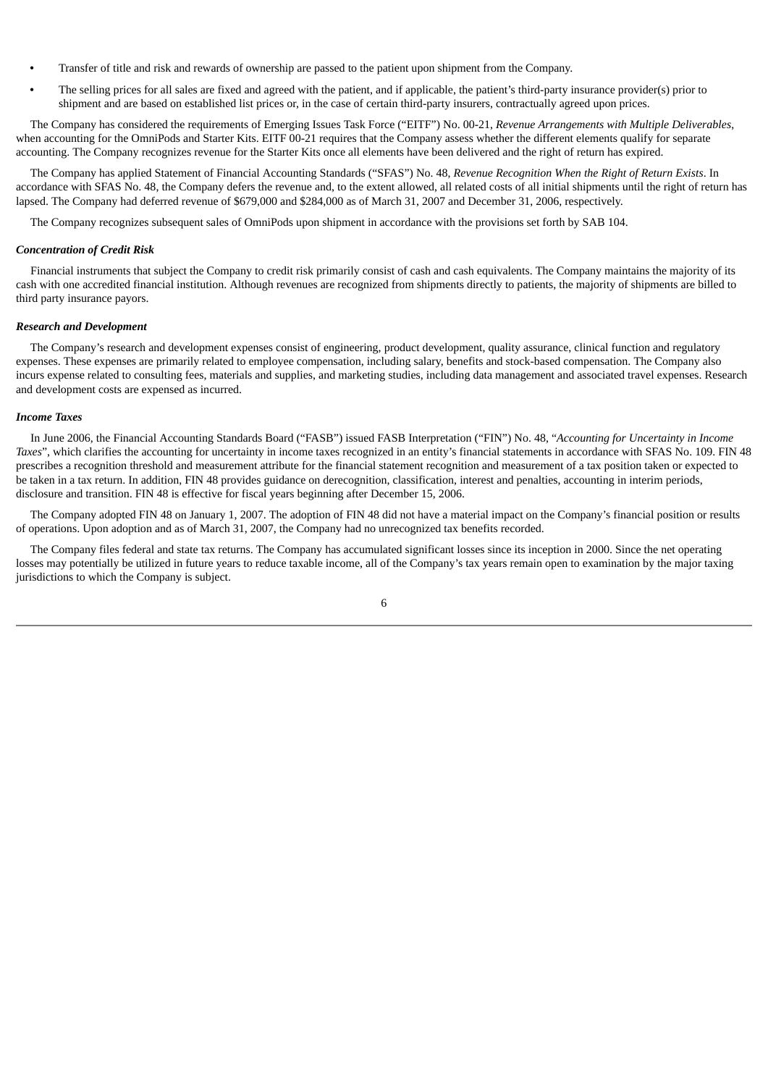- **•** Transfer of title and risk and rewards of ownership are passed to the patient upon shipment from the Company.
- **•** The selling prices for all sales are fixed and agreed with the patient, and if applicable, the patient's third-party insurance provider(s) prior to shipment and are based on established list prices or, in the case of certain third-party insurers, contractually agreed upon prices.

The Company has considered the requirements of Emerging Issues Task Force ("EITF") No. 00-21, *Revenue Arrangements with Multiple Deliverables*, when accounting for the OmniPods and Starter Kits. EITF 00-21 requires that the Company assess whether the different elements qualify for separate accounting. The Company recognizes revenue for the Starter Kits once all elements have been delivered and the right of return has expired.

The Company has applied Statement of Financial Accounting Standards ("SFAS") No. 48, *Revenue Recognition When the Right of Return Exists*. In accordance with SFAS No. 48, the Company defers the revenue and, to the extent allowed, all related costs of all initial shipments until the right of return has lapsed. The Company had deferred revenue of \$679,000 and \$284,000 as of March 31, 2007 and December 31, 2006, respectively.

The Company recognizes subsequent sales of OmniPods upon shipment in accordance with the provisions set forth by SAB 104.

### *Concentration of Credit Risk*

Financial instruments that subject the Company to credit risk primarily consist of cash and cash equivalents. The Company maintains the majority of its cash with one accredited financial institution. Although revenues are recognized from shipments directly to patients, the majority of shipments are billed to third party insurance payors.

#### *Research and Development*

The Company's research and development expenses consist of engineering, product development, quality assurance, clinical function and regulatory expenses. These expenses are primarily related to employee compensation, including salary, benefits and stock-based compensation. The Company also incurs expense related to consulting fees, materials and supplies, and marketing studies, including data management and associated travel expenses. Research and development costs are expensed as incurred.

# *Income Taxes*

In June 2006, the Financial Accounting Standards Board ("FASB") issued FASB Interpretation ("FIN") No. 48, "*Accounting for Uncertainty in Income Taxes*", which clarifies the accounting for uncertainty in income taxes recognized in an entity's financial statements in accordance with SFAS No. 109. FIN 48 prescribes a recognition threshold and measurement attribute for the financial statement recognition and measurement of a tax position taken or expected to be taken in a tax return. In addition, FIN 48 provides guidance on derecognition, classification, interest and penalties, accounting in interim periods, disclosure and transition. FIN 48 is effective for fiscal years beginning after December 15, 2006.

The Company adopted FIN 48 on January 1, 2007. The adoption of FIN 48 did not have a material impact on the Company's financial position or results of operations. Upon adoption and as of March 31, 2007, the Company had no unrecognized tax benefits recorded.

The Company files federal and state tax returns. The Company has accumulated significant losses since its inception in 2000. Since the net operating losses may potentially be utilized in future years to reduce taxable income, all of the Company's tax years remain open to examination by the major taxing jurisdictions to which the Company is subject.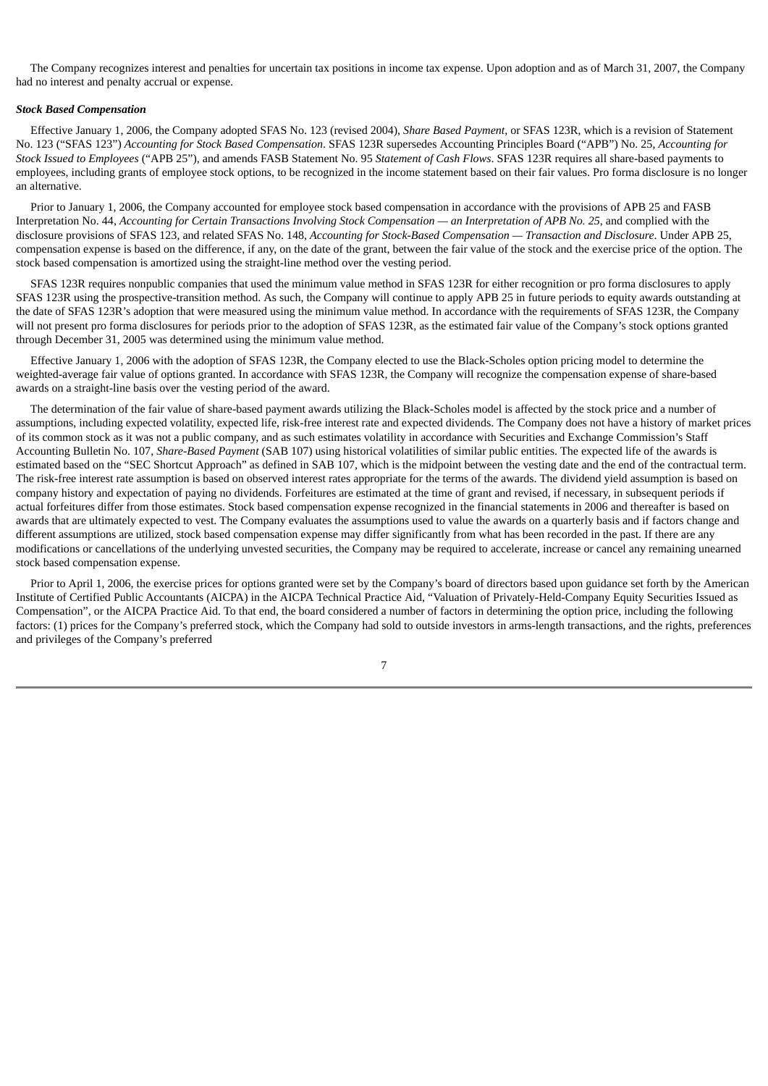The Company recognizes interest and penalties for uncertain tax positions in income tax expense. Upon adoption and as of March 31, 2007, the Company had no interest and penalty accrual or expense.

#### *Stock Based Compensation*

Effective January 1, 2006, the Company adopted SFAS No. 123 (revised 2004), *Share Based Payment*, or SFAS 123R, which is a revision of Statement No. 123 ("SFAS 123") *Accounting for Stock Based Compensation*. SFAS 123R supersedes Accounting Principles Board ("APB") No. 25, *Accounting for Stock Issued to Employees* ("APB 25"), and amends FASB Statement No. 95 *Statement of Cash Flows*. SFAS 123R requires all share-based payments to employees, including grants of employee stock options, to be recognized in the income statement based on their fair values. Pro forma disclosure is no longer an alternative.

Prior to January 1, 2006, the Company accounted for employee stock based compensation in accordance with the provisions of APB 25 and FASB Interpretation No. 44, Accounting for Certain Transactions Involving Stock Compensation — an Interpretation of APB No. 25, and complied with the disclosure provisions of SFAS 123, and related SFAS No. 148, *Accounting for Stock-Based Compensation — Transaction and Disclosure*. Under APB 25, compensation expense is based on the difference, if any, on the date of the grant, between the fair value of the stock and the exercise price of the option. The stock based compensation is amortized using the straight-line method over the vesting period.

SFAS 123R requires nonpublic companies that used the minimum value method in SFAS 123R for either recognition or pro forma disclosures to apply SFAS 123R using the prospective-transition method. As such, the Company will continue to apply APB 25 in future periods to equity awards outstanding at the date of SFAS 123R's adoption that were measured using the minimum value method. In accordance with the requirements of SFAS 123R, the Company will not present pro forma disclosures for periods prior to the adoption of SFAS 123R, as the estimated fair value of the Company's stock options granted through December 31, 2005 was determined using the minimum value method.

Effective January 1, 2006 with the adoption of SFAS 123R, the Company elected to use the Black-Scholes option pricing model to determine the weighted-average fair value of options granted. In accordance with SFAS 123R, the Company will recognize the compensation expense of share-based awards on a straight-line basis over the vesting period of the award.

The determination of the fair value of share-based payment awards utilizing the Black-Scholes model is affected by the stock price and a number of assumptions, including expected volatility, expected life, risk-free interest rate and expected dividends. The Company does not have a history of market prices of its common stock as it was not a public company, and as such estimates volatility in accordance with Securities and Exchange Commission's Staff Accounting Bulletin No. 107, *Share-Based Payment* (SAB 107) using historical volatilities of similar public entities. The expected life of the awards is estimated based on the "SEC Shortcut Approach" as defined in SAB 107, which is the midpoint between the vesting date and the end of the contractual term. The risk-free interest rate assumption is based on observed interest rates appropriate for the terms of the awards. The dividend yield assumption is based on company history and expectation of paying no dividends. Forfeitures are estimated at the time of grant and revised, if necessary, in subsequent periods if actual forfeitures differ from those estimates. Stock based compensation expense recognized in the financial statements in 2006 and thereafter is based on awards that are ultimately expected to vest. The Company evaluates the assumptions used to value the awards on a quarterly basis and if factors change and different assumptions are utilized, stock based compensation expense may differ significantly from what has been recorded in the past. If there are any modifications or cancellations of the underlying unvested securities, the Company may be required to accelerate, increase or cancel any remaining unearned stock based compensation expense.

Prior to April 1, 2006, the exercise prices for options granted were set by the Company's board of directors based upon guidance set forth by the American Institute of Certified Public Accountants (AICPA) in the AICPA Technical Practice Aid, "Valuation of Privately-Held-Company Equity Securities Issued as Compensation", or the AICPA Practice Aid. To that end, the board considered a number of factors in determining the option price, including the following factors: (1) prices for the Company's preferred stock, which the Company had sold to outside investors in arms-length transactions, and the rights, preferences and privileges of the Company's preferred

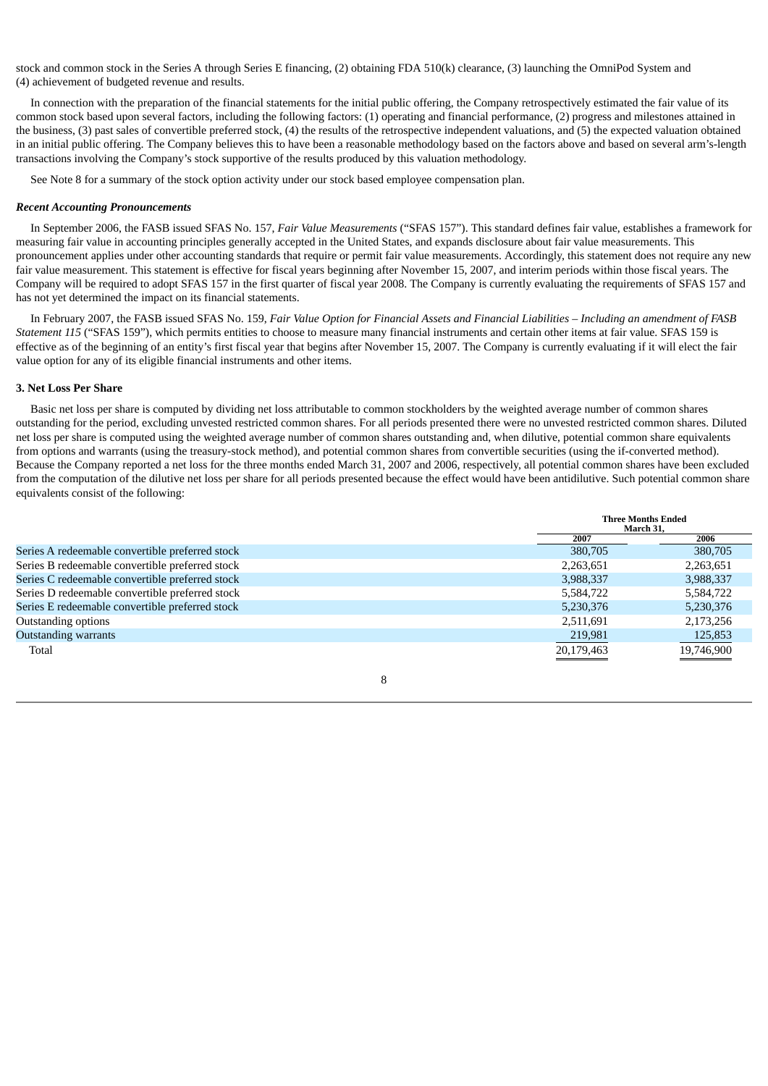stock and common stock in the Series A through Series E financing, (2) obtaining FDA 510(k) clearance, (3) launching the OmniPod System and (4) achievement of budgeted revenue and results.

In connection with the preparation of the financial statements for the initial public offering, the Company retrospectively estimated the fair value of its common stock based upon several factors, including the following factors: (1) operating and financial performance, (2) progress and milestones attained in the business, (3) past sales of convertible preferred stock, (4) the results of the retrospective independent valuations, and (5) the expected valuation obtained in an initial public offering. The Company believes this to have been a reasonable methodology based on the factors above and based on several arm's-length transactions involving the Company's stock supportive of the results produced by this valuation methodology.

See Note 8 for a summary of the stock option activity under our stock based employee compensation plan.

# *Recent Accounting Pronouncements*

In September 2006, the FASB issued SFAS No. 157, *Fair Value Measurements* ("SFAS 157"). This standard defines fair value, establishes a framework for measuring fair value in accounting principles generally accepted in the United States, and expands disclosure about fair value measurements. This pronouncement applies under other accounting standards that require or permit fair value measurements. Accordingly, this statement does not require any new fair value measurement. This statement is effective for fiscal years beginning after November 15, 2007, and interim periods within those fiscal years. The Company will be required to adopt SFAS 157 in the first quarter of fiscal year 2008. The Company is currently evaluating the requirements of SFAS 157 and has not yet determined the impact on its financial statements.

In February 2007, the FASB issued SFAS No. 159, Fair Value Option for Financial Assets and Financial Liabilities - Including an amendment of FASB *Statement 115* ("SFAS 159"), which permits entities to choose to measure many financial instruments and certain other items at fair value. SFAS 159 is effective as of the beginning of an entity's first fiscal year that begins after November 15, 2007. The Company is currently evaluating if it will elect the fair value option for any of its eligible financial instruments and other items.

# **3. Net Loss Per Share**

Basic net loss per share is computed by dividing net loss attributable to common stockholders by the weighted average number of common shares outstanding for the period, excluding unvested restricted common shares. For all periods presented there were no unvested restricted common shares. Diluted net loss per share is computed using the weighted average number of common shares outstanding and, when dilutive, potential common share equivalents from options and warrants (using the treasury-stock method), and potential common shares from convertible securities (using the if-converted method). Because the Company reported a net loss for the three months ended March 31, 2007 and 2006, respectively, all potential common shares have been excluded from the computation of the dilutive net loss per share for all periods presented because the effect would have been antidilutive. Such potential common share equivalents consist of the following:

|                                                 | <b>Three Months Ended</b><br>March 31, |            |
|-------------------------------------------------|----------------------------------------|------------|
|                                                 | 2007                                   | 2006       |
| Series A redeemable convertible preferred stock | 380,705                                | 380,705    |
| Series B redeemable convertible preferred stock | 2,263,651                              | 2,263,651  |
| Series C redeemable convertible preferred stock | 3,988,337                              | 3,988,337  |
| Series D redeemable convertible preferred stock | 5,584,722                              | 5,584,722  |
| Series E redeemable convertible preferred stock | 5,230,376                              | 5,230,376  |
| Outstanding options                             | 2,511,691                              | 2,173,256  |
| <b>Outstanding warrants</b>                     | 219,981                                | 125,853    |
| Total                                           | 20,179,463                             | 19,746,900 |

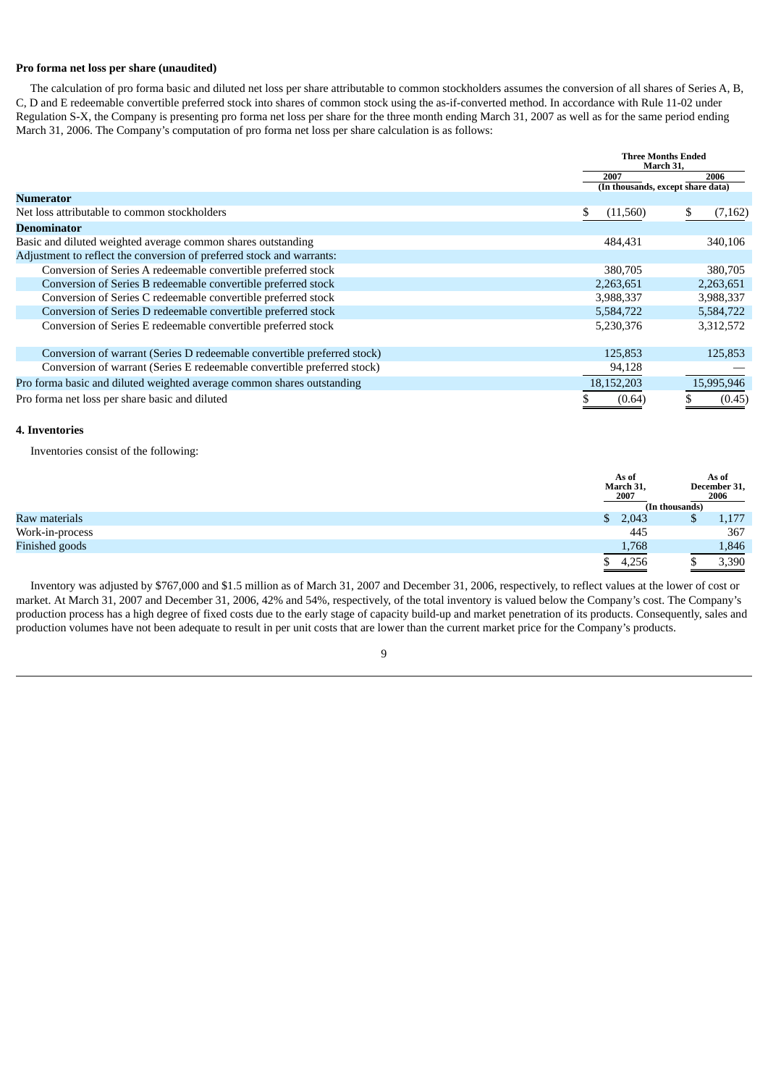# **Pro forma net loss per share (unaudited)**

The calculation of pro forma basic and diluted net loss per share attributable to common stockholders assumes the conversion of all shares of Series A, B, C, D and E redeemable convertible preferred stock into shares of common stock using the as-if-converted method. In accordance with Rule 11-02 under Regulation S-X, the Company is presenting pro forma net loss per share for the three month ending March 31, 2007 as well as for the same period ending March 31, 2006. The Company's computation of pro forma net loss per share calculation is as follows:

|                                                                         | <b>Three Months Ended</b><br>March 31, |                                   |    |            |
|-------------------------------------------------------------------------|----------------------------------------|-----------------------------------|----|------------|
|                                                                         |                                        | 2007                              |    | 2006       |
| <b>Numerator</b>                                                        |                                        | (In thousands, except share data) |    |            |
| Net loss attributable to common stockholders                            |                                        | (11, 560)                         | £. | (7, 162)   |
| <b>Denominator</b>                                                      |                                        |                                   |    |            |
| Basic and diluted weighted average common shares outstanding            |                                        | 484,431                           |    | 340,106    |
| Adjustment to reflect the conversion of preferred stock and warrants:   |                                        |                                   |    |            |
| Conversion of Series A redeemable convertible preferred stock           |                                        | 380,705                           |    | 380,705    |
| Conversion of Series B redeemable convertible preferred stock           |                                        | 2,263,651                         |    | 2,263,651  |
| Conversion of Series C redeemable convertible preferred stock           |                                        | 3,988,337                         |    | 3,988,337  |
| Conversion of Series D redeemable convertible preferred stock           |                                        | 5,584,722                         |    | 5,584,722  |
| Conversion of Series E redeemable convertible preferred stock           |                                        | 5,230,376                         |    | 3,312,572  |
|                                                                         |                                        |                                   |    |            |
| Conversion of warrant (Series D redeemable convertible preferred stock) |                                        | 125,853                           |    | 125,853    |
| Conversion of warrant (Series E redeemable convertible preferred stock) |                                        | 94,128                            |    |            |
| Pro forma basic and diluted weighted average common shares outstanding  |                                        | 18,152,203                        |    | 15,995,946 |
| Pro forma net loss per share basic and diluted                          |                                        | (0.64)                            |    | (0.45)     |

# **4. Inventories**

Inventories consist of the following:

|                 |              | As of<br>March 31,<br>2007 |                | As of<br>December 31,<br>2006 |
|-----------------|--------------|----------------------------|----------------|-------------------------------|
|                 |              |                            | (In thousands) |                               |
| Raw materials   | $\mathbb{S}$ | 2,043                      |                | 1,177                         |
| Work-in-process |              | 445                        |                | 367                           |
| Finished goods  |              | 1,768                      |                | 1,846                         |
|                 |              | 4,256                      |                | 3,390                         |

Inventory was adjusted by \$767,000 and \$1.5 million as of March 31, 2007 and December 31, 2006, respectively, to reflect values at the lower of cost or market. At March 31, 2007 and December 31, 2006, 42% and 54%, respectively, of the total inventory is valued below the Company's cost. The Company's production process has a high degree of fixed costs due to the early stage of capacity build-up and market penetration of its products. Consequently, sales and production volumes have not been adequate to result in per unit costs that are lower than the current market price for the Company's products.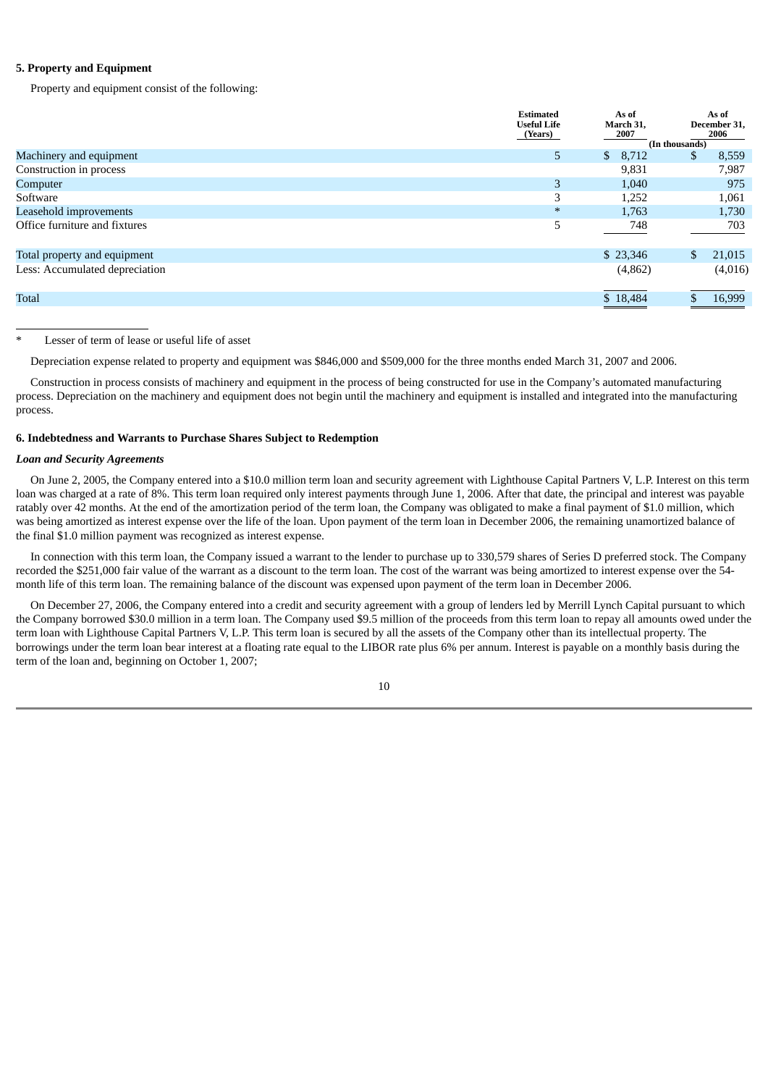# **5. Property and Equipment**

Property and equipment consist of the following:

|                                | <b>Estimated</b><br><b>Useful Life</b><br>(Years) | As of<br>March 31,<br>2007 | As of<br>December 31,<br>2006 |
|--------------------------------|---------------------------------------------------|----------------------------|-------------------------------|
|                                |                                                   |                            | (In thousands)                |
| Machinery and equipment        | 5                                                 | $\mathbb{S}$<br>8,712      | 8,559<br>S                    |
| Construction in process        |                                                   | 9,831                      | 7,987                         |
| Computer                       | 3                                                 | 1,040                      | 975                           |
| Software                       | 3                                                 | 1,252                      | 1,061                         |
| Leasehold improvements         | $\ast$                                            | 1,763                      | 1,730                         |
| Office furniture and fixtures  | 5                                                 | 748                        | 703                           |
| Total property and equipment   |                                                   | \$23,346                   | 21,015<br>\$                  |
| Less: Accumulated depreciation |                                                   | (4,862)                    | (4,016)                       |
| <b>Total</b>                   |                                                   | \$18,484                   | 16,999                        |

# Lesser of term of lease or useful life of asset

Depreciation expense related to property and equipment was \$846,000 and \$509,000 for the three months ended March 31, 2007 and 2006.

Construction in process consists of machinery and equipment in the process of being constructed for use in the Company's automated manufacturing process. Depreciation on the machinery and equipment does not begin until the machinery and equipment is installed and integrated into the manufacturing process.

# **6. Indebtedness and Warrants to Purchase Shares Subject to Redemption**

# *Loan and Security Agreements*

On June 2, 2005, the Company entered into a \$10.0 million term loan and security agreement with Lighthouse Capital Partners V, L.P. Interest on this term loan was charged at a rate of 8%. This term loan required only interest payments through June 1, 2006. After that date, the principal and interest was payable ratably over 42 months. At the end of the amortization period of the term loan, the Company was obligated to make a final payment of \$1.0 million, which was being amortized as interest expense over the life of the loan. Upon payment of the term loan in December 2006, the remaining unamortized balance of the final \$1.0 million payment was recognized as interest expense.

In connection with this term loan, the Company issued a warrant to the lender to purchase up to 330,579 shares of Series D preferred stock. The Company recorded the \$251,000 fair value of the warrant as a discount to the term loan. The cost of the warrant was being amortized to interest expense over the 54 month life of this term loan. The remaining balance of the discount was expensed upon payment of the term loan in December 2006.

On December 27, 2006, the Company entered into a credit and security agreement with a group of lenders led by Merrill Lynch Capital pursuant to which the Company borrowed \$30.0 million in a term loan. The Company used \$9.5 million of the proceeds from this term loan to repay all amounts owed under the term loan with Lighthouse Capital Partners V, L.P. This term loan is secured by all the assets of the Company other than its intellectual property. The borrowings under the term loan bear interest at a floating rate equal to the LIBOR rate plus 6% per annum. Interest is payable on a monthly basis during the term of the loan and, beginning on October 1, 2007;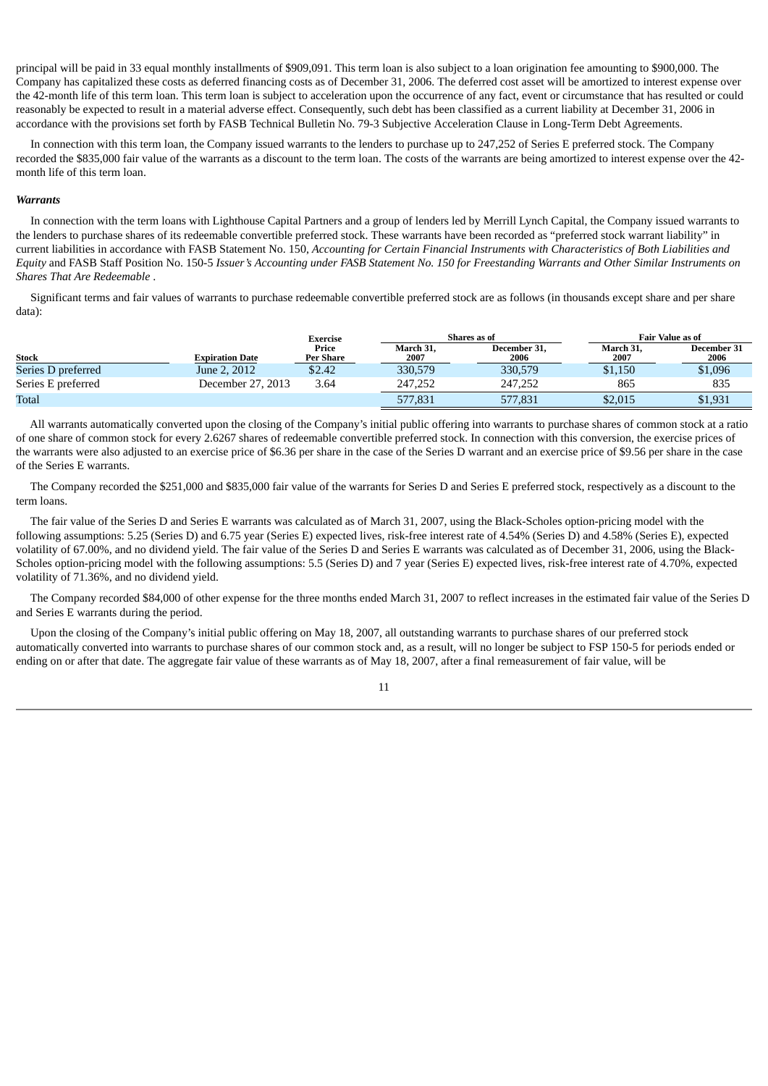principal will be paid in 33 equal monthly installments of \$909,091. This term loan is also subject to a loan origination fee amounting to \$900,000. The Company has capitalized these costs as deferred financing costs as of December 31, 2006. The deferred cost asset will be amortized to interest expense over the 42-month life of this term loan. This term loan is subject to acceleration upon the occurrence of any fact, event or circumstance that has resulted or could reasonably be expected to result in a material adverse effect. Consequently, such debt has been classified as a current liability at December 31, 2006 in accordance with the provisions set forth by FASB Technical Bulletin No. 79-3 Subjective Acceleration Clause in Long-Term Debt Agreements.

In connection with this term loan, the Company issued warrants to the lenders to purchase up to 247,252 of Series E preferred stock. The Company recorded the \$835,000 fair value of the warrants as a discount to the term loan. The costs of the warrants are being amortized to interest expense over the 42 month life of this term loan.

# *Warrants*

In connection with the term loans with Lighthouse Capital Partners and a group of lenders led by Merrill Lynch Capital, the Company issued warrants to the lenders to purchase shares of its redeemable convertible preferred stock. These warrants have been recorded as "preferred stock warrant liability" in current liabilities in accordance with FASB Statement No. 150, Accounting for Certain Financial Instruments with Characteristics of Both Liabilities and Equity and FASB Staff Position No. 150-5 Issuer's Accounting under FASB Statement No. 150 for Freestanding Warrants and Other Similar Instruments on *Shares That Are Redeemable* .

Significant terms and fair values of warrants to purchase redeemable convertible preferred stock are as follows (in thousands except share and per share data):

|                    |                   | Exercise           |                   | Shares as of         |                   | <b>Fair Value as of</b> |
|--------------------|-------------------|--------------------|-------------------|----------------------|-------------------|-------------------------|
| <b>Stock</b>       | Expiration Date   | Price<br>Per Share | March 31,<br>2007 | December 31.<br>2006 | March 31.<br>2007 | December 31<br>2006     |
| Series D preferred | June 2, 2012      | \$2.42             | 330,579           | 330,579              | \$1,150           | \$1,096                 |
| Series E preferred | December 27, 2013 | 3.64               | 247.252           | 247.252              | 865               | 835                     |
| Total              |                   |                    | 577,831           | 577,831              | \$2,015           | \$1,931                 |

All warrants automatically converted upon the closing of the Company's initial public offering into warrants to purchase shares of common stock at a ratio of one share of common stock for every 2.6267 shares of redeemable convertible preferred stock. In connection with this conversion, the exercise prices of the warrants were also adjusted to an exercise price of \$6.36 per share in the case of the Series D warrant and an exercise price of \$9.56 per share in the case of the Series E warrants.

The Company recorded the \$251,000 and \$835,000 fair value of the warrants for Series D and Series E preferred stock, respectively as a discount to the term loans.

The fair value of the Series D and Series E warrants was calculated as of March 31, 2007, using the Black-Scholes option-pricing model with the following assumptions: 5.25 (Series D) and 6.75 year (Series E) expected lives, risk-free interest rate of 4.54% (Series D) and 4.58% (Series E), expected volatility of 67.00%, and no dividend yield. The fair value of the Series D and Series E warrants was calculated as of December 31, 2006, using the Black-Scholes option-pricing model with the following assumptions: 5.5 (Series D) and 7 year (Series E) expected lives, risk-free interest rate of 4.70%, expected volatility of 71.36%, and no dividend yield.

The Company recorded \$84,000 of other expense for the three months ended March 31, 2007 to reflect increases in the estimated fair value of the Series D and Series E warrants during the period.

Upon the closing of the Company's initial public offering on May 18, 2007, all outstanding warrants to purchase shares of our preferred stock automatically converted into warrants to purchase shares of our common stock and, as a result, will no longer be subject to FSP 150-5 for periods ended or ending on or after that date. The aggregate fair value of these warrants as of May 18, 2007, after a final remeasurement of fair value, will be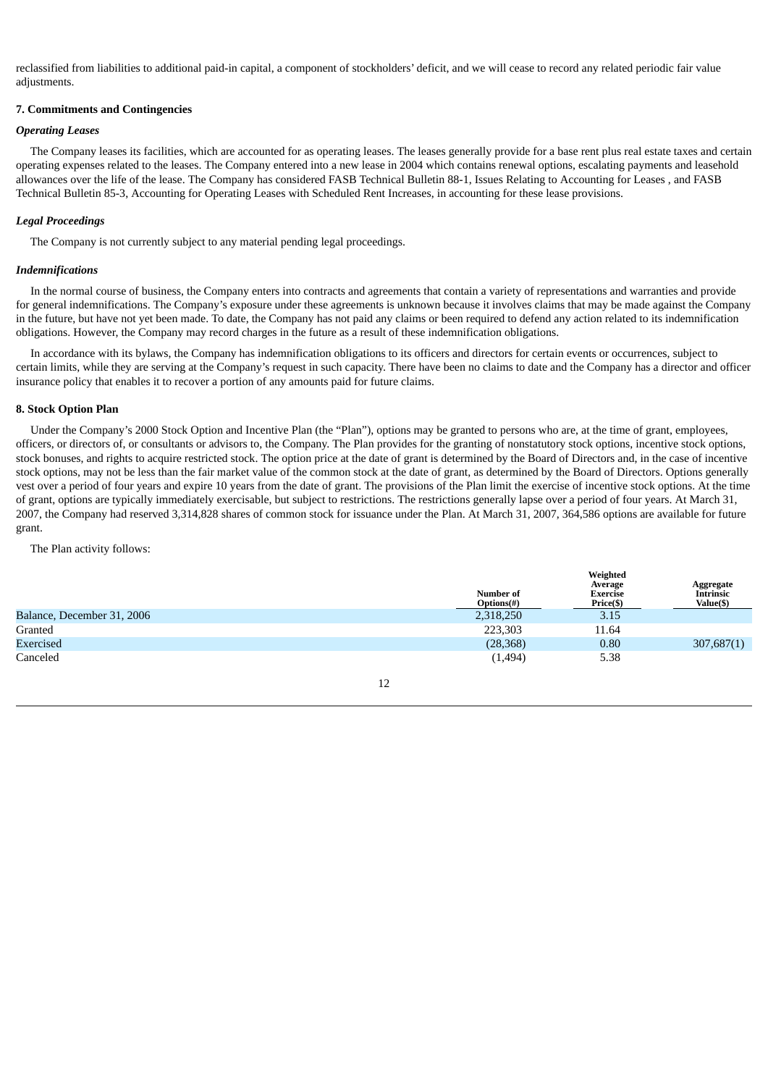reclassified from liabilities to additional paid-in capital, a component of stockholders' deficit, and we will cease to record any related periodic fair value adjustments.

# **7. Commitments and Contingencies**

# *Operating Leases*

The Company leases its facilities, which are accounted for as operating leases. The leases generally provide for a base rent plus real estate taxes and certain operating expenses related to the leases. The Company entered into a new lease in 2004 which contains renewal options, escalating payments and leasehold allowances over the life of the lease. The Company has considered FASB Technical Bulletin 88-1, Issues Relating to Accounting for Leases , and FASB Technical Bulletin 85-3, Accounting for Operating Leases with Scheduled Rent Increases, in accounting for these lease provisions.

# *Legal Proceedings*

The Company is not currently subject to any material pending legal proceedings.

# *Indemnifications*

In the normal course of business, the Company enters into contracts and agreements that contain a variety of representations and warranties and provide for general indemnifications. The Company's exposure under these agreements is unknown because it involves claims that may be made against the Company in the future, but have not yet been made. To date, the Company has not paid any claims or been required to defend any action related to its indemnification obligations. However, the Company may record charges in the future as a result of these indemnification obligations.

In accordance with its bylaws, the Company has indemnification obligations to its officers and directors for certain events or occurrences, subject to certain limits, while they are serving at the Company's request in such capacity. There have been no claims to date and the Company has a director and officer insurance policy that enables it to recover a portion of any amounts paid for future claims.

# **8. Stock Option Plan**

Under the Company's 2000 Stock Option and Incentive Plan (the "Plan"), options may be granted to persons who are, at the time of grant, employees, officers, or directors of, or consultants or advisors to, the Company. The Plan provides for the granting of nonstatutory stock options, incentive stock options, stock bonuses, and rights to acquire restricted stock. The option price at the date of grant is determined by the Board of Directors and, in the case of incentive stock options, may not be less than the fair market value of the common stock at the date of grant, as determined by the Board of Directors. Options generally vest over a period of four years and expire 10 years from the date of grant. The provisions of the Plan limit the exercise of incentive stock options. At the time of grant, options are typically immediately exercisable, but subject to restrictions. The restrictions generally lapse over a period of four years. At March 31, 2007, the Company had reserved 3,314,828 shares of common stock for issuance under the Plan. At March 31, 2007, 364,586 options are available for future grant.

The Plan activity follows:

|                            | Number of<br>Options(#) | Weighted<br>Average<br>Exercise<br>Price(\$) | Aggregate<br><b>Intrinsic</b><br>Value(\$) |
|----------------------------|-------------------------|----------------------------------------------|--------------------------------------------|
| Balance, December 31, 2006 | 2,318,250               | 3.15                                         |                                            |
| Granted                    | 223,303                 | 11.64                                        |                                            |
| Exercised                  | (28, 368)               | 0.80                                         | 307,687(1)                                 |
| Canceled                   | (1, 494)                | 5.38                                         |                                            |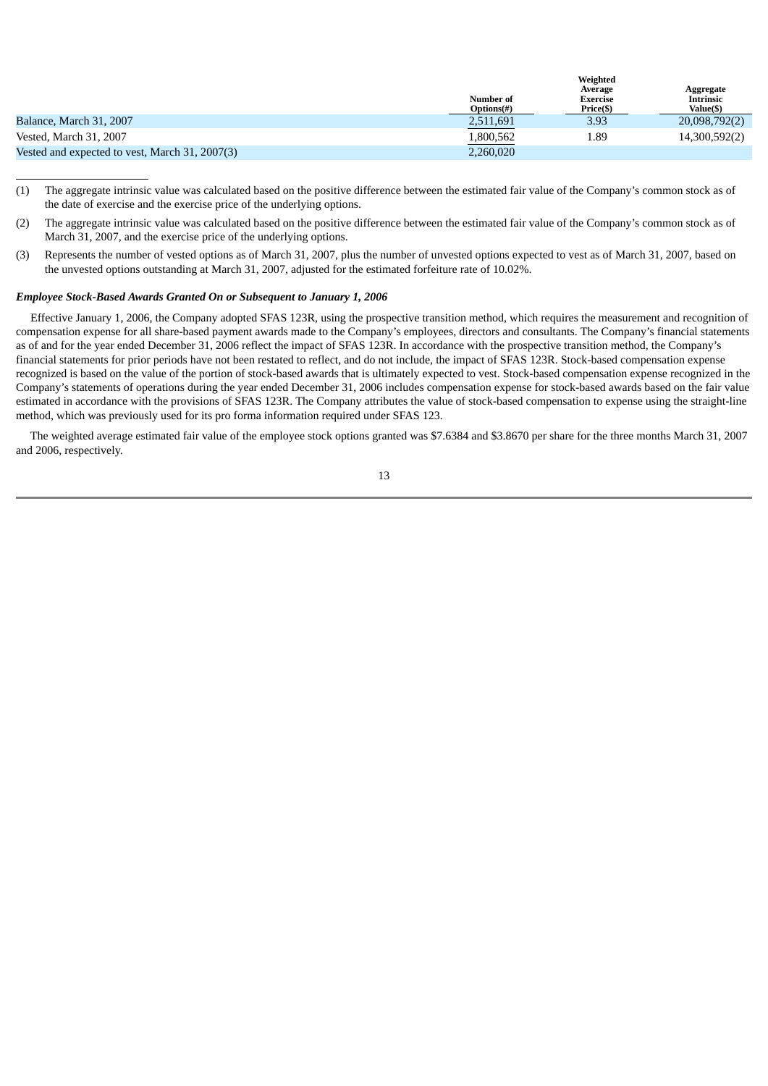|                                                | Number of<br><b>Options(#)</b> | werence<br>Average<br>Exercise<br>Price(\$) | Aggregate<br><b>Intrinsic</b><br>Value(\$) |
|------------------------------------------------|--------------------------------|---------------------------------------------|--------------------------------------------|
| Balance, March 31, 2007                        | 2,511,691                      | 3.93                                        | 20,098,792(2)                              |
| Vested, March 31, 2007                         | .800,562                       | 1.89                                        | 14,300,592(2)                              |
| Vested and expected to vest, March 31, 2007(3) | 2,260,020                      |                                             |                                            |

**Weighted**

- (1) The aggregate intrinsic value was calculated based on the positive difference between the estimated fair value of the Company's common stock as of the date of exercise and the exercise price of the underlying options.
- (2) The aggregate intrinsic value was calculated based on the positive difference between the estimated fair value of the Company's common stock as of March 31, 2007, and the exercise price of the underlying options.
- (3) Represents the number of vested options as of March 31, 2007, plus the number of unvested options expected to vest as of March 31, 2007, based on the unvested options outstanding at March 31, 2007, adjusted for the estimated forfeiture rate of 10.02%.

# *Employee Stock-Based Awards Granted On or Subsequent to January 1, 2006*

Effective January 1, 2006, the Company adopted SFAS 123R, using the prospective transition method, which requires the measurement and recognition of compensation expense for all share-based payment awards made to the Company's employees, directors and consultants. The Company's financial statements as of and for the year ended December 31, 2006 reflect the impact of SFAS 123R. In accordance with the prospective transition method, the Company's financial statements for prior periods have not been restated to reflect, and do not include, the impact of SFAS 123R. Stock-based compensation expense recognized is based on the value of the portion of stock-based awards that is ultimately expected to vest. Stock-based compensation expense recognized in the Company's statements of operations during the year ended December 31, 2006 includes compensation expense for stock-based awards based on the fair value estimated in accordance with the provisions of SFAS 123R. The Company attributes the value of stock-based compensation to expense using the straight-line method, which was previously used for its pro forma information required under SFAS 123.

The weighted average estimated fair value of the employee stock options granted was \$7.6384 and \$3.8670 per share for the three months March 31, 2007 and 2006, respectively.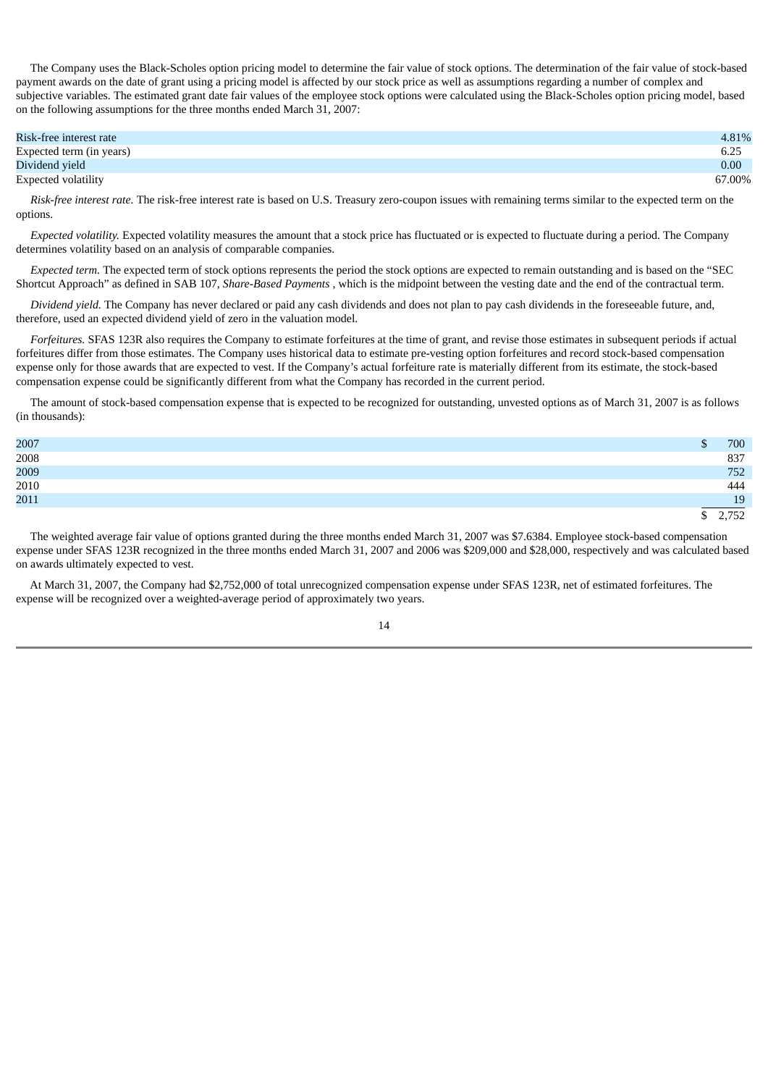The Company uses the Black-Scholes option pricing model to determine the fair value of stock options. The determination of the fair value of stock-based payment awards on the date of grant using a pricing model is affected by our stock price as well as assumptions regarding a number of complex and subjective variables. The estimated grant date fair values of the employee stock options were calculated using the Black-Scholes option pricing model, based on the following assumptions for the three months ended March 31, 2007:

| Risk-free interest rate  | 4.81%  |
|--------------------------|--------|
| Expected term (in years) | 6.25   |
| Dividend yield           | 0.00   |
| Expected volatility      | 67.00% |

*Risk-free interest rate.* The risk-free interest rate is based on U.S. Treasury zero-coupon issues with remaining terms similar to the expected term on the options.

*Expected volatility.* Expected volatility measures the amount that a stock price has fluctuated or is expected to fluctuate during a period. The Company determines volatility based on an analysis of comparable companies.

*Expected term.* The expected term of stock options represents the period the stock options are expected to remain outstanding and is based on the "SEC Shortcut Approach" as defined in SAB 107, *Share-Based Payments* , which is the midpoint between the vesting date and the end of the contractual term.

*Dividend yield.* The Company has never declared or paid any cash dividends and does not plan to pay cash dividends in the foreseeable future, and, therefore, used an expected dividend yield of zero in the valuation model.

*Forfeitures.* SFAS 123R also requires the Company to estimate forfeitures at the time of grant, and revise those estimates in subsequent periods if actual forfeitures differ from those estimates. The Company uses historical data to estimate pre-vesting option forfeitures and record stock-based compensation expense only for those awards that are expected to vest. If the Company's actual forfeiture rate is materially different from its estimate, the stock-based compensation expense could be significantly different from what the Company has recorded in the current period.

The amount of stock-based compensation expense that is expected to be recognized for outstanding, unvested options as of March 31, 2007 is as follows (in thousands):

| 2007 | 700   |
|------|-------|
| 2008 | 837   |
| 2009 | 752   |
| 2010 | 444   |
| 2011 | 19    |
|      | 2,752 |

The weighted average fair value of options granted during the three months ended March 31, 2007 was \$7.6384. Employee stock-based compensation expense under SFAS 123R recognized in the three months ended March 31, 2007 and 2006 was \$209,000 and \$28,000, respectively and was calculated based on awards ultimately expected to vest.

At March 31, 2007, the Company had \$2,752,000 of total unrecognized compensation expense under SFAS 123R, net of estimated forfeitures. The expense will be recognized over a weighted-average period of approximately two years.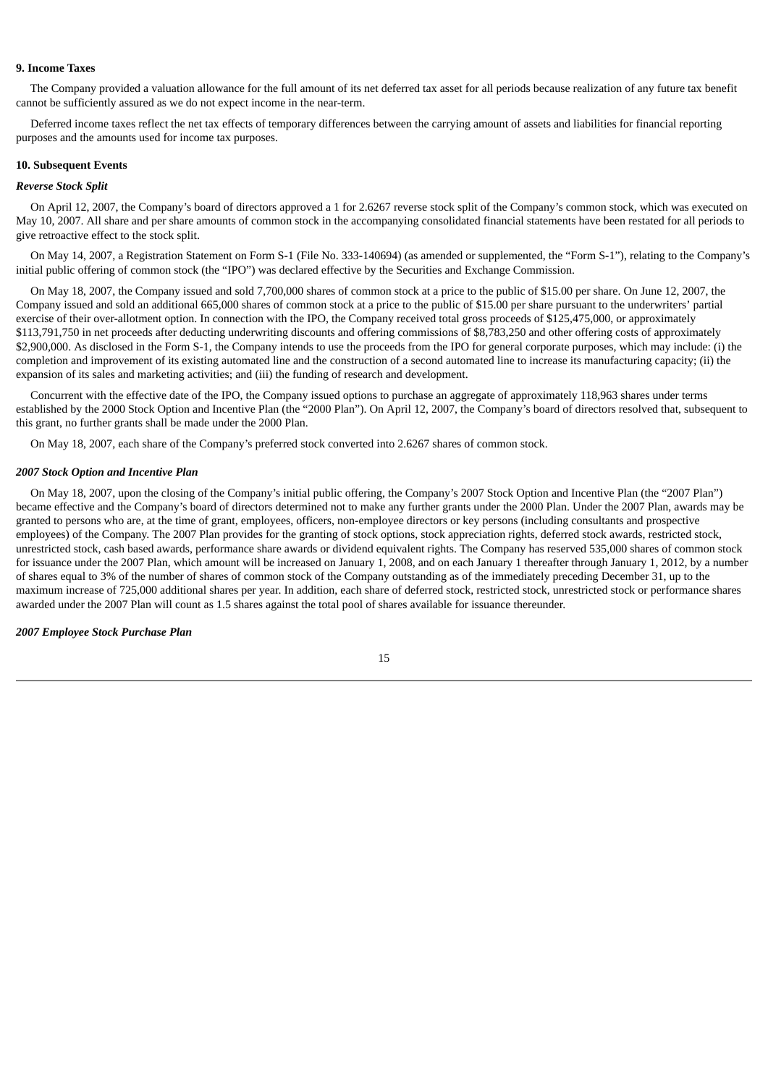#### **9. Income Taxes**

The Company provided a valuation allowance for the full amount of its net deferred tax asset for all periods because realization of any future tax benefit cannot be sufficiently assured as we do not expect income in the near-term.

Deferred income taxes reflect the net tax effects of temporary differences between the carrying amount of assets and liabilities for financial reporting purposes and the amounts used for income tax purposes.

#### **10. Subsequent Events**

#### *Reverse Stock Split*

On April 12, 2007, the Company's board of directors approved a 1 for 2.6267 reverse stock split of the Company's common stock, which was executed on May 10, 2007. All share and per share amounts of common stock in the accompanying consolidated financial statements have been restated for all periods to give retroactive effect to the stock split.

On May 14, 2007, a Registration Statement on Form S-1 (File No. 333-140694) (as amended or supplemented, the "Form S-1"), relating to the Company's initial public offering of common stock (the "IPO") was declared effective by the Securities and Exchange Commission.

On May 18, 2007, the Company issued and sold 7,700,000 shares of common stock at a price to the public of \$15.00 per share. On June 12, 2007, the Company issued and sold an additional 665,000 shares of common stock at a price to the public of \$15.00 per share pursuant to the underwriters' partial exercise of their over-allotment option. In connection with the IPO, the Company received total gross proceeds of \$125,475,000, or approximately \$113,791,750 in net proceeds after deducting underwriting discounts and offering commissions of \$8,783,250 and other offering costs of approximately \$2,900,000. As disclosed in the Form S-1, the Company intends to use the proceeds from the IPO for general corporate purposes, which may include: (i) the completion and improvement of its existing automated line and the construction of a second automated line to increase its manufacturing capacity; (ii) the expansion of its sales and marketing activities; and (iii) the funding of research and development.

Concurrent with the effective date of the IPO, the Company issued options to purchase an aggregate of approximately 118,963 shares under terms established by the 2000 Stock Option and Incentive Plan (the "2000 Plan"). On April 12, 2007, the Company's board of directors resolved that, subsequent to this grant, no further grants shall be made under the 2000 Plan.

On May 18, 2007, each share of the Company's preferred stock converted into 2.6267 shares of common stock.

# *2007 Stock Option and Incentive Plan*

On May 18, 2007, upon the closing of the Company's initial public offering, the Company's 2007 Stock Option and Incentive Plan (the "2007 Plan") became effective and the Company's board of directors determined not to make any further grants under the 2000 Plan. Under the 2007 Plan, awards may be granted to persons who are, at the time of grant, employees, officers, non-employee directors or key persons (including consultants and prospective employees) of the Company. The 2007 Plan provides for the granting of stock options, stock appreciation rights, deferred stock awards, restricted stock, unrestricted stock, cash based awards, performance share awards or dividend equivalent rights. The Company has reserved 535,000 shares of common stock for issuance under the 2007 Plan, which amount will be increased on January 1, 2008, and on each January 1 thereafter through January 1, 2012, by a number of shares equal to 3% of the number of shares of common stock of the Company outstanding as of the immediately preceding December 31, up to the maximum increase of 725,000 additional shares per year. In addition, each share of deferred stock, restricted stock, unrestricted stock or performance shares awarded under the 2007 Plan will count as 1.5 shares against the total pool of shares available for issuance thereunder.

#### *2007 Employee Stock Purchase Plan*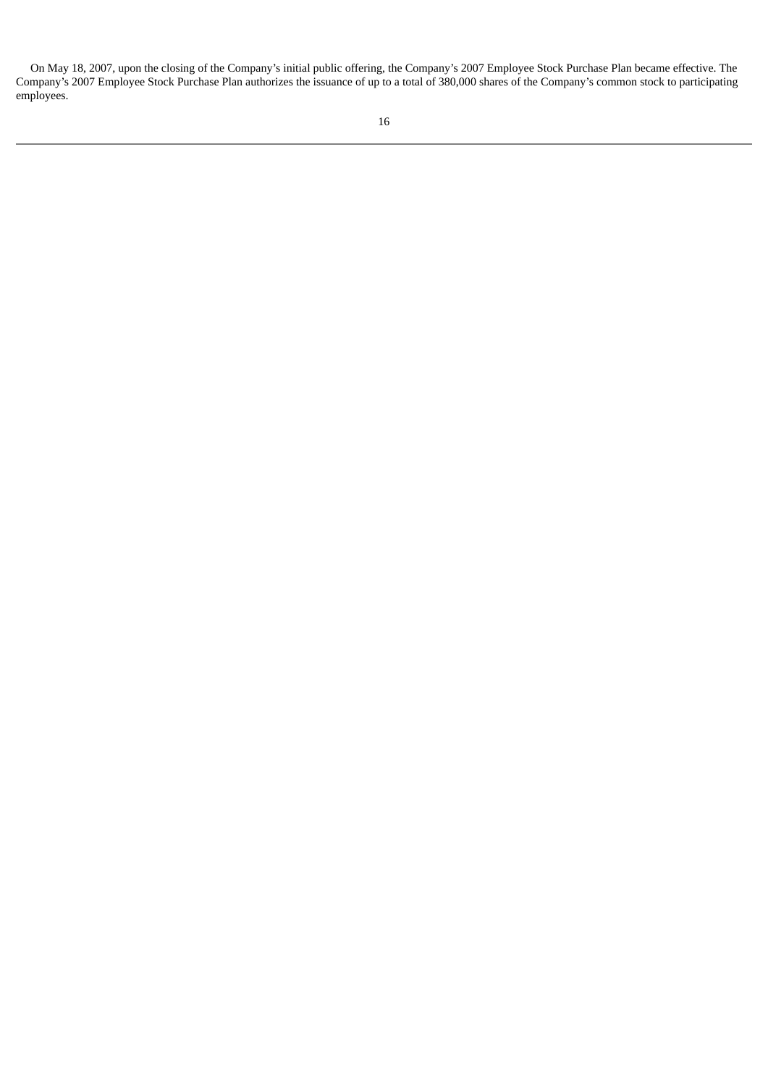On May 18, 2007, upon the closing of the Company's initial public offering, the Company's 2007 Employee Stock Purchase Plan became effective. The Company's 2007 Employee Stock Purchase Plan authorizes the issuance of up to a total of 380,000 shares of the Company's common stock to participating employees.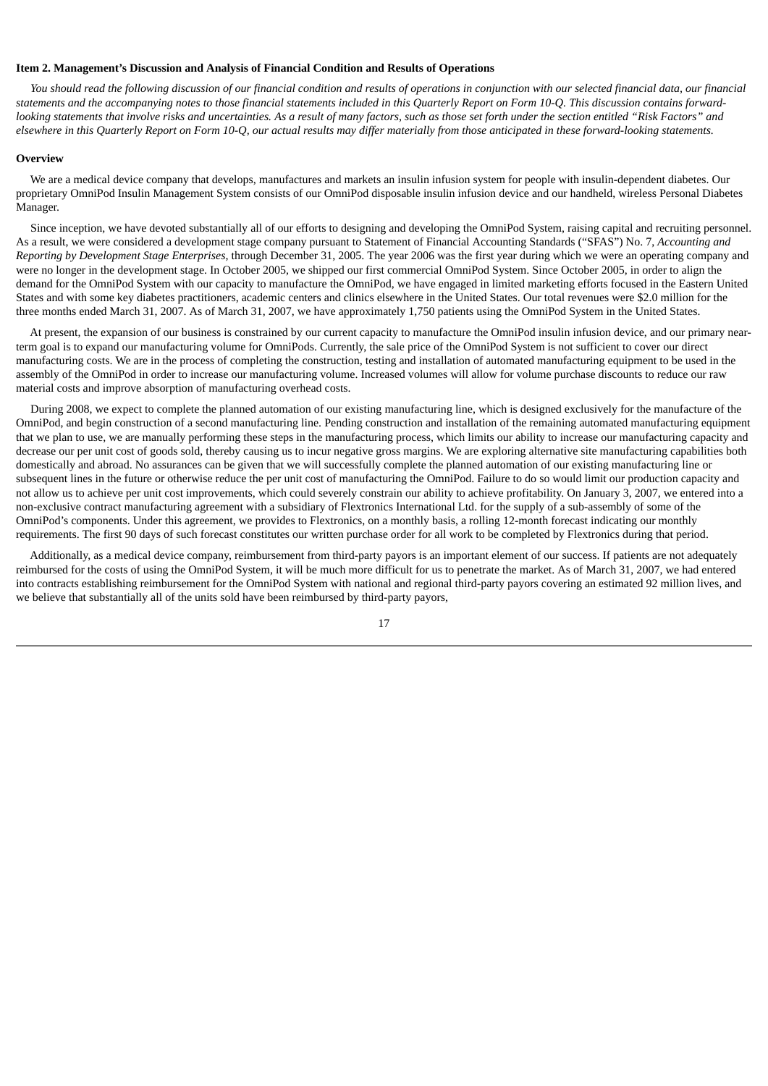#### <span id="page-19-0"></span>**Item 2. Management's Discussion and Analysis of Financial Condition and Results of Operations**

You should read the following discussion of our financial condition and results of operations in conjunction with our selected financial data, our financial statements and the accompanying notes to those financial statements included in this Quarterly Report on Form 10-Q. This discussion contains forwardlooking statements that involve risks and uncertainties. As a result of many factors, such as those set forth under the section entitled "Risk Factors" and elsewhere in this Quarterly Report on Form 10-Q, our actual results may differ materially from those anticipated in these forward-looking statements.

#### **Overview**

We are a medical device company that develops, manufactures and markets an insulin infusion system for people with insulin-dependent diabetes. Our proprietary OmniPod Insulin Management System consists of our OmniPod disposable insulin infusion device and our handheld, wireless Personal Diabetes Manager.

Since inception, we have devoted substantially all of our efforts to designing and developing the OmniPod System, raising capital and recruiting personnel. As a result, we were considered a development stage company pursuant to Statement of Financial Accounting Standards ("SFAS") No. 7, *Accounting and Reporting by Development Stage Enterprises*, through December 31, 2005. The year 2006 was the first year during which we were an operating company and were no longer in the development stage. In October 2005, we shipped our first commercial OmniPod System. Since October 2005, in order to align the demand for the OmniPod System with our capacity to manufacture the OmniPod, we have engaged in limited marketing efforts focused in the Eastern United States and with some key diabetes practitioners, academic centers and clinics elsewhere in the United States. Our total revenues were \$2.0 million for the three months ended March 31, 2007. As of March 31, 2007, we have approximately 1,750 patients using the OmniPod System in the United States.

At present, the expansion of our business is constrained by our current capacity to manufacture the OmniPod insulin infusion device, and our primary nearterm goal is to expand our manufacturing volume for OmniPods. Currently, the sale price of the OmniPod System is not sufficient to cover our direct manufacturing costs. We are in the process of completing the construction, testing and installation of automated manufacturing equipment to be used in the assembly of the OmniPod in order to increase our manufacturing volume. Increased volumes will allow for volume purchase discounts to reduce our raw material costs and improve absorption of manufacturing overhead costs.

During 2008, we expect to complete the planned automation of our existing manufacturing line, which is designed exclusively for the manufacture of the OmniPod, and begin construction of a second manufacturing line. Pending construction and installation of the remaining automated manufacturing equipment that we plan to use, we are manually performing these steps in the manufacturing process, which limits our ability to increase our manufacturing capacity and decrease our per unit cost of goods sold, thereby causing us to incur negative gross margins. We are exploring alternative site manufacturing capabilities both domestically and abroad. No assurances can be given that we will successfully complete the planned automation of our existing manufacturing line or subsequent lines in the future or otherwise reduce the per unit cost of manufacturing the OmniPod. Failure to do so would limit our production capacity and not allow us to achieve per unit cost improvements, which could severely constrain our ability to achieve profitability. On January 3, 2007, we entered into a non-exclusive contract manufacturing agreement with a subsidiary of Flextronics International Ltd. for the supply of a sub-assembly of some of the OmniPod's components. Under this agreement, we provides to Flextronics, on a monthly basis, a rolling 12-month forecast indicating our monthly requirements. The first 90 days of such forecast constitutes our written purchase order for all work to be completed by Flextronics during that period.

Additionally, as a medical device company, reimbursement from third-party payors is an important element of our success. If patients are not adequately reimbursed for the costs of using the OmniPod System, it will be much more difficult for us to penetrate the market. As of March 31, 2007, we had entered into contracts establishing reimbursement for the OmniPod System with national and regional third-party payors covering an estimated 92 million lives, and we believe that substantially all of the units sold have been reimbursed by third-party payors,

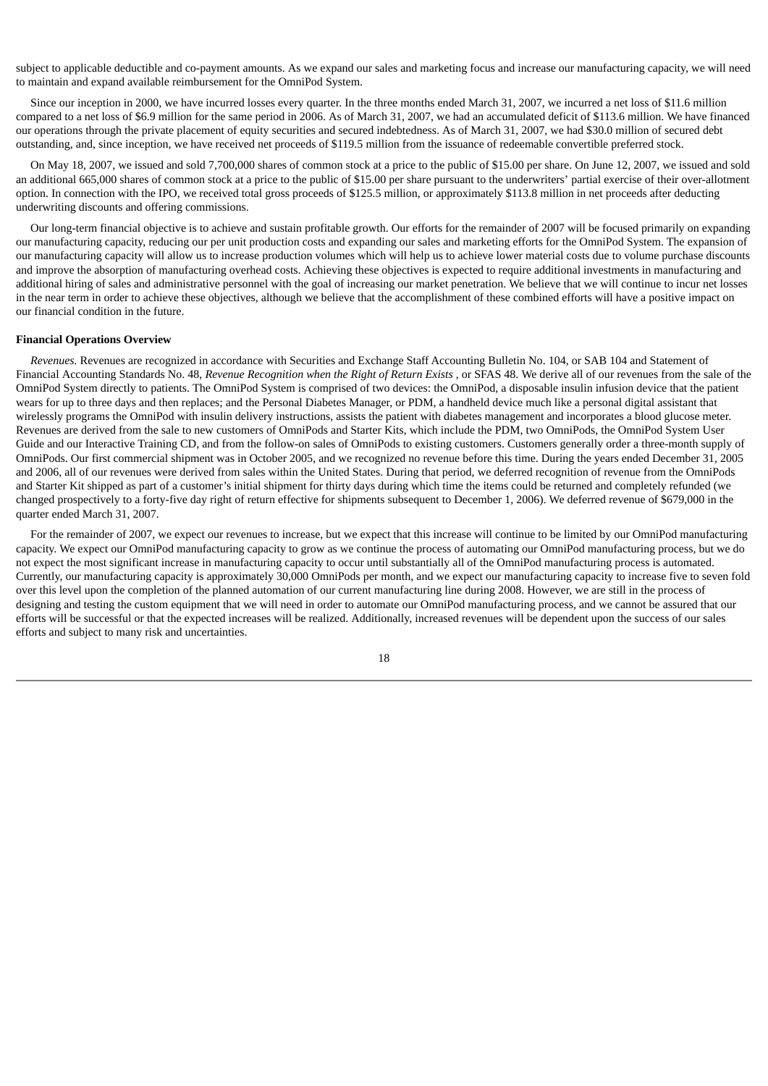subject to applicable deductible and co-payment amounts. As we expand our sales and marketing focus and increase our manufacturing capacity, we will need to maintain and expand available reimbursement for the OmniPod System.

Since our inception in 2000, we have incurred losses every quarter. In the three months ended March 31, 2007, we incurred a net loss of \$11.6 million compared to a net loss of \$6.9 million for the same period in 2006. As of March 31, 2007, we had an accumulated deficit of \$113.6 million. We have financed our operations through the private placement of equity securities and secured indebtedness. As of March 31, 2007, we had \$30.0 million of secured debt outstanding, and, since inception, we have received net proceeds of \$119.5 million from the issuance of redeemable convertible preferred stock.

On May 18, 2007, we issued and sold 7,700,000 shares of common stock at a price to the public of \$15.00 per share. On June 12, 2007, we issued and sold an additional 665,000 shares of common stock at a price to the public of \$15.00 per share pursuant to the underwriters' partial exercise of their over-allotment option. In connection with the IPO, we received total gross proceeds of \$125.5 million, or approximately \$113.8 million in net proceeds after deducting underwriting discounts and offering commissions.

Our long-term financial objective is to achieve and sustain profitable growth. Our efforts for the remainder of 2007 will be focused primarily on expanding our manufacturing capacity, reducing our per unit production costs and expanding our sales and marketing efforts for the OmniPod System. The expansion of our manufacturing capacity will allow us to increase production volumes which will help us to achieve lower material costs due to volume purchase discounts and improve the absorption of manufacturing overhead costs. Achieving these objectives is expected to require additional investments in manufacturing and additional hiring of sales and administrative personnel with the goal of increasing our market penetration. We believe that we will continue to incur net losses in the near term in order to achieve these objectives, although we believe that the accomplishment of these combined efforts will have a positive impact on our financial condition in the future.

#### **Financial Operations Overview**

*Revenues.* Revenues are recognized in accordance with Securities and Exchange Staff Accounting Bulletin No. 104, or SAB 104 and Statement of Financial Accounting Standards No. 48, *Revenue Recognition when the Right of Return Exists* , or SFAS 48. We derive all of our revenues from the sale of the OmniPod System directly to patients. The OmniPod System is comprised of two devices: the OmniPod, a disposable insulin infusion device that the patient wears for up to three days and then replaces; and the Personal Diabetes Manager, or PDM, a handheld device much like a personal digital assistant that wirelessly programs the OmniPod with insulin delivery instructions, assists the patient with diabetes management and incorporates a blood glucose meter. Revenues are derived from the sale to new customers of OmniPods and Starter Kits, which include the PDM, two OmniPods, the OmniPod System User Guide and our Interactive Training CD, and from the follow-on sales of OmniPods to existing customers. Customers generally order a three-month supply of OmniPods. Our first commercial shipment was in October 2005, and we recognized no revenue before this time. During the years ended December 31, 2005 and 2006, all of our revenues were derived from sales within the United States. During that period, we deferred recognition of revenue from the OmniPods and Starter Kit shipped as part of a customer's initial shipment for thirty days during which time the items could be returned and completely refunded (we changed prospectively to a forty-five day right of return effective for shipments subsequent to December 1, 2006). We deferred revenue of \$679,000 in the quarter ended March 31, 2007.

For the remainder of 2007, we expect our revenues to increase, but we expect that this increase will continue to be limited by our OmniPod manufacturing capacity. We expect our OmniPod manufacturing capacity to grow as we continue the process of automating our OmniPod manufacturing process, but we do not expect the most significant increase in manufacturing capacity to occur until substantially all of the OmniPod manufacturing process is automated. Currently, our manufacturing capacity is approximately 30,000 OmniPods per month, and we expect our manufacturing capacity to increase five to seven fold over this level upon the completion of the planned automation of our current manufacturing line during 2008. However, we are still in the process of designing and testing the custom equipment that we will need in order to automate our OmniPod manufacturing process, and we cannot be assured that our efforts will be successful or that the expected increases will be realized. Additionally, increased revenues will be dependent upon the success of our sales efforts and subject to many risk and uncertainties.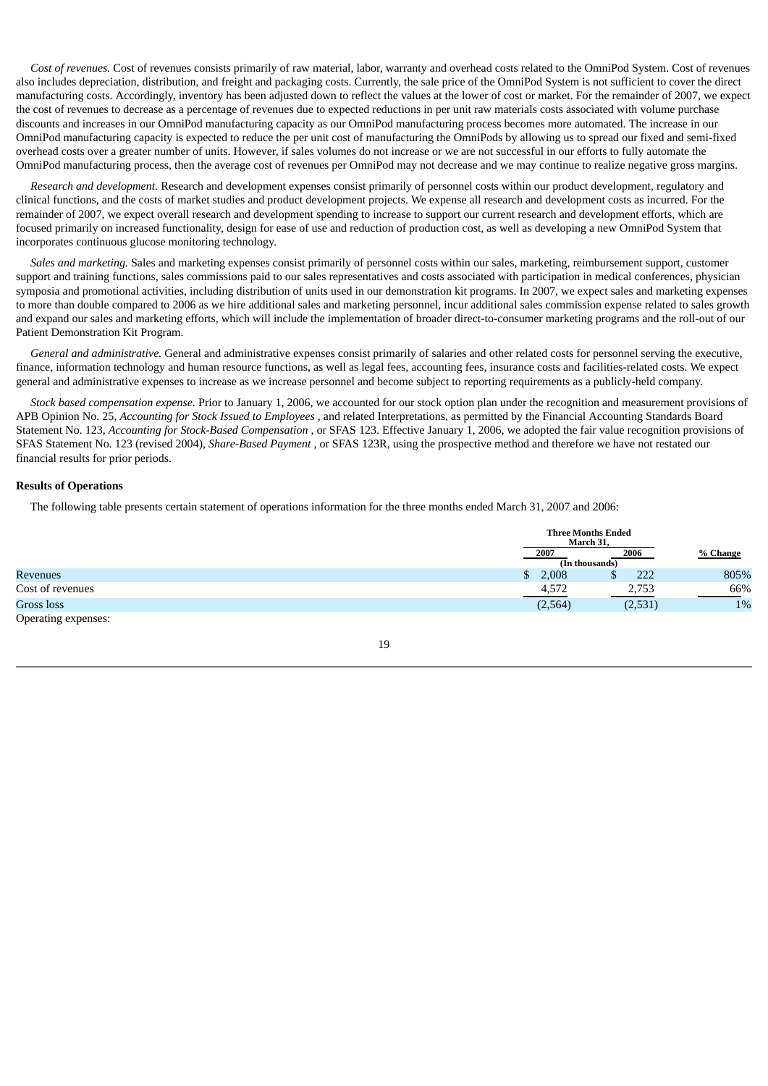*Cost of revenues.* Cost of revenues consists primarily of raw material, labor, warranty and overhead costs related to the OmniPod System. Cost of revenues also includes depreciation, distribution, and freight and packaging costs. Currently, the sale price of the OmniPod System is not sufficient to cover the direct manufacturing costs. Accordingly, inventory has been adjusted down to reflect the values at the lower of cost or market. For the remainder of 2007, we expect the cost of revenues to decrease as a percentage of revenues due to expected reductions in per unit raw materials costs associated with volume purchase discounts and increases in our OmniPod manufacturing capacity as our OmniPod manufacturing process becomes more automated. The increase in our OmniPod manufacturing capacity is expected to reduce the per unit cost of manufacturing the OmniPods by allowing us to spread our fixed and semi-fixed overhead costs over a greater number of units. However, if sales volumes do not increase or we are not successful in our efforts to fully automate the OmniPod manufacturing process, then the average cost of revenues per OmniPod may not decrease and we may continue to realize negative gross margins.

*Research and development.* Research and development expenses consist primarily of personnel costs within our product development, regulatory and clinical functions, and the costs of market studies and product development projects. We expense all research and development costs as incurred. For the remainder of 2007, we expect overall research and development spending to increase to support our current research and development efforts, which are focused primarily on increased functionality, design for ease of use and reduction of production cost, as well as developing a new OmniPod System that incorporates continuous glucose monitoring technology.

*Sales and marketing.* Sales and marketing expenses consist primarily of personnel costs within our sales, marketing, reimbursement support, customer support and training functions, sales commissions paid to our sales representatives and costs associated with participation in medical conferences, physician symposia and promotional activities, including distribution of units used in our demonstration kit programs. In 2007, we expect sales and marketing expenses to more than double compared to 2006 as we hire additional sales and marketing personnel, incur additional sales commission expense related to sales growth and expand our sales and marketing efforts, which will include the implementation of broader direct-to-consumer marketing programs and the roll-out of our Patient Demonstration Kit Program.

*General and administrative.* General and administrative expenses consist primarily of salaries and other related costs for personnel serving the executive, finance, information technology and human resource functions, as well as legal fees, accounting fees, insurance costs and facilities-related costs. We expect general and administrative expenses to increase as we increase personnel and become subject to reporting requirements as a publicly-held company.

*Stock based compensation expense.* Prior to January 1, 2006, we accounted for our stock option plan under the recognition and measurement provisions of APB Opinion No. 25, *Accounting for Stock Issued to Employees* , and related Interpretations, as permitted by the Financial Accounting Standards Board Statement No. 123, *Accounting for Stock-Based Compensation* , or SFAS 123. Effective January 1, 2006, we adopted the fair value recognition provisions of SFAS Statement No. 123 (revised 2004), *Share-Based Payment* , or SFAS 123R, using the prospective method and therefore we have not restated our financial results for prior periods.

# **Results of Operations**

The following table presents certain statement of operations information for the three months ended March 31, 2007 and 2006:

|                     |             | <b>Three Months Ended</b><br>March 31, |          |
|---------------------|-------------|----------------------------------------|----------|
|                     | 2007        | 2006                                   | % Change |
|                     |             | (In thousands)                         |          |
| Revenues            | 2,008<br>\$ | 222<br>Ψ                               | 805%     |
| Cost of revenues    | 4,572       | 2,753                                  | 66%      |
| Gross loss          | (2,564)     | (2,531)                                | 1%       |
| Operating expenses: |             |                                        |          |

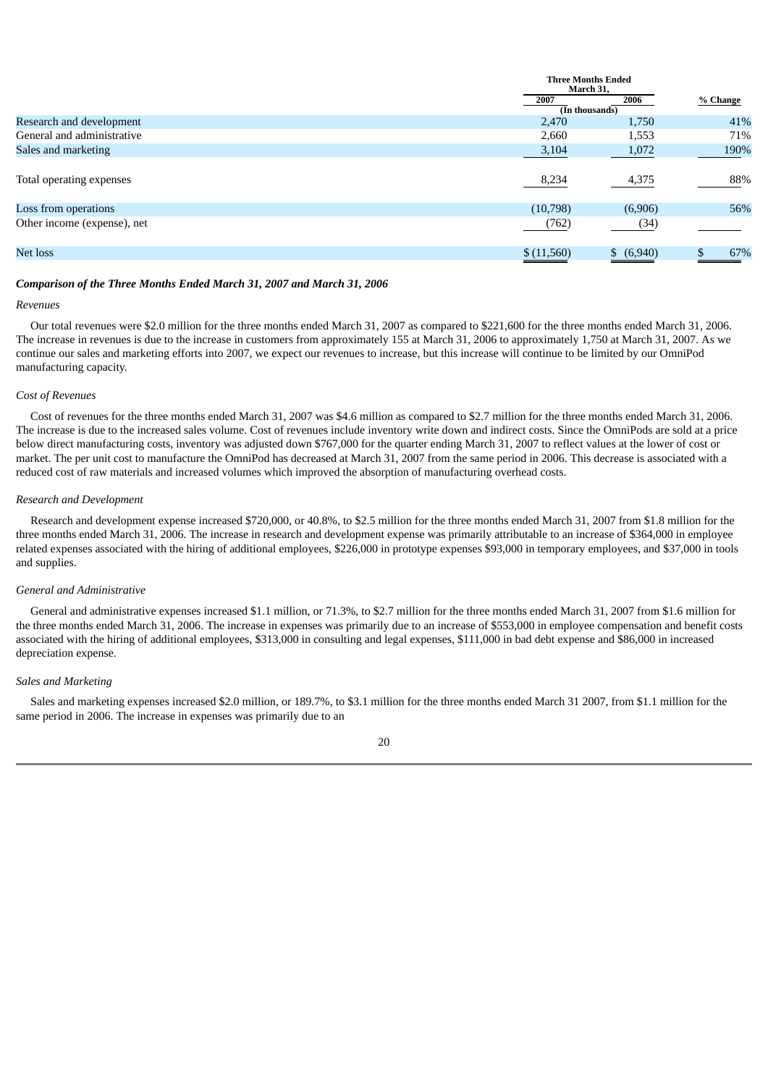|                             | <b>Three Months Ended</b><br>March 31, |            |          |
|-----------------------------|----------------------------------------|------------|----------|
|                             | 2007                                   | 2006       | % Change |
|                             | (In thousands)                         |            |          |
| Research and development    | 2,470                                  | 1,750      | 41%      |
| General and administrative  | 2,660                                  | 1,553      | 71%      |
| Sales and marketing         | 3,104                                  | 1,072      | 190%     |
| Total operating expenses    | 8,234                                  | 4,375      | 88%      |
| Loss from operations        | (10,798)                               | (6,906)    | 56%      |
| Other income (expense), net | (762)                                  | (34)       |          |
| Net loss                    | \$(11,560)                             | \$ (6,940) | 67%      |

#### *Comparison of the Three Months Ended March 31, 2007 and March 31, 2006*

# *Revenues*

Our total revenues were \$2.0 million for the three months ended March 31, 2007 as compared to \$221,600 for the three months ended March 31, 2006. The increase in revenues is due to the increase in customers from approximately 155 at March 31, 2006 to approximately 1,750 at March 31, 2007. As we continue our sales and marketing efforts into 2007, we expect our revenues to increase, but this increase will continue to be limited by our OmniPod manufacturing capacity.

# *Cost of Revenues*

Cost of revenues for the three months ended March 31, 2007 was \$4.6 million as compared to \$2.7 million for the three months ended March 31, 2006. The increase is due to the increased sales volume. Cost of revenues include inventory write down and indirect costs. Since the OmniPods are sold at a price below direct manufacturing costs, inventory was adjusted down \$767,000 for the quarter ending March 31, 2007 to reflect values at the lower of cost or market. The per unit cost to manufacture the OmniPod has decreased at March 31, 2007 from the same period in 2006. This decrease is associated with a reduced cost of raw materials and increased volumes which improved the absorption of manufacturing overhead costs.

# *Research and Development*

Research and development expense increased \$720,000, or 40.8%, to \$2.5 million for the three months ended March 31, 2007 from \$1.8 million for the three months ended March 31, 2006. The increase in research and development expense was primarily attributable to an increase of \$364,000 in employee related expenses associated with the hiring of additional employees, \$226,000 in prototype expenses \$93,000 in temporary employees, and \$37,000 in tools and supplies.

# *General and Administrative*

General and administrative expenses increased \$1.1 million, or 71.3%, to \$2.7 million for the three months ended March 31, 2007 from \$1.6 million for the three months ended March 31, 2006. The increase in expenses was primarily due to an increase of \$553,000 in employee compensation and benefit costs associated with the hiring of additional employees, \$313,000 in consulting and legal expenses, \$111,000 in bad debt expense and \$86,000 in increased depreciation expense.

#### *Sales and Marketing*

Sales and marketing expenses increased \$2.0 million, or 189.7%, to \$3.1 million for the three months ended March 31 2007, from \$1.1 million for the same period in 2006. The increase in expenses was primarily due to an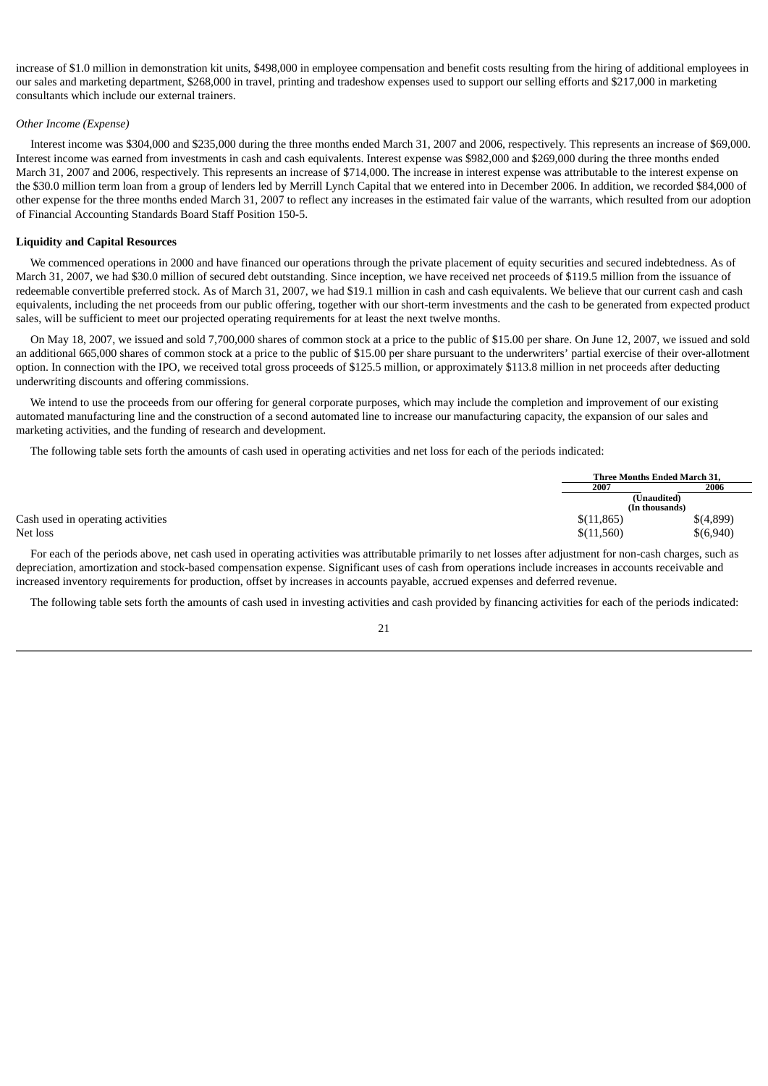increase of \$1.0 million in demonstration kit units, \$498,000 in employee compensation and benefit costs resulting from the hiring of additional employees in our sales and marketing department, \$268,000 in travel, printing and tradeshow expenses used to support our selling efforts and \$217,000 in marketing consultants which include our external trainers.

#### *Other Income (Expense)*

Interest income was \$304,000 and \$235,000 during the three months ended March 31, 2007 and 2006, respectively. This represents an increase of \$69,000. Interest income was earned from investments in cash and cash equivalents. Interest expense was \$982,000 and \$269,000 during the three months ended March 31, 2007 and 2006, respectively. This represents an increase of \$714,000. The increase in interest expense was attributable to the interest expense on the \$30.0 million term loan from a group of lenders led by Merrill Lynch Capital that we entered into in December 2006. In addition, we recorded \$84,000 of other expense for the three months ended March 31, 2007 to reflect any increases in the estimated fair value of the warrants, which resulted from our adoption of Financial Accounting Standards Board Staff Position 150-5.

### **Liquidity and Capital Resources**

We commenced operations in 2000 and have financed our operations through the private placement of equity securities and secured indebtedness. As of March 31, 2007, we had \$30.0 million of secured debt outstanding. Since inception, we have received net proceeds of \$119.5 million from the issuance of redeemable convertible preferred stock. As of March 31, 2007, we had \$19.1 million in cash and cash equivalents. We believe that our current cash and cash equivalents, including the net proceeds from our public offering, together with our short-term investments and the cash to be generated from expected product sales, will be sufficient to meet our projected operating requirements for at least the next twelve months.

On May 18, 2007, we issued and sold 7,700,000 shares of common stock at a price to the public of \$15.00 per share. On June 12, 2007, we issued and sold an additional 665,000 shares of common stock at a price to the public of \$15.00 per share pursuant to the underwriters' partial exercise of their over-allotment option. In connection with the IPO, we received total gross proceeds of \$125.5 million, or approximately \$113.8 million in net proceeds after deducting underwriting discounts and offering commissions.

We intend to use the proceeds from our offering for general corporate purposes, which may include the completion and improvement of our existing automated manufacturing line and the construction of a second automated line to increase our manufacturing capacity, the expansion of our sales and marketing activities, and the funding of research and development.

The following table sets forth the amounts of cash used in operating activities and net loss for each of the periods indicated:

|                                   |             | Three Months Ended March 31. |  |
|-----------------------------------|-------------|------------------------------|--|
|                                   | 2007        | 2006                         |  |
|                                   | (Unaudited) |                              |  |
|                                   |             | (In thousands)               |  |
| Cash used in operating activities | \$(11,865)  | \$(4,899)                    |  |
| Net loss                          | \$(11,560)  | \$(6,940)                    |  |

For each of the periods above, net cash used in operating activities was attributable primarily to net losses after adjustment for non-cash charges, such as depreciation, amortization and stock-based compensation expense. Significant uses of cash from operations include increases in accounts receivable and increased inventory requirements for production, offset by increases in accounts payable, accrued expenses and deferred revenue.

The following table sets forth the amounts of cash used in investing activities and cash provided by financing activities for each of the periods indicated: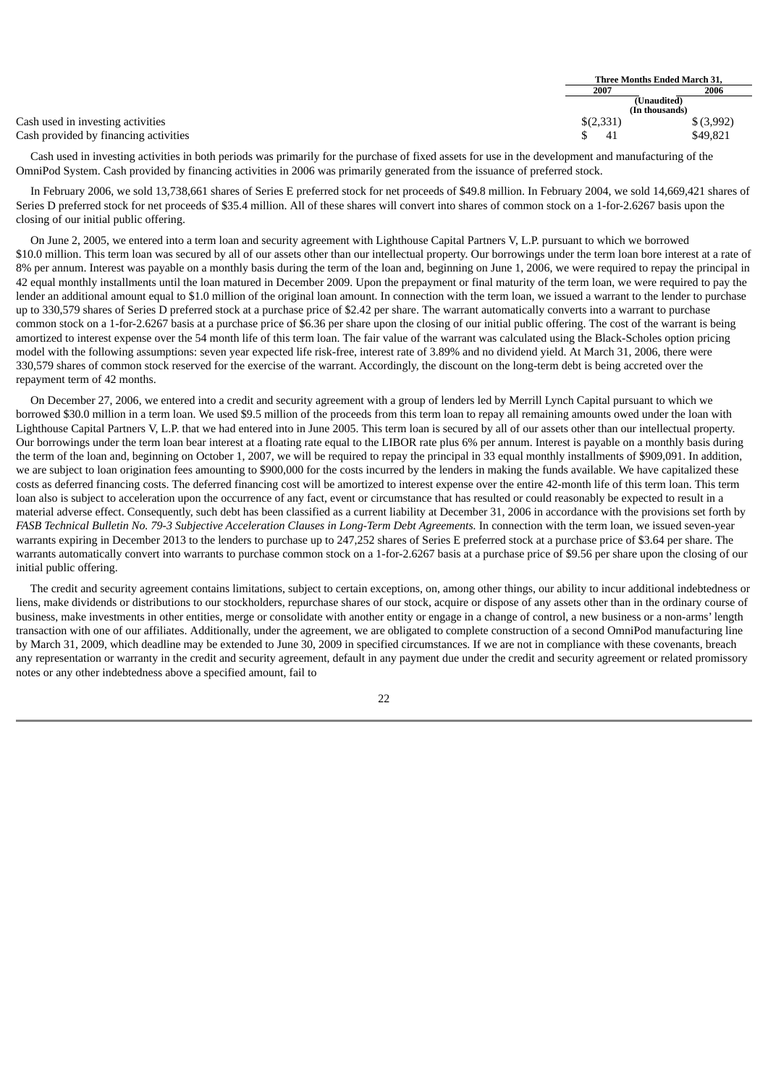|                                       | Three Months Ended March 31, |                |               |
|---------------------------------------|------------------------------|----------------|---------------|
|                                       | 2007                         |                | 2006          |
|                                       | (Unaudited)                  |                |               |
|                                       |                              | (In thousands) |               |
| Cash used in investing activities     | \$(2,331)                    |                | $$$ $(3,992)$ |
| Cash provided by financing activities |                              | -41            | \$49,821      |

Cash used in investing activities in both periods was primarily for the purchase of fixed assets for use in the development and manufacturing of the OmniPod System. Cash provided by financing activities in 2006 was primarily generated from the issuance of preferred stock.

In February 2006, we sold 13,738,661 shares of Series E preferred stock for net proceeds of \$49.8 million. In February 2004, we sold 14,669,421 shares of Series D preferred stock for net proceeds of \$35.4 million. All of these shares will convert into shares of common stock on a 1-for-2.6267 basis upon the closing of our initial public offering.

On June 2, 2005, we entered into a term loan and security agreement with Lighthouse Capital Partners V, L.P. pursuant to which we borrowed \$10.0 million. This term loan was secured by all of our assets other than our intellectual property. Our borrowings under the term loan bore interest at a rate of 8% per annum. Interest was payable on a monthly basis during the term of the loan and, beginning on June 1, 2006, we were required to repay the principal in 42 equal monthly installments until the loan matured in December 2009. Upon the prepayment or final maturity of the term loan, we were required to pay the lender an additional amount equal to \$1.0 million of the original loan amount. In connection with the term loan, we issued a warrant to the lender to purchase up to 330,579 shares of Series D preferred stock at a purchase price of \$2.42 per share. The warrant automatically converts into a warrant to purchase common stock on a 1-for-2.6267 basis at a purchase price of \$6.36 per share upon the closing of our initial public offering. The cost of the warrant is being amortized to interest expense over the 54 month life of this term loan. The fair value of the warrant was calculated using the Black-Scholes option pricing model with the following assumptions: seven year expected life risk-free, interest rate of 3.89% and no dividend yield. At March 31, 2006, there were 330,579 shares of common stock reserved for the exercise of the warrant. Accordingly, the discount on the long-term debt is being accreted over the repayment term of 42 months.

On December 27, 2006, we entered into a credit and security agreement with a group of lenders led by Merrill Lynch Capital pursuant to which we borrowed \$30.0 million in a term loan. We used \$9.5 million of the proceeds from this term loan to repay all remaining amounts owed under the loan with Lighthouse Capital Partners V, L.P. that we had entered into in June 2005. This term loan is secured by all of our assets other than our intellectual property. Our borrowings under the term loan bear interest at a floating rate equal to the LIBOR rate plus 6% per annum. Interest is payable on a monthly basis during the term of the loan and, beginning on October 1, 2007, we will be required to repay the principal in 33 equal monthly installments of \$909,091. In addition, we are subject to loan origination fees amounting to \$900,000 for the costs incurred by the lenders in making the funds available. We have capitalized these costs as deferred financing costs. The deferred financing cost will be amortized to interest expense over the entire 42-month life of this term loan. This term loan also is subject to acceleration upon the occurrence of any fact, event or circumstance that has resulted or could reasonably be expected to result in a material adverse effect. Consequently, such debt has been classified as a current liability at December 31, 2006 in accordance with the provisions set forth by FASB Technical Bulletin No. 79-3 Subjective Acceleration Clauses in Long-Term Debt Agreements. In connection with the term loan, we issued seven-year warrants expiring in December 2013 to the lenders to purchase up to 247,252 shares of Series E preferred stock at a purchase price of \$3.64 per share. The warrants automatically convert into warrants to purchase common stock on a 1-for-2.6267 basis at a purchase price of \$9.56 per share upon the closing of our initial public offering.

The credit and security agreement contains limitations, subject to certain exceptions, on, among other things, our ability to incur additional indebtedness or liens, make dividends or distributions to our stockholders, repurchase shares of our stock, acquire or dispose of any assets other than in the ordinary course of business, make investments in other entities, merge or consolidate with another entity or engage in a change of control, a new business or a non-arms' length transaction with one of our affiliates. Additionally, under the agreement, we are obligated to complete construction of a second OmniPod manufacturing line by March 31, 2009, which deadline may be extended to June 30, 2009 in specified circumstances. If we are not in compliance with these covenants, breach any representation or warranty in the credit and security agreement, default in any payment due under the credit and security agreement or related promissory notes or any other indebtedness above a specified amount, fail to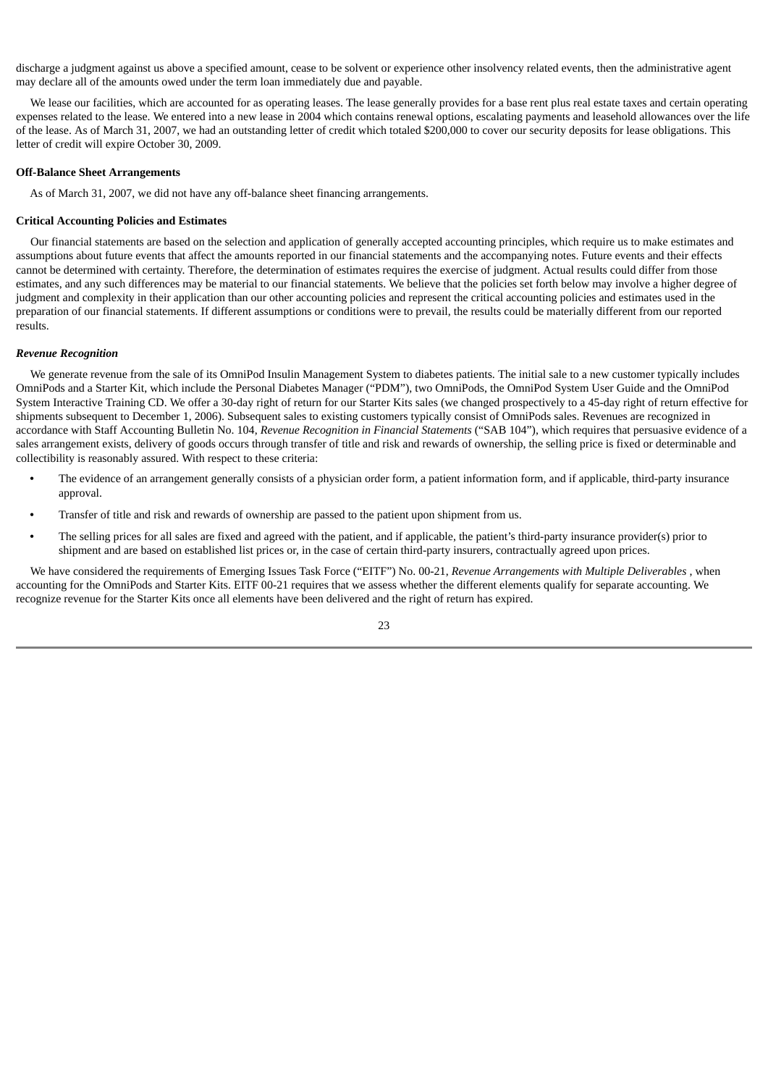discharge a judgment against us above a specified amount, cease to be solvent or experience other insolvency related events, then the administrative agent may declare all of the amounts owed under the term loan immediately due and payable.

We lease our facilities, which are accounted for as operating leases. The lease generally provides for a base rent plus real estate taxes and certain operating expenses related to the lease. We entered into a new lease in 2004 which contains renewal options, escalating payments and leasehold allowances over the life of the lease. As of March 31, 2007, we had an outstanding letter of credit which totaled \$200,000 to cover our security deposits for lease obligations. This letter of credit will expire October 30, 2009.

# **Off-Balance Sheet Arrangements**

As of March 31, 2007, we did not have any off-balance sheet financing arrangements.

# **Critical Accounting Policies and Estimates**

Our financial statements are based on the selection and application of generally accepted accounting principles, which require us to make estimates and assumptions about future events that affect the amounts reported in our financial statements and the accompanying notes. Future events and their effects cannot be determined with certainty. Therefore, the determination of estimates requires the exercise of judgment. Actual results could differ from those estimates, and any such differences may be material to our financial statements. We believe that the policies set forth below may involve a higher degree of judgment and complexity in their application than our other accounting policies and represent the critical accounting policies and estimates used in the preparation of our financial statements. If different assumptions or conditions were to prevail, the results could be materially different from our reported results.

#### *Revenue Recognition*

We generate revenue from the sale of its OmniPod Insulin Management System to diabetes patients. The initial sale to a new customer typically includes OmniPods and a Starter Kit, which include the Personal Diabetes Manager ("PDM"), two OmniPods, the OmniPod System User Guide and the OmniPod System Interactive Training CD. We offer a 30-day right of return for our Starter Kits sales (we changed prospectively to a 45-day right of return effective for shipments subsequent to December 1, 2006). Subsequent sales to existing customers typically consist of OmniPods sales. Revenues are recognized in accordance with Staff Accounting Bulletin No. 104, *Revenue Recognition in Financial Statements* ("SAB 104"), which requires that persuasive evidence of a sales arrangement exists, delivery of goods occurs through transfer of title and risk and rewards of ownership, the selling price is fixed or determinable and collectibility is reasonably assured. With respect to these criteria:

- **•** The evidence of an arrangement generally consists of a physician order form, a patient information form, and if applicable, third-party insurance approval.
- **•** Transfer of title and risk and rewards of ownership are passed to the patient upon shipment from us.
- **•** The selling prices for all sales are fixed and agreed with the patient, and if applicable, the patient's third-party insurance provider(s) prior to shipment and are based on established list prices or, in the case of certain third-party insurers, contractually agreed upon prices.

We have considered the requirements of Emerging Issues Task Force ("EITF") No. 00-21, *Revenue Arrangements with Multiple Deliverables* , when accounting for the OmniPods and Starter Kits. EITF 00-21 requires that we assess whether the different elements qualify for separate accounting. We recognize revenue for the Starter Kits once all elements have been delivered and the right of return has expired.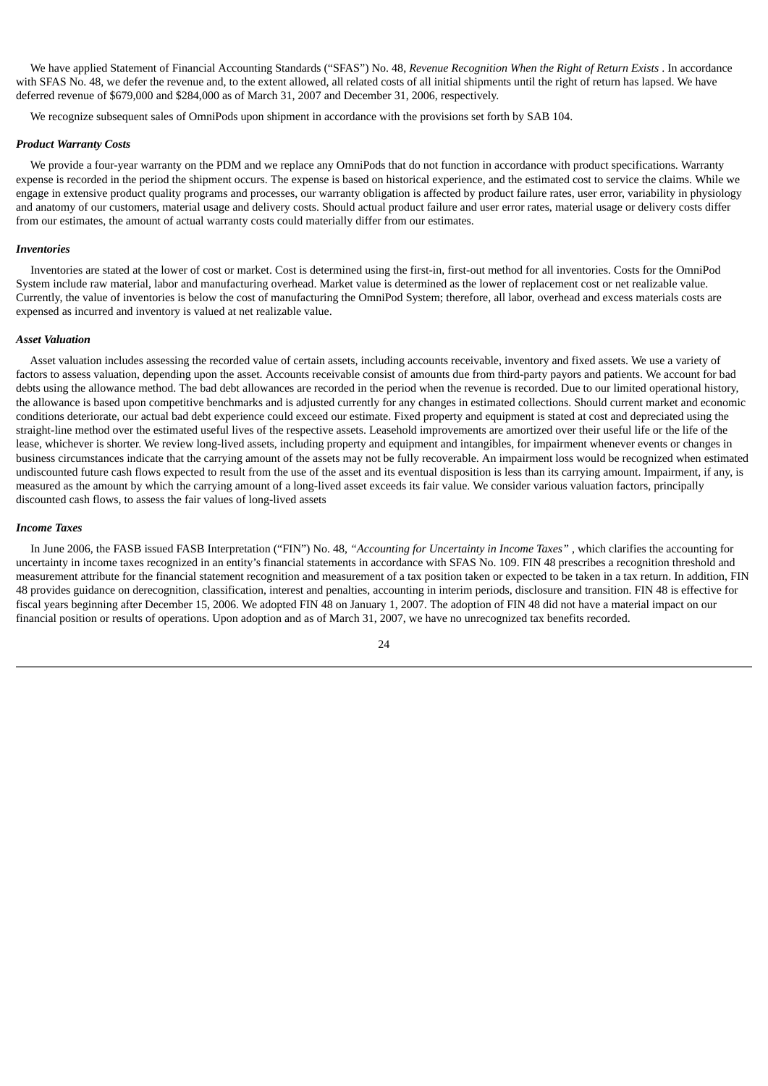We have applied Statement of Financial Accounting Standards ("SFAS") No. 48, *Revenue Recognition When the Right of Return Exists* . In accordance with SFAS No. 48, we defer the revenue and, to the extent allowed, all related costs of all initial shipments until the right of return has lapsed. We have deferred revenue of \$679,000 and \$284,000 as of March 31, 2007 and December 31, 2006, respectively.

We recognize subsequent sales of OmniPods upon shipment in accordance with the provisions set forth by SAB 104.

#### *Product Warranty Costs*

We provide a four-year warranty on the PDM and we replace any OmniPods that do not function in accordance with product specifications. Warranty expense is recorded in the period the shipment occurs. The expense is based on historical experience, and the estimated cost to service the claims. While we engage in extensive product quality programs and processes, our warranty obligation is affected by product failure rates, user error, variability in physiology and anatomy of our customers, material usage and delivery costs. Should actual product failure and user error rates, material usage or delivery costs differ from our estimates, the amount of actual warranty costs could materially differ from our estimates.

#### *Inventories*

Inventories are stated at the lower of cost or market. Cost is determined using the first-in, first-out method for all inventories. Costs for the OmniPod System include raw material, labor and manufacturing overhead. Market value is determined as the lower of replacement cost or net realizable value. Currently, the value of inventories is below the cost of manufacturing the OmniPod System; therefore, all labor, overhead and excess materials costs are expensed as incurred and inventory is valued at net realizable value.

#### *Asset Valuation*

Asset valuation includes assessing the recorded value of certain assets, including accounts receivable, inventory and fixed assets. We use a variety of factors to assess valuation, depending upon the asset. Accounts receivable consist of amounts due from third-party payors and patients. We account for bad debts using the allowance method. The bad debt allowances are recorded in the period when the revenue is recorded. Due to our limited operational history, the allowance is based upon competitive benchmarks and is adjusted currently for any changes in estimated collections. Should current market and economic conditions deteriorate, our actual bad debt experience could exceed our estimate. Fixed property and equipment is stated at cost and depreciated using the straight-line method over the estimated useful lives of the respective assets. Leasehold improvements are amortized over their useful life or the life of the lease, whichever is shorter. We review long-lived assets, including property and equipment and intangibles, for impairment whenever events or changes in business circumstances indicate that the carrying amount of the assets may not be fully recoverable. An impairment loss would be recognized when estimated undiscounted future cash flows expected to result from the use of the asset and its eventual disposition is less than its carrying amount. Impairment, if any, is measured as the amount by which the carrying amount of a long-lived asset exceeds its fair value. We consider various valuation factors, principally discounted cash flows, to assess the fair values of long-lived assets

#### *Income Taxes*

In June 2006, the FASB issued FASB Interpretation ("FIN") No. 48, *"Accounting for Uncertainty in Income Taxes"* , which clarifies the accounting for uncertainty in income taxes recognized in an entity's financial statements in accordance with SFAS No. 109. FIN 48 prescribes a recognition threshold and measurement attribute for the financial statement recognition and measurement of a tax position taken or expected to be taken in a tax return. In addition, FIN 48 provides guidance on derecognition, classification, interest and penalties, accounting in interim periods, disclosure and transition. FIN 48 is effective for fiscal years beginning after December 15, 2006. We adopted FIN 48 on January 1, 2007. The adoption of FIN 48 did not have a material impact on our financial position or results of operations. Upon adoption and as of March 31, 2007, we have no unrecognized tax benefits recorded.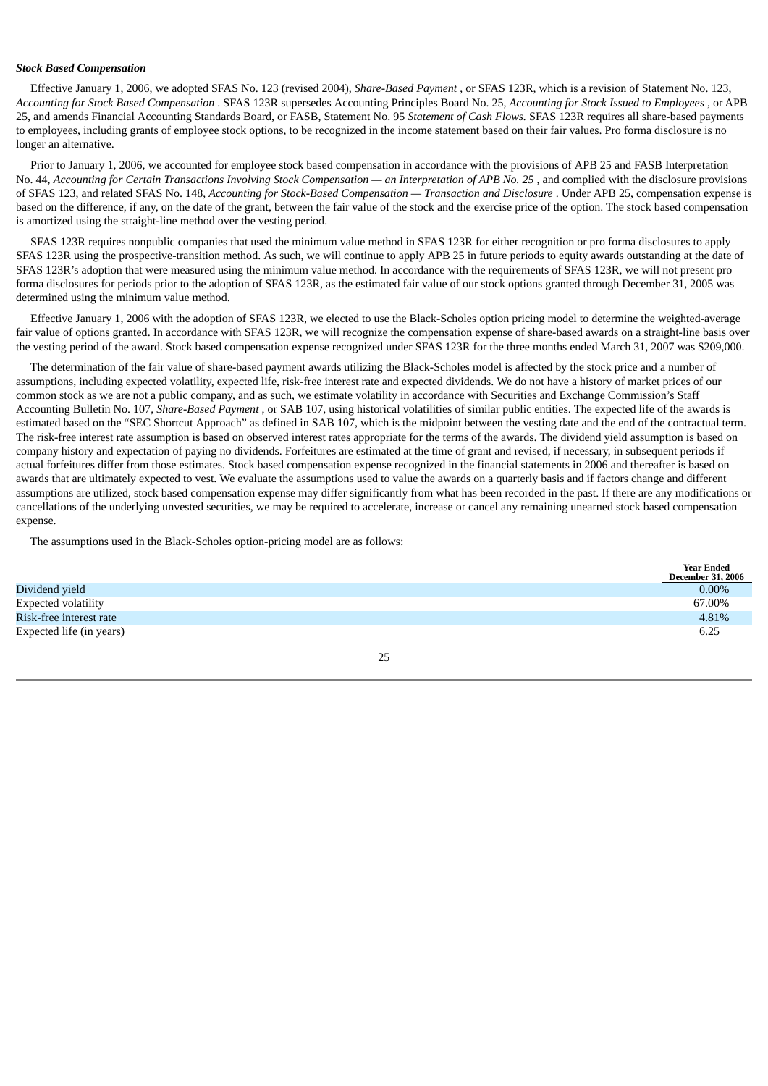#### *Stock Based Compensation*

Effective January 1, 2006, we adopted SFAS No. 123 (revised 2004), *Share-Based Payment* , or SFAS 123R, which is a revision of Statement No. 123, Accounting for Stock Based Compensation . SFAS 123R supersedes Accounting Principles Board No. 25, Accounting for Stock Issued to Employees, or APB 25, and amends Financial Accounting Standards Board, or FASB, Statement No. 95 *Statement of Cash Flows.* SFAS 123R requires all share-based payments to employees, including grants of employee stock options, to be recognized in the income statement based on their fair values. Pro forma disclosure is no longer an alternative.

Prior to January 1, 2006, we accounted for employee stock based compensation in accordance with the provisions of APB 25 and FASB Interpretation No. 44, Accounting for Certain Transactions Involving Stock Compensation — an Interpretation of APB No. 25, and complied with the disclosure provisions of SFAS 123, and related SFAS No. 148, *Accounting for Stock-Based Compensation — Transaction and Disclosure* . Under APB 25, compensation expense is based on the difference, if any, on the date of the grant, between the fair value of the stock and the exercise price of the option. The stock based compensation is amortized using the straight-line method over the vesting period.

SFAS 123R requires nonpublic companies that used the minimum value method in SFAS 123R for either recognition or pro forma disclosures to apply SFAS 123R using the prospective-transition method. As such, we will continue to apply APB 25 in future periods to equity awards outstanding at the date of SFAS 123R's adoption that were measured using the minimum value method. In accordance with the requirements of SFAS 123R, we will not present pro forma disclosures for periods prior to the adoption of SFAS 123R, as the estimated fair value of our stock options granted through December 31, 2005 was determined using the minimum value method.

Effective January 1, 2006 with the adoption of SFAS 123R, we elected to use the Black-Scholes option pricing model to determine the weighted-average fair value of options granted. In accordance with SFAS 123R, we will recognize the compensation expense of share-based awards on a straight-line basis over the vesting period of the award. Stock based compensation expense recognized under SFAS 123R for the three months ended March 31, 2007 was \$209,000.

The determination of the fair value of share-based payment awards utilizing the Black-Scholes model is affected by the stock price and a number of assumptions, including expected volatility, expected life, risk-free interest rate and expected dividends. We do not have a history of market prices of our common stock as we are not a public company, and as such, we estimate volatility in accordance with Securities and Exchange Commission's Staff Accounting Bulletin No. 107, *Share-Based Payment* , or SAB 107, using historical volatilities of similar public entities. The expected life of the awards is estimated based on the "SEC Shortcut Approach" as defined in SAB 107, which is the midpoint between the vesting date and the end of the contractual term. The risk-free interest rate assumption is based on observed interest rates appropriate for the terms of the awards. The dividend yield assumption is based on company history and expectation of paying no dividends. Forfeitures are estimated at the time of grant and revised, if necessary, in subsequent periods if actual forfeitures differ from those estimates. Stock based compensation expense recognized in the financial statements in 2006 and thereafter is based on awards that are ultimately expected to vest. We evaluate the assumptions used to value the awards on a quarterly basis and if factors change and different assumptions are utilized, stock based compensation expense may differ significantly from what has been recorded in the past. If there are any modifications or cancellations of the underlying unvested securities, we may be required to accelerate, increase or cancel any remaining unearned stock based compensation expense.

The assumptions used in the Black-Scholes option-pricing model are as follows:

|                          | <b>Year Ended</b><br><b>December 31, 2006</b> |
|--------------------------|-----------------------------------------------|
| Dividend yield           | $0.00\%$                                      |
| Expected volatility      | 67.00%                                        |
| Risk-free interest rate  | 4.81%                                         |
| Expected life (in years) | 6.25                                          |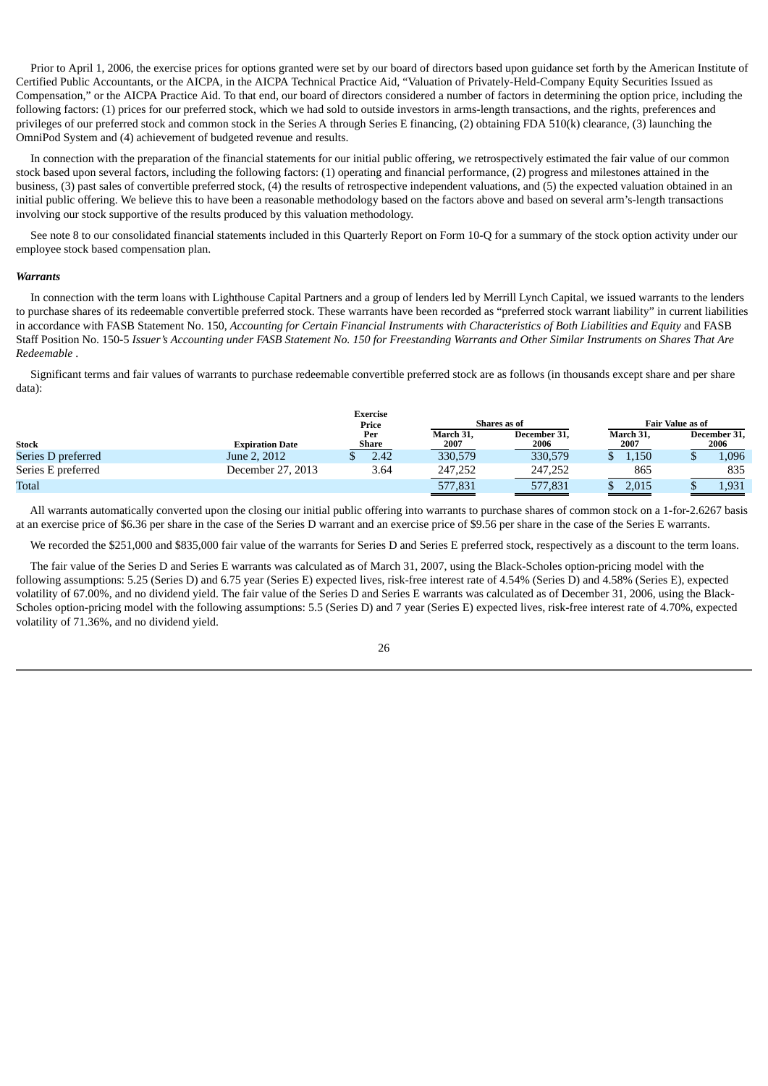Prior to April 1, 2006, the exercise prices for options granted were set by our board of directors based upon guidance set forth by the American Institute of Certified Public Accountants, or the AICPA, in the AICPA Technical Practice Aid, "Valuation of Privately-Held-Company Equity Securities Issued as Compensation," or the AICPA Practice Aid. To that end, our board of directors considered a number of factors in determining the option price, including the following factors: (1) prices for our preferred stock, which we had sold to outside investors in arms-length transactions, and the rights, preferences and privileges of our preferred stock and common stock in the Series A through Series E financing, (2) obtaining FDA 510(k) clearance, (3) launching the OmniPod System and (4) achievement of budgeted revenue and results.

In connection with the preparation of the financial statements for our initial public offering, we retrospectively estimated the fair value of our common stock based upon several factors, including the following factors: (1) operating and financial performance, (2) progress and milestones attained in the business, (3) past sales of convertible preferred stock, (4) the results of retrospective independent valuations, and (5) the expected valuation obtained in an initial public offering. We believe this to have been a reasonable methodology based on the factors above and based on several arm's-length transactions involving our stock supportive of the results produced by this valuation methodology.

See note 8 to our consolidated financial statements included in this Quarterly Report on Form 10-Q for a summary of the stock option activity under our employee stock based compensation plan.

#### *Warrants*

In connection with the term loans with Lighthouse Capital Partners and a group of lenders led by Merrill Lynch Capital, we issued warrants to the lenders to purchase shares of its redeemable convertible preferred stock. These warrants have been recorded as "preferred stock warrant liability" in current liabilities in accordance with FASB Statement No. 150, Accounting for Certain Financial Instruments with Characteristics of Both Liabilities and Equity and FASB Staff Position No. 150-5 Issuer's Accounting under FASB Statement No. 150 for Freestanding Warrants and Other Similar Instruments on Shares That Are *Redeemable* .

Significant terms and fair values of warrants to purchase redeemable convertible preferred stock are as follows (in thousands except share and per share data):

|                    |                        | <b>Exercise</b><br>Price |                   | Shares as of         |                   | <b>Fair Value as of</b> |                      |
|--------------------|------------------------|--------------------------|-------------------|----------------------|-------------------|-------------------------|----------------------|
| <b>Stock</b>       | <b>Expiration Date</b> | Per<br>Share             | March 31,<br>2007 | December 31,<br>2006 | March 31.<br>2007 |                         | December 31,<br>2006 |
| Series D preferred | June 2, 2012           | 2.42                     | 330,579           | 330,579              | 1,150             |                         | .096                 |
| Series E preferred | December 27, 2013      | 3.64                     | 247,252           | 247.252              | 865               |                         | 835                  |
| <b>Total</b>       |                        |                          | 577,831           | 577,831              | 2,015             |                         | 1,931                |

All warrants automatically converted upon the closing our initial public offering into warrants to purchase shares of common stock on a 1-for-2.6267 basis at an exercise price of \$6.36 per share in the case of the Series D warrant and an exercise price of \$9.56 per share in the case of the Series E warrants.

We recorded the \$251,000 and \$835,000 fair value of the warrants for Series D and Series E preferred stock, respectively as a discount to the term loans.

The fair value of the Series D and Series E warrants was calculated as of March 31, 2007, using the Black-Scholes option-pricing model with the following assumptions: 5.25 (Series D) and 6.75 year (Series E) expected lives, risk-free interest rate of 4.54% (Series D) and 4.58% (Series E), expected volatility of 67.00%, and no dividend yield. The fair value of the Series D and Series E warrants was calculated as of December 31, 2006, using the Black-Scholes option-pricing model with the following assumptions: 5.5 (Series D) and 7 year (Series E) expected lives, risk-free interest rate of 4.70%, expected volatility of 71.36%, and no dividend yield.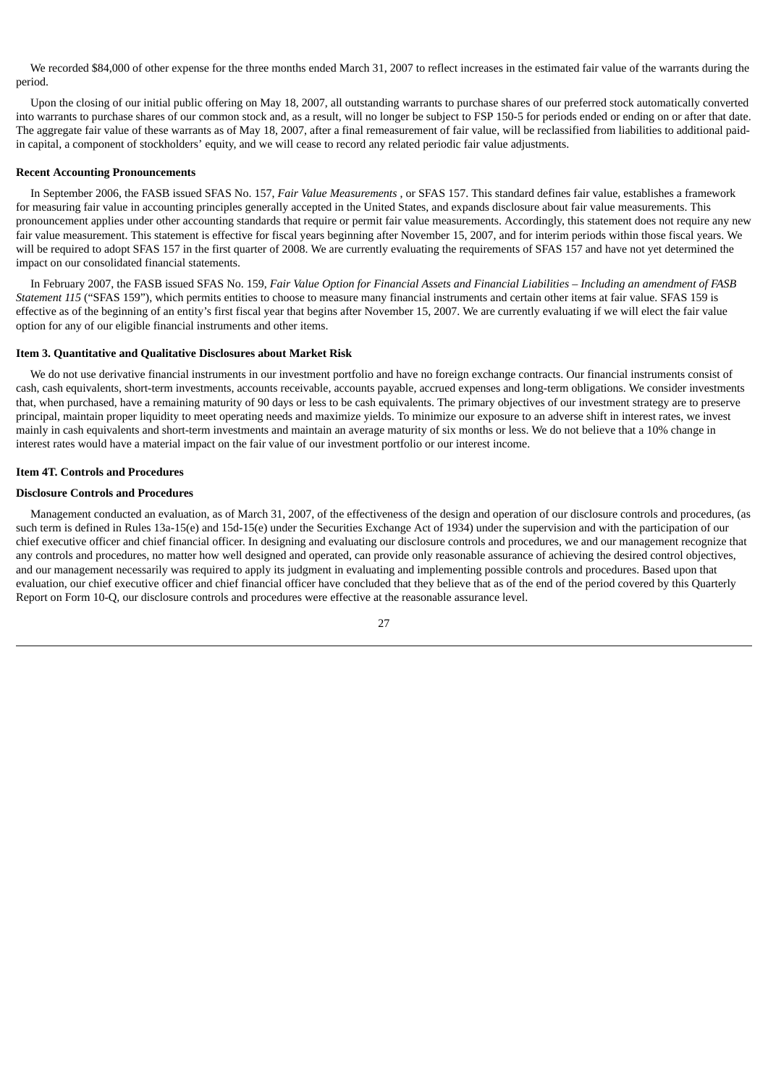We recorded \$84,000 of other expense for the three months ended March 31, 2007 to reflect increases in the estimated fair value of the warrants during the period.

Upon the closing of our initial public offering on May 18, 2007, all outstanding warrants to purchase shares of our preferred stock automatically converted into warrants to purchase shares of our common stock and, as a result, will no longer be subject to FSP 150-5 for periods ended or ending on or after that date. The aggregate fair value of these warrants as of May 18, 2007, after a final remeasurement of fair value, will be reclassified from liabilities to additional paidin capital, a component of stockholders' equity, and we will cease to record any related periodic fair value adjustments.

#### **Recent Accounting Pronouncements**

In September 2006, the FASB issued SFAS No. 157, *Fair Value Measurements* , or SFAS 157. This standard defines fair value, establishes a framework for measuring fair value in accounting principles generally accepted in the United States, and expands disclosure about fair value measurements. This pronouncement applies under other accounting standards that require or permit fair value measurements. Accordingly, this statement does not require any new fair value measurement. This statement is effective for fiscal years beginning after November 15, 2007, and for interim periods within those fiscal years. We will be required to adopt SFAS 157 in the first quarter of 2008. We are currently evaluating the requirements of SFAS 157 and have not yet determined the impact on our consolidated financial statements.

In February 2007, the FASB issued SFAS No. 159, Fair Value Option for Financial Assets and Financial Liabilities - Including an amendment of FASB *Statement 115* ("SFAS 159"), which permits entities to choose to measure many financial instruments and certain other items at fair value. SFAS 159 is effective as of the beginning of an entity's first fiscal year that begins after November 15, 2007. We are currently evaluating if we will elect the fair value option for any of our eligible financial instruments and other items.

#### <span id="page-29-0"></span>**Item 3. Quantitative and Qualitative Disclosures about Market Risk**

We do not use derivative financial instruments in our investment portfolio and have no foreign exchange contracts. Our financial instruments consist of cash, cash equivalents, short-term investments, accounts receivable, accounts payable, accrued expenses and long-term obligations. We consider investments that, when purchased, have a remaining maturity of 90 days or less to be cash equivalents. The primary objectives of our investment strategy are to preserve principal, maintain proper liquidity to meet operating needs and maximize yields. To minimize our exposure to an adverse shift in interest rates, we invest mainly in cash equivalents and short-term investments and maintain an average maturity of six months or less. We do not believe that a 10% change in interest rates would have a material impact on the fair value of our investment portfolio or our interest income.

#### <span id="page-29-1"></span>**Item 4T. Controls and Procedures**

# **Disclosure Controls and Procedures**

Management conducted an evaluation, as of March 31, 2007, of the effectiveness of the design and operation of our disclosure controls and procedures, (as such term is defined in Rules 13a-15(e) and 15d-15(e) under the Securities Exchange Act of 1934) under the supervision and with the participation of our chief executive officer and chief financial officer. In designing and evaluating our disclosure controls and procedures, we and our management recognize that any controls and procedures, no matter how well designed and operated, can provide only reasonable assurance of achieving the desired control objectives, and our management necessarily was required to apply its judgment in evaluating and implementing possible controls and procedures. Based upon that evaluation, our chief executive officer and chief financial officer have concluded that they believe that as of the end of the period covered by this Quarterly Report on Form 10-Q, our disclosure controls and procedures were effective at the reasonable assurance level.

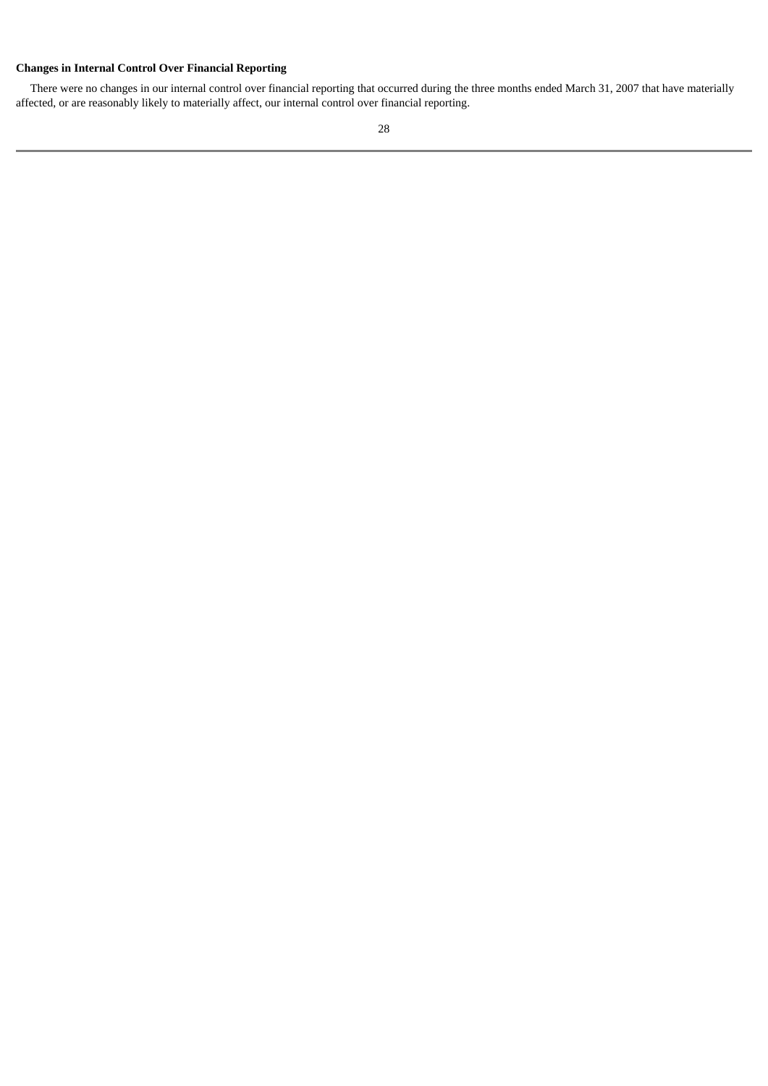# **Changes in Internal Control Over Financial Reporting**

There were no changes in our internal control over financial reporting that occurred during the three months ended March 31, 2007 that have materially affected, or are reasonably likely to materially affect, our internal control over financial reporting.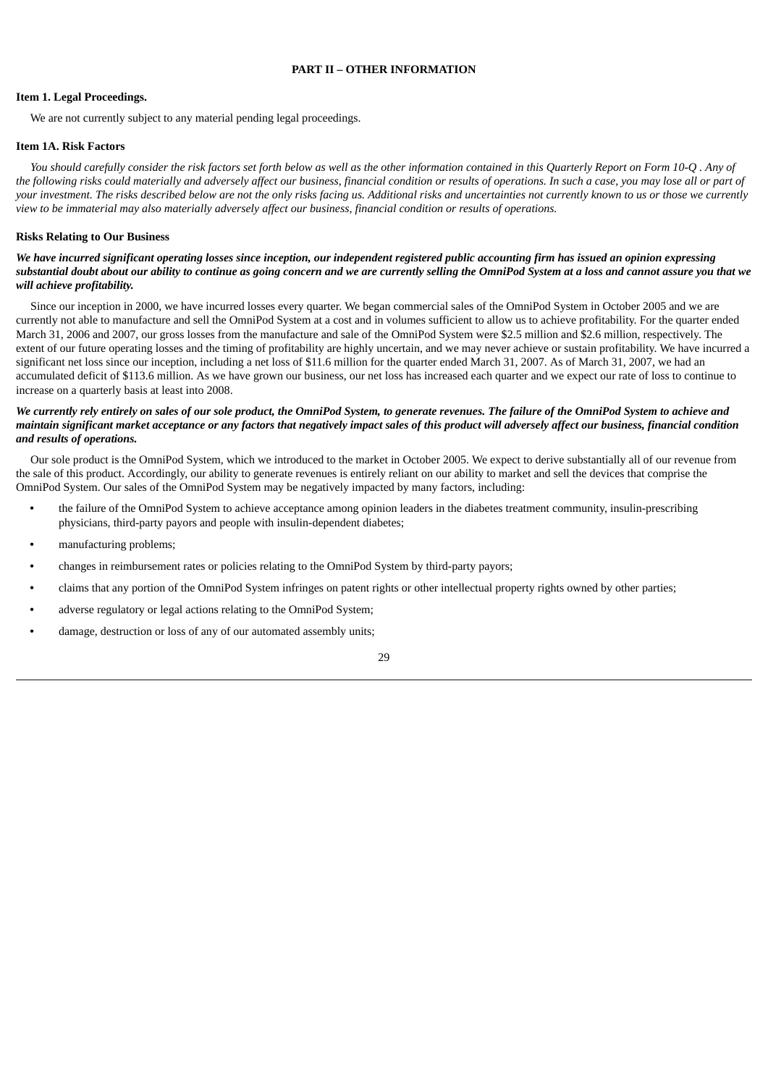### **PART II – OTHER INFORMATION**

# <span id="page-31-1"></span><span id="page-31-0"></span>**Item 1. Legal Proceedings.**

We are not currently subject to any material pending legal proceedings.

# <span id="page-31-2"></span>**Item 1A. Risk Factors**

You should carefully consider the risk factors set forth below as well as the other information contained in this Quarterly Report on Form 10-Q, Any of the following risks could materially and adversely affect our business, financial condition or results of operations. In such a case, you may lose all or part of your investment. The risks described below are not the only risks facing us. Additional risks and uncertainties not currently known to us or those we currently view to be immaterial may also materially adversely affect our business, financial condition or results of operations.

# **Risks Relating to Our Business**

# We have incurred significant operating losses since inception, our independent registered public accounting firm has issued an opinion expressing substantial doubt about our ability to continue as going concern and we are currently selling the OmniPod System at a loss and cannot assure you that we *will achieve profitability.*

Since our inception in 2000, we have incurred losses every quarter. We began commercial sales of the OmniPod System in October 2005 and we are currently not able to manufacture and sell the OmniPod System at a cost and in volumes sufficient to allow us to achieve profitability. For the quarter ended March 31, 2006 and 2007, our gross losses from the manufacture and sale of the OmniPod System were \$2.5 million and \$2.6 million, respectively. The extent of our future operating losses and the timing of profitability are highly uncertain, and we may never achieve or sustain profitability. We have incurred a significant net loss since our inception, including a net loss of \$11.6 million for the quarter ended March 31, 2007. As of March 31, 2007, we had an accumulated deficit of \$113.6 million. As we have grown our business, our net loss has increased each quarter and we expect our rate of loss to continue to increase on a quarterly basis at least into 2008.

# We currently rely entirely on sales of our sole product, the OmniPod System, to generate revenues. The failure of the OmniPod System to achieve and maintain significant market acceptance or any factors that negatively impact sales of this product will adversely affect our business, financial condition *and results of operations.*

Our sole product is the OmniPod System, which we introduced to the market in October 2005. We expect to derive substantially all of our revenue from the sale of this product. Accordingly, our ability to generate revenues is entirely reliant on our ability to market and sell the devices that comprise the OmniPod System. Our sales of the OmniPod System may be negatively impacted by many factors, including:

- **•** the failure of the OmniPod System to achieve acceptance among opinion leaders in the diabetes treatment community, insulin-prescribing physicians, third-party payors and people with insulin-dependent diabetes;
- **•** manufacturing problems;
- **•** changes in reimbursement rates or policies relating to the OmniPod System by third-party payors;
- **•** claims that any portion of the OmniPod System infringes on patent rights or other intellectual property rights owned by other parties;
- **•** adverse regulatory or legal actions relating to the OmniPod System;
- **•** damage, destruction or loss of any of our automated assembly units;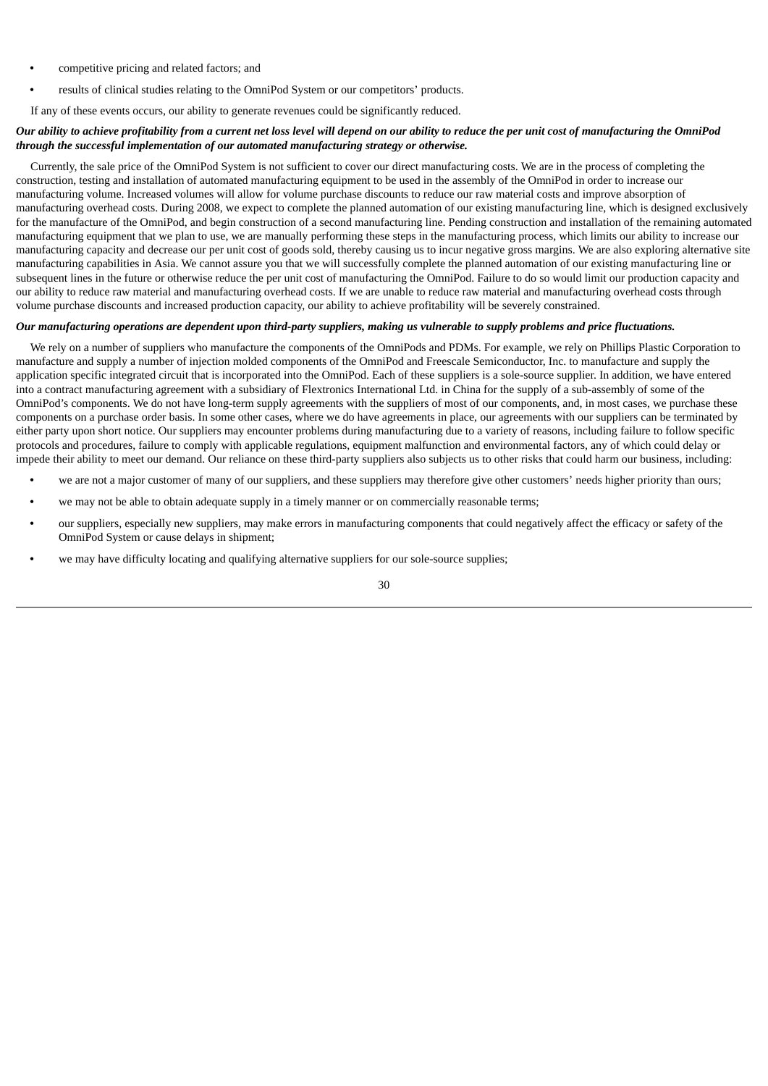- **•** competitive pricing and related factors; and
- **•** results of clinical studies relating to the OmniPod System or our competitors' products.

If any of these events occurs, our ability to generate revenues could be significantly reduced.

# Our ability to achieve profitability from a current net loss level will depend on our ability to reduce the per unit cost of manufacturing the OmniPod *through the successful implementation of our automated manufacturing strategy or otherwise.*

Currently, the sale price of the OmniPod System is not sufficient to cover our direct manufacturing costs. We are in the process of completing the construction, testing and installation of automated manufacturing equipment to be used in the assembly of the OmniPod in order to increase our manufacturing volume. Increased volumes will allow for volume purchase discounts to reduce our raw material costs and improve absorption of manufacturing overhead costs. During 2008, we expect to complete the planned automation of our existing manufacturing line, which is designed exclusively for the manufacture of the OmniPod, and begin construction of a second manufacturing line. Pending construction and installation of the remaining automated manufacturing equipment that we plan to use, we are manually performing these steps in the manufacturing process, which limits our ability to increase our manufacturing capacity and decrease our per unit cost of goods sold, thereby causing us to incur negative gross margins. We are also exploring alternative site manufacturing capabilities in Asia. We cannot assure you that we will successfully complete the planned automation of our existing manufacturing line or subsequent lines in the future or otherwise reduce the per unit cost of manufacturing the OmniPod. Failure to do so would limit our production capacity and our ability to reduce raw material and manufacturing overhead costs. If we are unable to reduce raw material and manufacturing overhead costs through volume purchase discounts and increased production capacity, our ability to achieve profitability will be severely constrained.

# Our manufacturing operations are dependent upon third-party suppliers, making us vulnerable to supply problems and price fluctuations.

We rely on a number of suppliers who manufacture the components of the OmniPods and PDMs. For example, we rely on Phillips Plastic Corporation to manufacture and supply a number of injection molded components of the OmniPod and Freescale Semiconductor, Inc. to manufacture and supply the application specific integrated circuit that is incorporated into the OmniPod. Each of these suppliers is a sole-source supplier. In addition, we have entered into a contract manufacturing agreement with a subsidiary of Flextronics International Ltd. in China for the supply of a sub-assembly of some of the OmniPod's components. We do not have long-term supply agreements with the suppliers of most of our components, and, in most cases, we purchase these components on a purchase order basis. In some other cases, where we do have agreements in place, our agreements with our suppliers can be terminated by either party upon short notice. Our suppliers may encounter problems during manufacturing due to a variety of reasons, including failure to follow specific protocols and procedures, failure to comply with applicable regulations, equipment malfunction and environmental factors, any of which could delay or impede their ability to meet our demand. Our reliance on these third-party suppliers also subjects us to other risks that could harm our business, including:

- **•** we are not a major customer of many of our suppliers, and these suppliers may therefore give other customers' needs higher priority than ours;
- **•** we may not be able to obtain adequate supply in a timely manner or on commercially reasonable terms;
- **•** our suppliers, especially new suppliers, may make errors in manufacturing components that could negatively affect the efficacy or safety of the OmniPod System or cause delays in shipment;
- **•** we may have difficulty locating and qualifying alternative suppliers for our sole-source supplies;

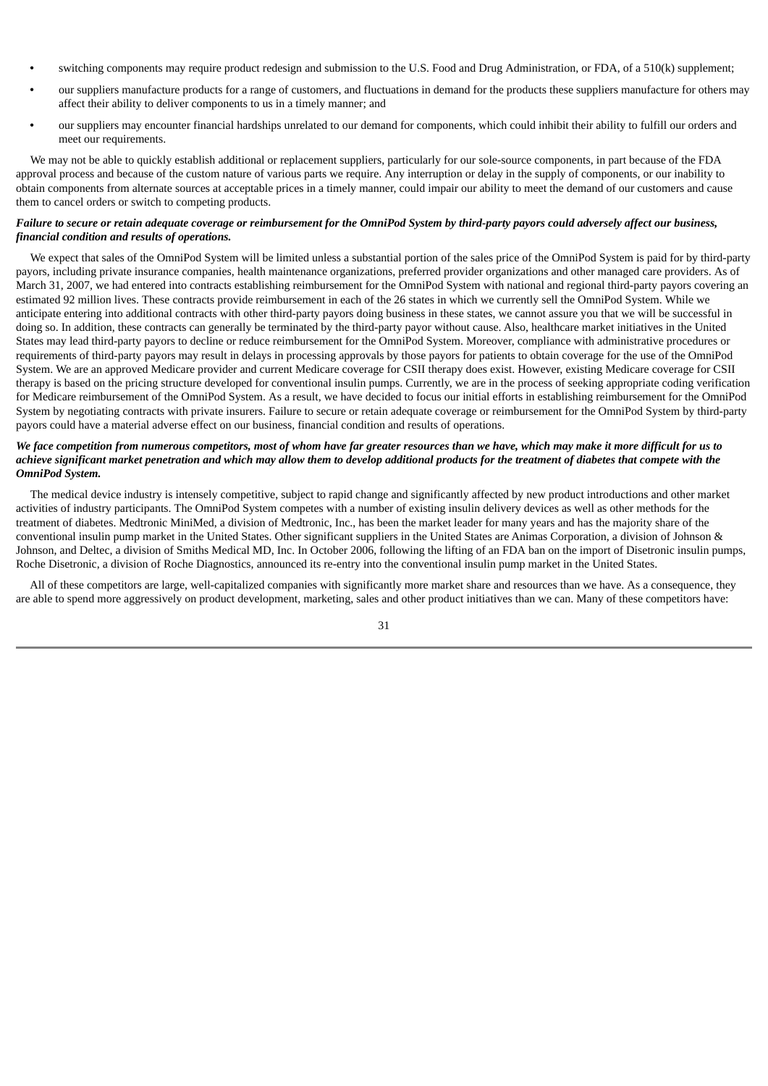- **•** switching components may require product redesign and submission to the U.S. Food and Drug Administration, or FDA, of a 510(k) supplement;
- **•** our suppliers manufacture products for a range of customers, and fluctuations in demand for the products these suppliers manufacture for others may affect their ability to deliver components to us in a timely manner; and
- **•** our suppliers may encounter financial hardships unrelated to our demand for components, which could inhibit their ability to fulfill our orders and meet our requirements.

We may not be able to quickly establish additional or replacement suppliers, particularly for our sole-source components, in part because of the FDA approval process and because of the custom nature of various parts we require. Any interruption or delay in the supply of components, or our inability to obtain components from alternate sources at acceptable prices in a timely manner, could impair our ability to meet the demand of our customers and cause them to cancel orders or switch to competing products.

# Failure to secure or retain adequate coverage or reimbursement for the OmniPod System by third-party payors could adversely affect our business, *financial condition and results of operations.*

We expect that sales of the OmniPod System will be limited unless a substantial portion of the sales price of the OmniPod System is paid for by third-party payors, including private insurance companies, health maintenance organizations, preferred provider organizations and other managed care providers. As of March 31, 2007, we had entered into contracts establishing reimbursement for the OmniPod System with national and regional third-party payors covering an estimated 92 million lives. These contracts provide reimbursement in each of the 26 states in which we currently sell the OmniPod System. While we anticipate entering into additional contracts with other third-party payors doing business in these states, we cannot assure you that we will be successful in doing so. In addition, these contracts can generally be terminated by the third-party payor without cause. Also, healthcare market initiatives in the United States may lead third-party payors to decline or reduce reimbursement for the OmniPod System. Moreover, compliance with administrative procedures or requirements of third-party payors may result in delays in processing approvals by those payors for patients to obtain coverage for the use of the OmniPod System. We are an approved Medicare provider and current Medicare coverage for CSII therapy does exist. However, existing Medicare coverage for CSII therapy is based on the pricing structure developed for conventional insulin pumps. Currently, we are in the process of seeking appropriate coding verification for Medicare reimbursement of the OmniPod System. As a result, we have decided to focus our initial efforts in establishing reimbursement for the OmniPod System by negotiating contracts with private insurers. Failure to secure or retain adequate coverage or reimbursement for the OmniPod System by third-party payors could have a material adverse effect on our business, financial condition and results of operations.

# We face competition from numerous competitors, most of whom have far areater resources than we have, which may make it more difficult for us to achieve significant market penetration and which may allow them to develop additional products for the treatment of diabetes that compete with the *OmniPod System.*

The medical device industry is intensely competitive, subject to rapid change and significantly affected by new product introductions and other market activities of industry participants. The OmniPod System competes with a number of existing insulin delivery devices as well as other methods for the treatment of diabetes. Medtronic MiniMed, a division of Medtronic, Inc., has been the market leader for many years and has the majority share of the conventional insulin pump market in the United States. Other significant suppliers in the United States are Animas Corporation, a division of Johnson & Johnson, and Deltec, a division of Smiths Medical MD, Inc. In October 2006, following the lifting of an FDA ban on the import of Disetronic insulin pumps, Roche Disetronic, a division of Roche Diagnostics, announced its re-entry into the conventional insulin pump market in the United States.

All of these competitors are large, well-capitalized companies with significantly more market share and resources than we have. As a consequence, they are able to spend more aggressively on product development, marketing, sales and other product initiatives than we can. Many of these competitors have: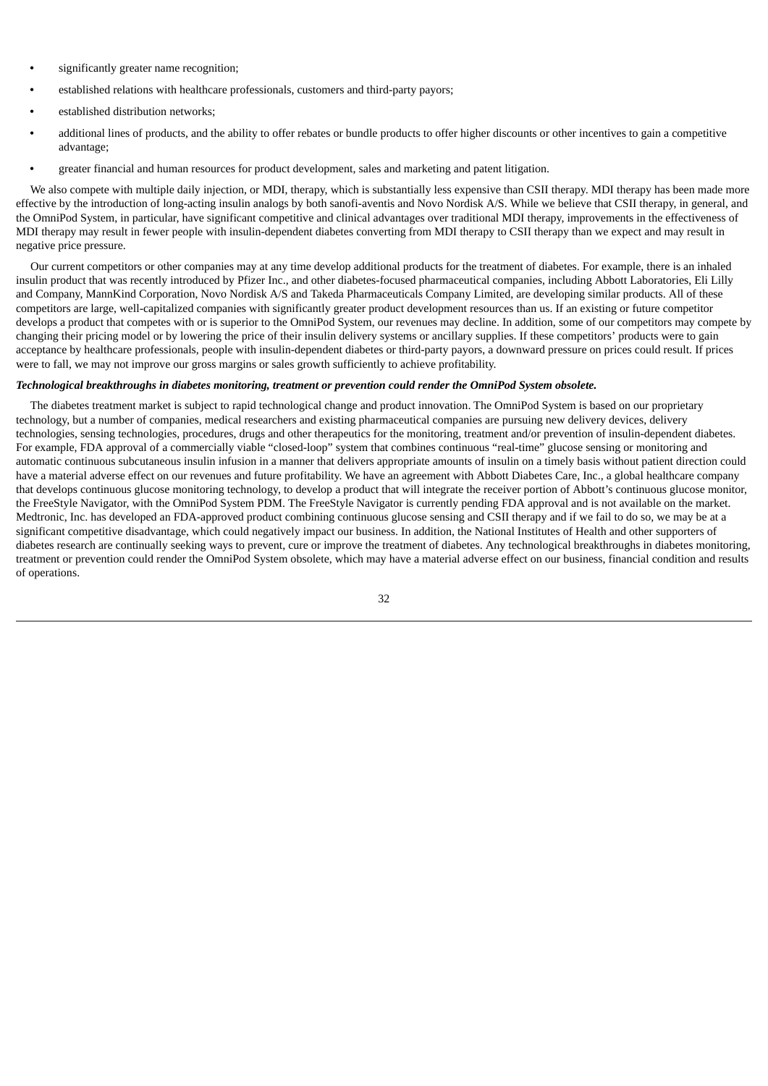- **•** significantly greater name recognition;
- **•** established relations with healthcare professionals, customers and third-party payors;
- **•** established distribution networks;
- **•** additional lines of products, and the ability to offer rebates or bundle products to offer higher discounts or other incentives to gain a competitive advantage;
- **•** greater financial and human resources for product development, sales and marketing and patent litigation.

We also compete with multiple daily injection, or MDI, therapy, which is substantially less expensive than CSII therapy. MDI therapy has been made more effective by the introduction of long-acting insulin analogs by both sanofi-aventis and Novo Nordisk A/S. While we believe that CSII therapy, in general, and the OmniPod System, in particular, have significant competitive and clinical advantages over traditional MDI therapy, improvements in the effectiveness of MDI therapy may result in fewer people with insulin-dependent diabetes converting from MDI therapy to CSII therapy than we expect and may result in negative price pressure.

Our current competitors or other companies may at any time develop additional products for the treatment of diabetes. For example, there is an inhaled insulin product that was recently introduced by Pfizer Inc., and other diabetes-focused pharmaceutical companies, including Abbott Laboratories, Eli Lilly and Company, MannKind Corporation, Novo Nordisk A/S and Takeda Pharmaceuticals Company Limited, are developing similar products. All of these competitors are large, well-capitalized companies with significantly greater product development resources than us. If an existing or future competitor develops a product that competes with or is superior to the OmniPod System, our revenues may decline. In addition, some of our competitors may compete by changing their pricing model or by lowering the price of their insulin delivery systems or ancillary supplies. If these competitors' products were to gain acceptance by healthcare professionals, people with insulin-dependent diabetes or third-party payors, a downward pressure on prices could result. If prices were to fall, we may not improve our gross margins or sales growth sufficiently to achieve profitability.

#### *Technological breakthroughs in diabetes monitoring, treatment or prevention could render the OmniPod System obsolete.*

The diabetes treatment market is subject to rapid technological change and product innovation. The OmniPod System is based on our proprietary technology, but a number of companies, medical researchers and existing pharmaceutical companies are pursuing new delivery devices, delivery technologies, sensing technologies, procedures, drugs and other therapeutics for the monitoring, treatment and/or prevention of insulin-dependent diabetes. For example, FDA approval of a commercially viable "closed-loop" system that combines continuous "real-time" glucose sensing or monitoring and automatic continuous subcutaneous insulin infusion in a manner that delivers appropriate amounts of insulin on a timely basis without patient direction could have a material adverse effect on our revenues and future profitability. We have an agreement with Abbott Diabetes Care, Inc., a global healthcare company that develops continuous glucose monitoring technology, to develop a product that will integrate the receiver portion of Abbott's continuous glucose monitor, the FreeStyle Navigator, with the OmniPod System PDM. The FreeStyle Navigator is currently pending FDA approval and is not available on the market. Medtronic, Inc. has developed an FDA-approved product combining continuous glucose sensing and CSII therapy and if we fail to do so, we may be at a significant competitive disadvantage, which could negatively impact our business. In addition, the National Institutes of Health and other supporters of diabetes research are continually seeking ways to prevent, cure or improve the treatment of diabetes. Any technological breakthroughs in diabetes monitoring, treatment or prevention could render the OmniPod System obsolete, which may have a material adverse effect on our business, financial condition and results of operations.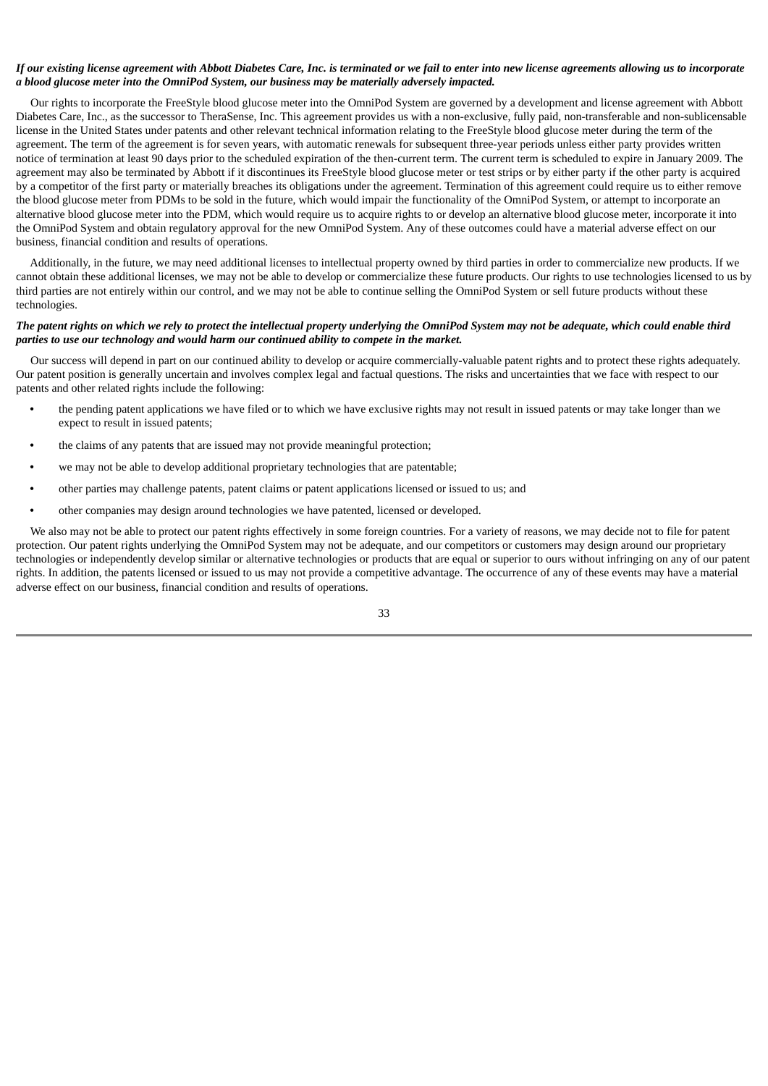# If our existing license agreement with Abbott Diabetes Care, Inc. is terminated or we fail to enter into new license agreements allowing us to incorporate *a blood glucose meter into the OmniPod System, our business may be materially adversely impacted.*

Our rights to incorporate the FreeStyle blood glucose meter into the OmniPod System are governed by a development and license agreement with Abbott Diabetes Care, Inc., as the successor to TheraSense, Inc. This agreement provides us with a non-exclusive, fully paid, non-transferable and non-sublicensable license in the United States under patents and other relevant technical information relating to the FreeStyle blood glucose meter during the term of the agreement. The term of the agreement is for seven years, with automatic renewals for subsequent three-year periods unless either party provides written notice of termination at least 90 days prior to the scheduled expiration of the then-current term. The current term is scheduled to expire in January 2009. The agreement may also be terminated by Abbott if it discontinues its FreeStyle blood glucose meter or test strips or by either party if the other party is acquired by a competitor of the first party or materially breaches its obligations under the agreement. Termination of this agreement could require us to either remove the blood glucose meter from PDMs to be sold in the future, which would impair the functionality of the OmniPod System, or attempt to incorporate an alternative blood glucose meter into the PDM, which would require us to acquire rights to or develop an alternative blood glucose meter, incorporate it into the OmniPod System and obtain regulatory approval for the new OmniPod System. Any of these outcomes could have a material adverse effect on our business, financial condition and results of operations.

Additionally, in the future, we may need additional licenses to intellectual property owned by third parties in order to commercialize new products. If we cannot obtain these additional licenses, we may not be able to develop or commercialize these future products. Our rights to use technologies licensed to us by third parties are not entirely within our control, and we may not be able to continue selling the OmniPod System or sell future products without these technologies.

# The patent rights on which we rely to protect the intellectual property underlying the OmniPod System may not be adequate, which could enable third *parties to use our technology and would harm our continued ability to compete in the market.*

Our success will depend in part on our continued ability to develop or acquire commercially-valuable patent rights and to protect these rights adequately. Our patent position is generally uncertain and involves complex legal and factual questions. The risks and uncertainties that we face with respect to our patents and other related rights include the following:

- **•** the pending patent applications we have filed or to which we have exclusive rights may not result in issued patents or may take longer than we expect to result in issued patents;
- **•** the claims of any patents that are issued may not provide meaningful protection;
- **•** we may not be able to develop additional proprietary technologies that are patentable;
- **•** other parties may challenge patents, patent claims or patent applications licensed or issued to us; and
- **•** other companies may design around technologies we have patented, licensed or developed.

We also may not be able to protect our patent rights effectively in some foreign countries. For a variety of reasons, we may decide not to file for patent protection. Our patent rights underlying the OmniPod System may not be adequate, and our competitors or customers may design around our proprietary technologies or independently develop similar or alternative technologies or products that are equal or superior to ours without infringing on any of our patent rights. In addition, the patents licensed or issued to us may not provide a competitive advantage. The occurrence of any of these events may have a material adverse effect on our business, financial condition and results of operations.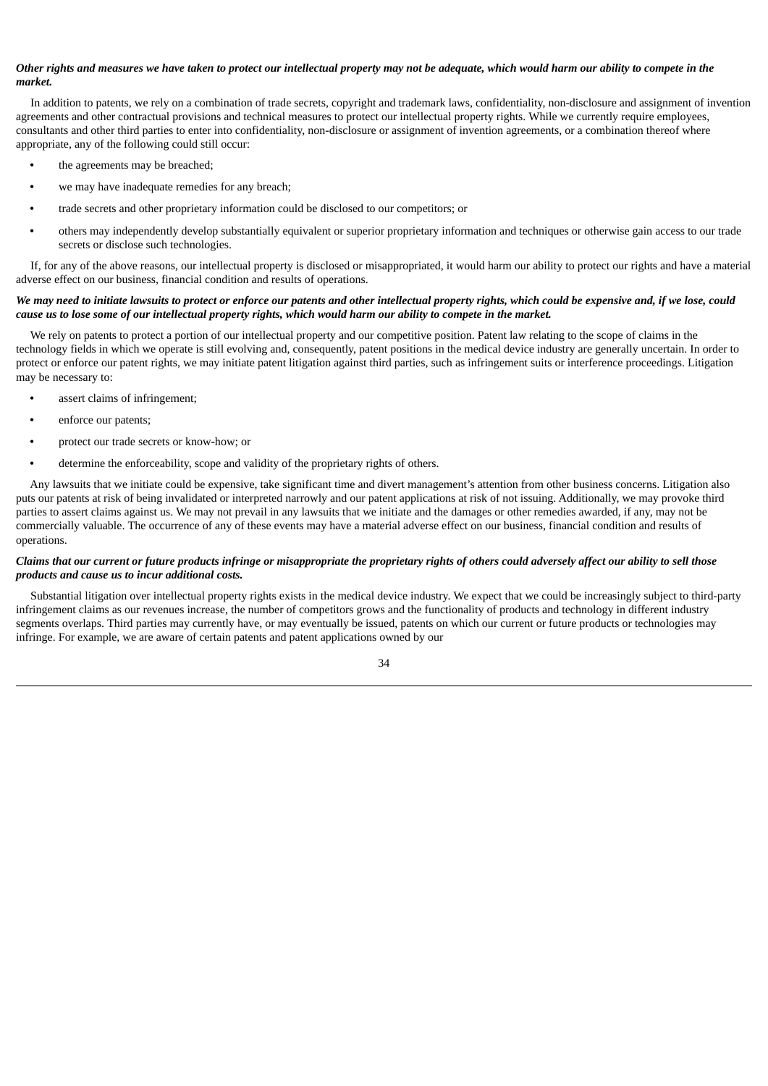# Other rights and measures we have taken to protect our intellectual property may not be adequate, which would harm our ability to compete in the *market.*

In addition to patents, we rely on a combination of trade secrets, copyright and trademark laws, confidentiality, non-disclosure and assignment of invention agreements and other contractual provisions and technical measures to protect our intellectual property rights. While we currently require employees, consultants and other third parties to enter into confidentiality, non-disclosure or assignment of invention agreements, or a combination thereof where appropriate, any of the following could still occur:

- **•** the agreements may be breached;
- **•** we may have inadequate remedies for any breach;
- **•** trade secrets and other proprietary information could be disclosed to our competitors; or
- **•** others may independently develop substantially equivalent or superior proprietary information and techniques or otherwise gain access to our trade secrets or disclose such technologies.

If, for any of the above reasons, our intellectual property is disclosed or misappropriated, it would harm our ability to protect our rights and have a material adverse effect on our business, financial condition and results of operations.

# We may need to initiate lawsuits to protect or enforce our patents and other intellectual property rights, which could be expensive and, if we lose, could cause us to lose some of our intellectual property rights, which would harm our ability to compete in the market.

We rely on patents to protect a portion of our intellectual property and our competitive position. Patent law relating to the scope of claims in the technology fields in which we operate is still evolving and, consequently, patent positions in the medical device industry are generally uncertain. In order to protect or enforce our patent rights, we may initiate patent litigation against third parties, such as infringement suits or interference proceedings. Litigation may be necessary to:

- **•** assert claims of infringement;
- **•** enforce our patents;
- **•** protect our trade secrets or know-how; or
- **•** determine the enforceability, scope and validity of the proprietary rights of others.

Any lawsuits that we initiate could be expensive, take significant time and divert management's attention from other business concerns. Litigation also puts our patents at risk of being invalidated or interpreted narrowly and our patent applications at risk of not issuing. Additionally, we may provoke third parties to assert claims against us. We may not prevail in any lawsuits that we initiate and the damages or other remedies awarded, if any, may not be commercially valuable. The occurrence of any of these events may have a material adverse effect on our business, financial condition and results of operations.

# Claims that our current or future products infringe or misappropriate the proprietary rights of others could adversely affect our ability to sell those *products and cause us to incur additional costs.*

Substantial litigation over intellectual property rights exists in the medical device industry. We expect that we could be increasingly subject to third-party infringement claims as our revenues increase, the number of competitors grows and the functionality of products and technology in different industry segments overlaps. Third parties may currently have, or may eventually be issued, patents on which our current or future products or technologies may infringe. For example, we are aware of certain patents and patent applications owned by our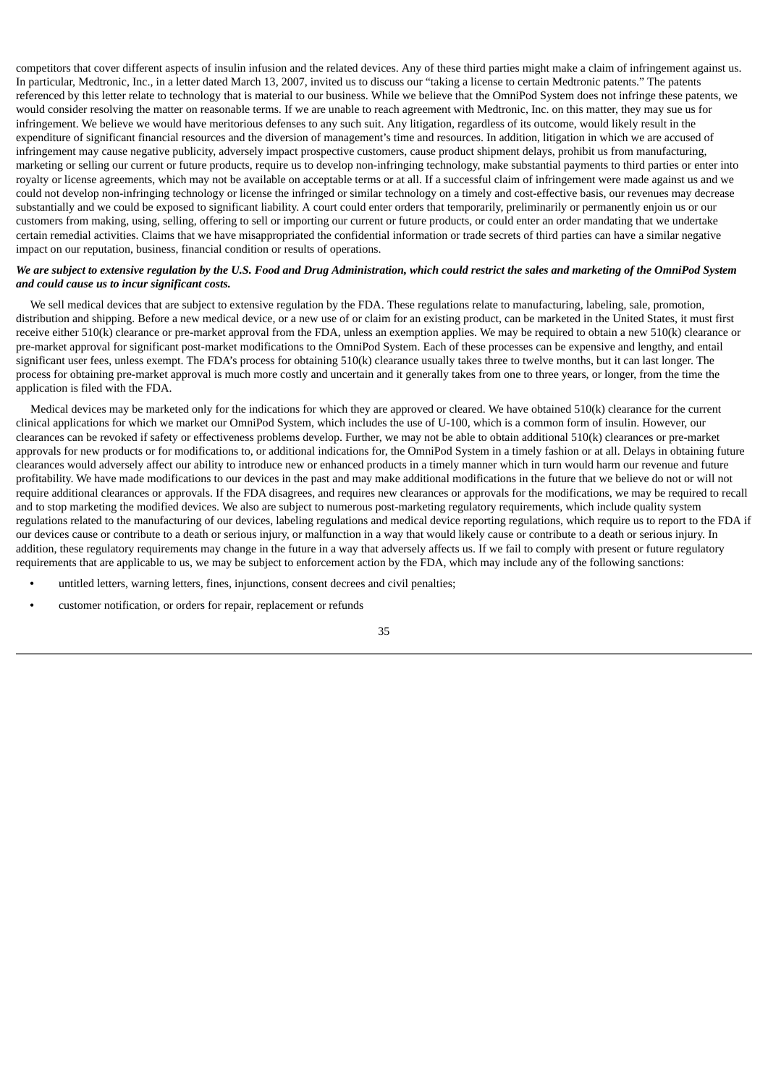competitors that cover different aspects of insulin infusion and the related devices. Any of these third parties might make a claim of infringement against us. In particular, Medtronic, Inc., in a letter dated March 13, 2007, invited us to discuss our "taking a license to certain Medtronic patents." The patents referenced by this letter relate to technology that is material to our business. While we believe that the OmniPod System does not infringe these patents, we would consider resolving the matter on reasonable terms. If we are unable to reach agreement with Medtronic, Inc. on this matter, they may sue us for infringement. We believe we would have meritorious defenses to any such suit. Any litigation, regardless of its outcome, would likely result in the expenditure of significant financial resources and the diversion of management's time and resources. In addition, litigation in which we are accused of infringement may cause negative publicity, adversely impact prospective customers, cause product shipment delays, prohibit us from manufacturing, marketing or selling our current or future products, require us to develop non-infringing technology, make substantial payments to third parties or enter into royalty or license agreements, which may not be available on acceptable terms or at all. If a successful claim of infringement were made against us and we could not develop non-infringing technology or license the infringed or similar technology on a timely and cost-effective basis, our revenues may decrease substantially and we could be exposed to significant liability. A court could enter orders that temporarily, preliminarily or permanently enjoin us or our customers from making, using, selling, offering to sell or importing our current or future products, or could enter an order mandating that we undertake certain remedial activities. Claims that we have misappropriated the confidential information or trade secrets of third parties can have a similar negative impact on our reputation, business, financial condition or results of operations.

# We are subject to extensive regulation by the U.S. Food and Drug Administration, which could restrict the sales and marketing of the OmniPod System *and could cause us to incur significant costs.*

We sell medical devices that are subject to extensive regulation by the FDA. These regulations relate to manufacturing, labeling, sale, promotion, distribution and shipping. Before a new medical device, or a new use of or claim for an existing product, can be marketed in the United States, it must first receive either 510(k) clearance or pre-market approval from the FDA, unless an exemption applies. We may be required to obtain a new 510(k) clearance or pre-market approval for significant post-market modifications to the OmniPod System. Each of these processes can be expensive and lengthy, and entail significant user fees, unless exempt. The FDA's process for obtaining 510(k) clearance usually takes three to twelve months, but it can last longer. The process for obtaining pre-market approval is much more costly and uncertain and it generally takes from one to three years, or longer, from the time the application is filed with the FDA.

Medical devices may be marketed only for the indications for which they are approved or cleared. We have obtained 510(k) clearance for the current clinical applications for which we market our OmniPod System, which includes the use of U-100, which is a common form of insulin. However, our clearances can be revoked if safety or effectiveness problems develop. Further, we may not be able to obtain additional 510(k) clearances or pre-market approvals for new products or for modifications to, or additional indications for, the OmniPod System in a timely fashion or at all. Delays in obtaining future clearances would adversely affect our ability to introduce new or enhanced products in a timely manner which in turn would harm our revenue and future profitability. We have made modifications to our devices in the past and may make additional modifications in the future that we believe do not or will not require additional clearances or approvals. If the FDA disagrees, and requires new clearances or approvals for the modifications, we may be required to recall and to stop marketing the modified devices. We also are subject to numerous post-marketing regulatory requirements, which include quality system regulations related to the manufacturing of our devices, labeling regulations and medical device reporting regulations, which require us to report to the FDA if our devices cause or contribute to a death or serious injury, or malfunction in a way that would likely cause or contribute to a death or serious injury. In addition, these regulatory requirements may change in the future in a way that adversely affects us. If we fail to comply with present or future regulatory requirements that are applicable to us, we may be subject to enforcement action by the FDA, which may include any of the following sanctions:

- **•** untitled letters, warning letters, fines, injunctions, consent decrees and civil penalties;
- **•** customer notification, or orders for repair, replacement or refunds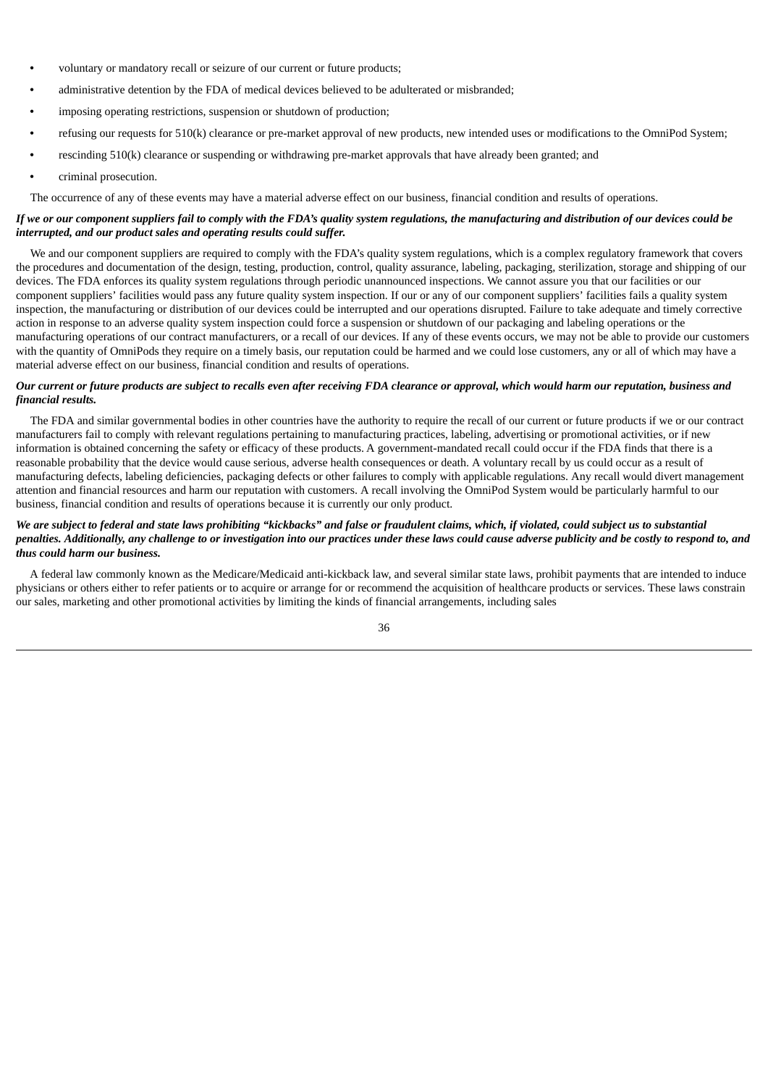- **•** voluntary or mandatory recall or seizure of our current or future products;
- **•** administrative detention by the FDA of medical devices believed to be adulterated or misbranded;
- **•** imposing operating restrictions, suspension or shutdown of production;
- **•** refusing our requests for 510(k) clearance or pre-market approval of new products, new intended uses or modifications to the OmniPod System;
- **•** rescinding 510(k) clearance or suspending or withdrawing pre-market approvals that have already been granted; and
- **•** criminal prosecution.

The occurrence of any of these events may have a material adverse effect on our business, financial condition and results of operations.

# If we or our component suppliers fail to comply with the FDA's quality system regulations, the manufacturing and distribution of our devices could be *interrupted, and our product sales and operating results could suffer.*

We and our component suppliers are required to comply with the FDA's quality system regulations, which is a complex regulatory framework that covers the procedures and documentation of the design, testing, production, control, quality assurance, labeling, packaging, sterilization, storage and shipping of our devices. The FDA enforces its quality system regulations through periodic unannounced inspections. We cannot assure you that our facilities or our component suppliers' facilities would pass any future quality system inspection. If our or any of our component suppliers' facilities fails a quality system inspection, the manufacturing or distribution of our devices could be interrupted and our operations disrupted. Failure to take adequate and timely corrective action in response to an adverse quality system inspection could force a suspension or shutdown of our packaging and labeling operations or the manufacturing operations of our contract manufacturers, or a recall of our devices. If any of these events occurs, we may not be able to provide our customers with the quantity of OmniPods they require on a timely basis, our reputation could be harmed and we could lose customers, any or all of which may have a material adverse effect on our business, financial condition and results of operations.

# Our current or future products are subject to recalls even after receiving FDA clearance or approval, which would harm our reputation, business and *financial results.*

The FDA and similar governmental bodies in other countries have the authority to require the recall of our current or future products if we or our contract manufacturers fail to comply with relevant regulations pertaining to manufacturing practices, labeling, advertising or promotional activities, or if new information is obtained concerning the safety or efficacy of these products. A government-mandated recall could occur if the FDA finds that there is a reasonable probability that the device would cause serious, adverse health consequences or death. A voluntary recall by us could occur as a result of manufacturing defects, labeling deficiencies, packaging defects or other failures to comply with applicable regulations. Any recall would divert management attention and financial resources and harm our reputation with customers. A recall involving the OmniPod System would be particularly harmful to our business, financial condition and results of operations because it is currently our only product.

# We are subject to federal and state laws prohibiting "kickbacks" and false or fraudulent claims, which, if violated, could subject us to substantial penalties. Additionally, any challenge to or investigation into our practices under these laws could cause adverse publicity and be costly to respond to, and *thus could harm our business.*

A federal law commonly known as the Medicare/Medicaid anti-kickback law, and several similar state laws, prohibit payments that are intended to induce physicians or others either to refer patients or to acquire or arrange for or recommend the acquisition of healthcare products or services. These laws constrain our sales, marketing and other promotional activities by limiting the kinds of financial arrangements, including sales

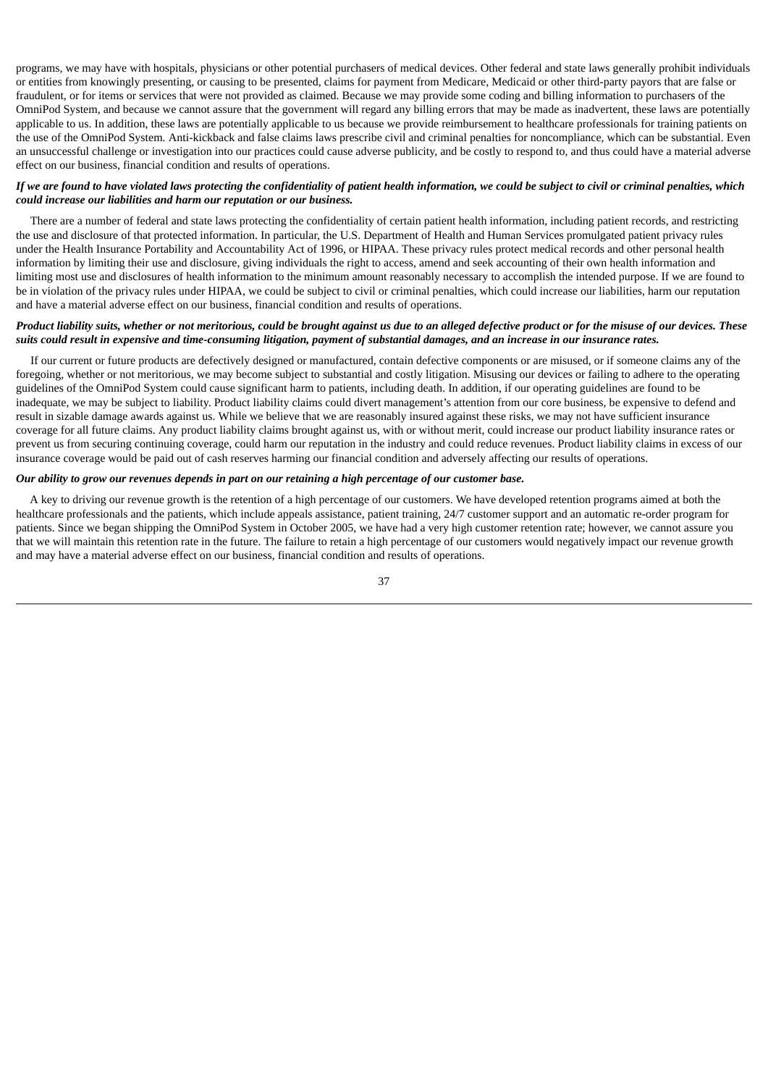programs, we may have with hospitals, physicians or other potential purchasers of medical devices. Other federal and state laws generally prohibit individuals or entities from knowingly presenting, or causing to be presented, claims for payment from Medicare, Medicaid or other third-party payors that are false or fraudulent, or for items or services that were not provided as claimed. Because we may provide some coding and billing information to purchasers of the OmniPod System, and because we cannot assure that the government will regard any billing errors that may be made as inadvertent, these laws are potentially applicable to us. In addition, these laws are potentially applicable to us because we provide reimbursement to healthcare professionals for training patients on the use of the OmniPod System. Anti-kickback and false claims laws prescribe civil and criminal penalties for noncompliance, which can be substantial. Even an unsuccessful challenge or investigation into our practices could cause adverse publicity, and be costly to respond to, and thus could have a material adverse effect on our business, financial condition and results of operations.

# If we are found to have violated laws protecting the confidentiality of patient health information, we could be subject to civil or criminal penalties, which *could increase our liabilities and harm our reputation or our business.*

There are a number of federal and state laws protecting the confidentiality of certain patient health information, including patient records, and restricting the use and disclosure of that protected information. In particular, the U.S. Department of Health and Human Services promulgated patient privacy rules under the Health Insurance Portability and Accountability Act of 1996, or HIPAA. These privacy rules protect medical records and other personal health information by limiting their use and disclosure, giving individuals the right to access, amend and seek accounting of their own health information and limiting most use and disclosures of health information to the minimum amount reasonably necessary to accomplish the intended purpose. If we are found to be in violation of the privacy rules under HIPAA, we could be subject to civil or criminal penalties, which could increase our liabilities, harm our reputation and have a material adverse effect on our business, financial condition and results of operations.

# Product liability suits, whether or not meritorious, could be brought against us due to an alleged defective product or for the misuse of our devices. These suits could result in expensive and time-consuming litigation, payment of substantial damages, and an increase in our insurance rates.

If our current or future products are defectively designed or manufactured, contain defective components or are misused, or if someone claims any of the foregoing, whether or not meritorious, we may become subject to substantial and costly litigation. Misusing our devices or failing to adhere to the operating guidelines of the OmniPod System could cause significant harm to patients, including death. In addition, if our operating guidelines are found to be inadequate, we may be subject to liability. Product liability claims could divert management's attention from our core business, be expensive to defend and result in sizable damage awards against us. While we believe that we are reasonably insured against these risks, we may not have sufficient insurance coverage for all future claims. Any product liability claims brought against us, with or without merit, could increase our product liability insurance rates or prevent us from securing continuing coverage, could harm our reputation in the industry and could reduce revenues. Product liability claims in excess of our insurance coverage would be paid out of cash reserves harming our financial condition and adversely affecting our results of operations.

# Our ability to arow our revenues depends in part on our retaining a high percentage of our customer base.

A key to driving our revenue growth is the retention of a high percentage of our customers. We have developed retention programs aimed at both the healthcare professionals and the patients, which include appeals assistance, patient training, 24/7 customer support and an automatic re-order program for patients. Since we began shipping the OmniPod System in October 2005, we have had a very high customer retention rate; however, we cannot assure you that we will maintain this retention rate in the future. The failure to retain a high percentage of our customers would negatively impact our revenue growth and may have a material adverse effect on our business, financial condition and results of operations.

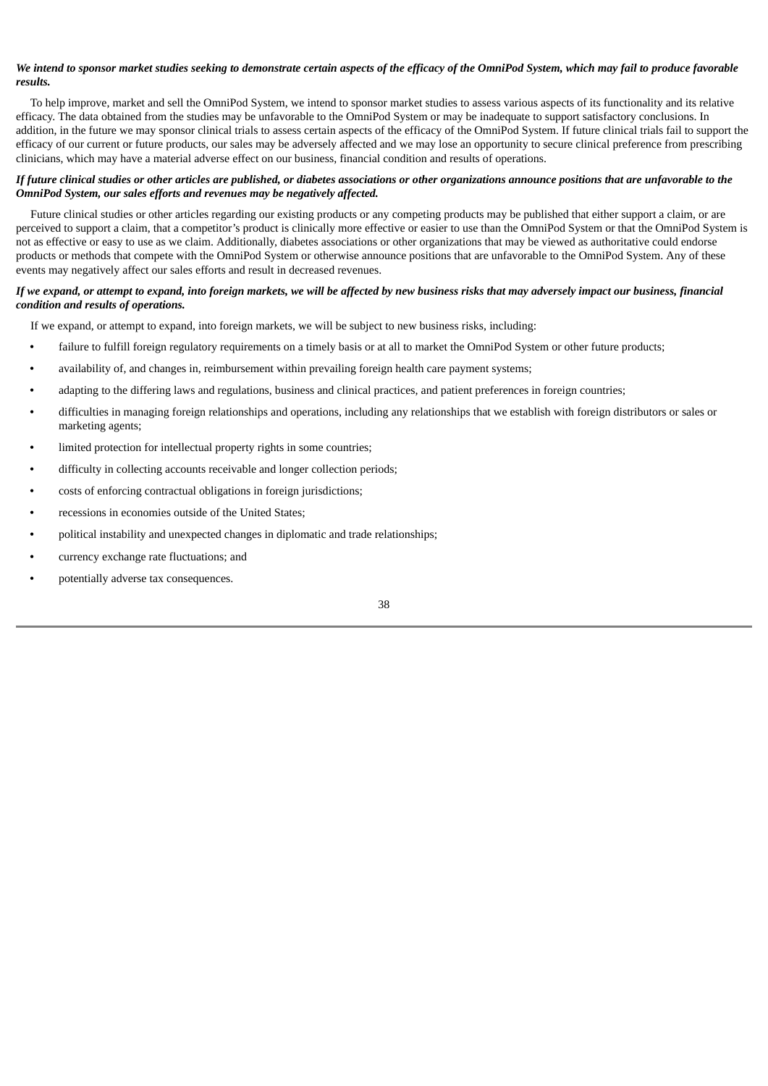# We intend to sponsor market studies seeking to demonstrate certain aspects of the efficacy of the OmniPod System, which may fail to produce favorable *results.*

To help improve, market and sell the OmniPod System, we intend to sponsor market studies to assess various aspects of its functionality and its relative efficacy. The data obtained from the studies may be unfavorable to the OmniPod System or may be inadequate to support satisfactory conclusions. In addition, in the future we may sponsor clinical trials to assess certain aspects of the efficacy of the OmniPod System. If future clinical trials fail to support the efficacy of our current or future products, our sales may be adversely affected and we may lose an opportunity to secure clinical preference from prescribing clinicians, which may have a material adverse effect on our business, financial condition and results of operations.

# If future clinical studies or other articles are published, or diabetes associations or other organizations announce positions that are unfavorable to the *OmniPod System, our sales efforts and revenues may be negatively affected.*

Future clinical studies or other articles regarding our existing products or any competing products may be published that either support a claim, or are perceived to support a claim, that a competitor's product is clinically more effective or easier to use than the OmniPod System or that the OmniPod System is not as effective or easy to use as we claim. Additionally, diabetes associations or other organizations that may be viewed as authoritative could endorse products or methods that compete with the OmniPod System or otherwise announce positions that are unfavorable to the OmniPod System. Any of these events may negatively affect our sales efforts and result in decreased revenues.

# If we expand, or attempt to expand, into foreign markets, we will be affected by new business risks that may adversely impact our business, financial *condition and results of operations.*

If we expand, or attempt to expand, into foreign markets, we will be subject to new business risks, including:

- failure to fulfill foreign regulatory requirements on a timely basis or at all to market the OmniPod System or other future products;
- **•** availability of, and changes in, reimbursement within prevailing foreign health care payment systems;
- **•** adapting to the differing laws and regulations, business and clinical practices, and patient preferences in foreign countries;
- **•** difficulties in managing foreign relationships and operations, including any relationships that we establish with foreign distributors or sales or marketing agents;
- **•** limited protection for intellectual property rights in some countries;
- **•** difficulty in collecting accounts receivable and longer collection periods;
- **•** costs of enforcing contractual obligations in foreign jurisdictions;
- **•** recessions in economies outside of the United States;
- **•** political instability and unexpected changes in diplomatic and trade relationships;
- **•** currency exchange rate fluctuations; and
- **•** potentially adverse tax consequences.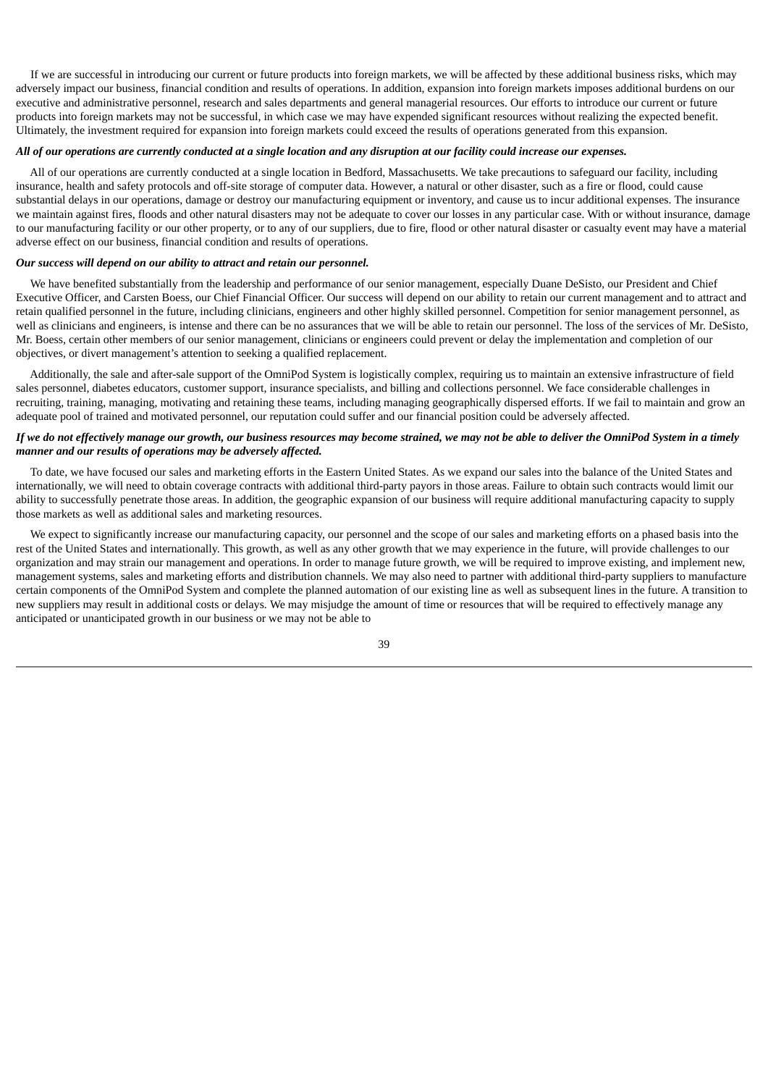If we are successful in introducing our current or future products into foreign markets, we will be affected by these additional business risks, which may adversely impact our business, financial condition and results of operations. In addition, expansion into foreign markets imposes additional burdens on our executive and administrative personnel, research and sales departments and general managerial resources. Our efforts to introduce our current or future products into foreign markets may not be successful, in which case we may have expended significant resources without realizing the expected benefit. Ultimately, the investment required for expansion into foreign markets could exceed the results of operations generated from this expansion.

# All of our operations are currently conducted at a single location and any disruption at our facility could increase our expenses.

All of our operations are currently conducted at a single location in Bedford, Massachusetts. We take precautions to safeguard our facility, including insurance, health and safety protocols and off-site storage of computer data. However, a natural or other disaster, such as a fire or flood, could cause substantial delays in our operations, damage or destroy our manufacturing equipment or inventory, and cause us to incur additional expenses. The insurance we maintain against fires, floods and other natural disasters may not be adequate to cover our losses in any particular case. With or without insurance, damage to our manufacturing facility or our other property, or to any of our suppliers, due to fire, flood or other natural disaster or casualty event may have a material adverse effect on our business, financial condition and results of operations.

# *Our success will depend on our ability to attract and retain our personnel.*

We have benefited substantially from the leadership and performance of our senior management, especially Duane DeSisto, our President and Chief Executive Officer, and Carsten Boess, our Chief Financial Officer. Our success will depend on our ability to retain our current management and to attract and retain qualified personnel in the future, including clinicians, engineers and other highly skilled personnel. Competition for senior management personnel, as well as clinicians and engineers, is intense and there can be no assurances that we will be able to retain our personnel. The loss of the services of Mr. DeSisto, Mr. Boess, certain other members of our senior management, clinicians or engineers could prevent or delay the implementation and completion of our objectives, or divert management's attention to seeking a qualified replacement.

Additionally, the sale and after-sale support of the OmniPod System is logistically complex, requiring us to maintain an extensive infrastructure of field sales personnel, diabetes educators, customer support, insurance specialists, and billing and collections personnel. We face considerable challenges in recruiting, training, managing, motivating and retaining these teams, including managing geographically dispersed efforts. If we fail to maintain and grow an adequate pool of trained and motivated personnel, our reputation could suffer and our financial position could be adversely affected.

# If we do not effectively manage our growth, our business resources may become strained, we may not be able to deliver the OmniPod System in a timely *manner and our results of operations may be adversely affected.*

To date, we have focused our sales and marketing efforts in the Eastern United States. As we expand our sales into the balance of the United States and internationally, we will need to obtain coverage contracts with additional third-party payors in those areas. Failure to obtain such contracts would limit our ability to successfully penetrate those areas. In addition, the geographic expansion of our business will require additional manufacturing capacity to supply those markets as well as additional sales and marketing resources.

We expect to significantly increase our manufacturing capacity, our personnel and the scope of our sales and marketing efforts on a phased basis into the rest of the United States and internationally. This growth, as well as any other growth that we may experience in the future, will provide challenges to our organization and may strain our management and operations. In order to manage future growth, we will be required to improve existing, and implement new, management systems, sales and marketing efforts and distribution channels. We may also need to partner with additional third-party suppliers to manufacture certain components of the OmniPod System and complete the planned automation of our existing line as well as subsequent lines in the future. A transition to new suppliers may result in additional costs or delays. We may misjudge the amount of time or resources that will be required to effectively manage any anticipated or unanticipated growth in our business or we may not be able to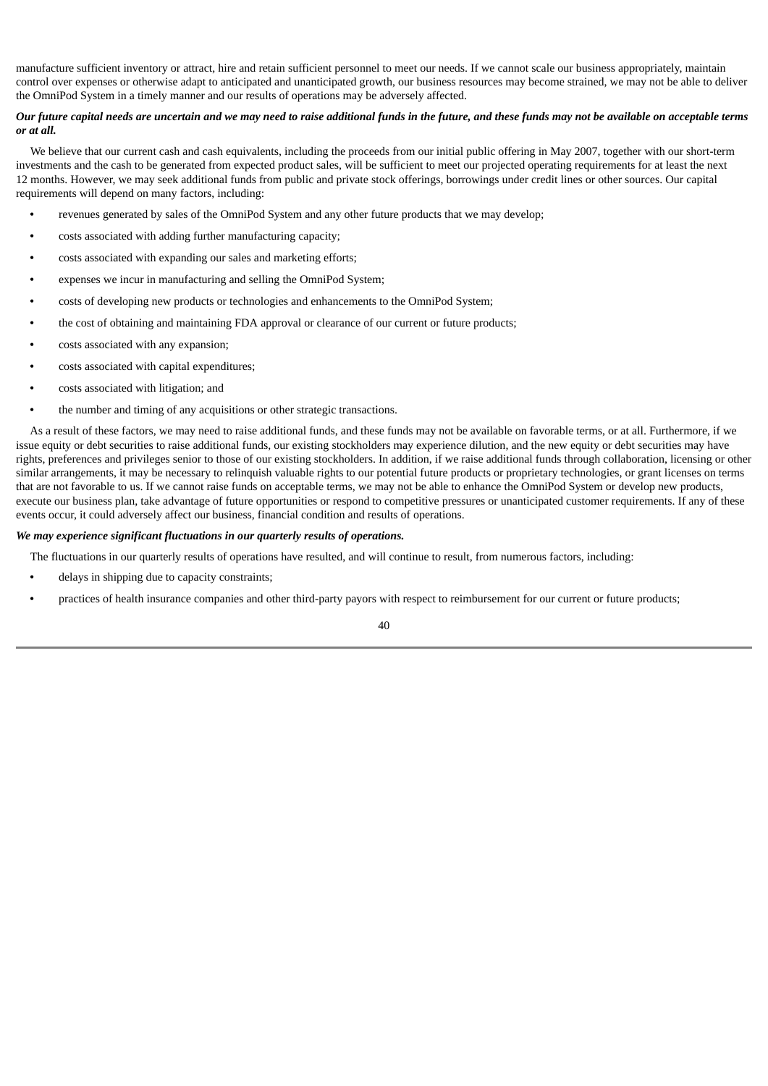manufacture sufficient inventory or attract, hire and retain sufficient personnel to meet our needs. If we cannot scale our business appropriately, maintain control over expenses or otherwise adapt to anticipated and unanticipated growth, our business resources may become strained, we may not be able to deliver the OmniPod System in a timely manner and our results of operations may be adversely affected.

# Our future capital needs are uncertain and we may need to raise additional funds in the future, and these funds may not be available on acceptable terms *or at all.*

We believe that our current cash and cash equivalents, including the proceeds from our initial public offering in May 2007, together with our short-term investments and the cash to be generated from expected product sales, will be sufficient to meet our projected operating requirements for at least the next 12 months. However, we may seek additional funds from public and private stock offerings, borrowings under credit lines or other sources. Our capital requirements will depend on many factors, including:

- **•** revenues generated by sales of the OmniPod System and any other future products that we may develop;
- **•** costs associated with adding further manufacturing capacity;
- **•** costs associated with expanding our sales and marketing efforts;
- **•** expenses we incur in manufacturing and selling the OmniPod System;
- **•** costs of developing new products or technologies and enhancements to the OmniPod System;
- **•** the cost of obtaining and maintaining FDA approval or clearance of our current or future products;
- **•** costs associated with any expansion;
- **•** costs associated with capital expenditures;
- **•** costs associated with litigation; and
- **•** the number and timing of any acquisitions or other strategic transactions.

As a result of these factors, we may need to raise additional funds, and these funds may not be available on favorable terms, or at all. Furthermore, if we issue equity or debt securities to raise additional funds, our existing stockholders may experience dilution, and the new equity or debt securities may have rights, preferences and privileges senior to those of our existing stockholders. In addition, if we raise additional funds through collaboration, licensing or other similar arrangements, it may be necessary to relinquish valuable rights to our potential future products or proprietary technologies, or grant licenses on terms that are not favorable to us. If we cannot raise funds on acceptable terms, we may not be able to enhance the OmniPod System or develop new products, execute our business plan, take advantage of future opportunities or respond to competitive pressures or unanticipated customer requirements. If any of these events occur, it could adversely affect our business, financial condition and results of operations.

# *We may experience significant fluctuations in our quarterly results of operations.*

The fluctuations in our quarterly results of operations have resulted, and will continue to result, from numerous factors, including:

- **•** delays in shipping due to capacity constraints;
- **•** practices of health insurance companies and other third-party payors with respect to reimbursement for our current or future products;

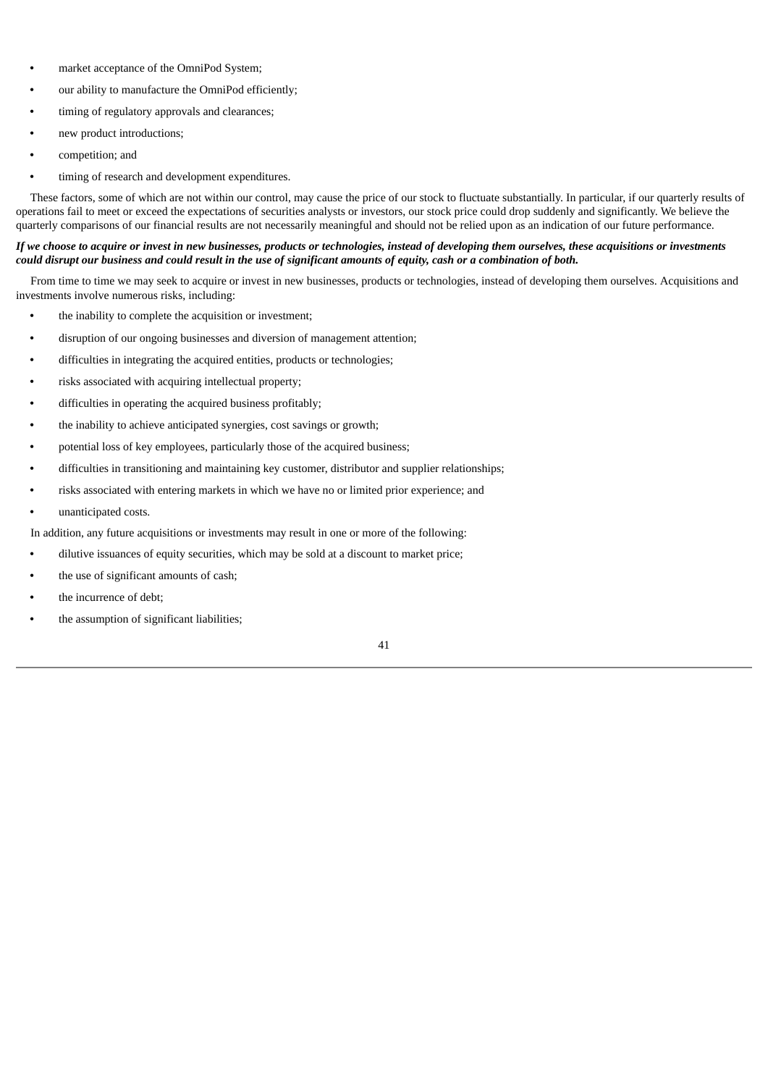- **•** market acceptance of the OmniPod System;
- **•** our ability to manufacture the OmniPod efficiently;
- **•** timing of regulatory approvals and clearances;
- **•** new product introductions;
- **•** competition; and
- **•** timing of research and development expenditures.

These factors, some of which are not within our control, may cause the price of our stock to fluctuate substantially. In particular, if our quarterly results of operations fail to meet or exceed the expectations of securities analysts or investors, our stock price could drop suddenly and significantly. We believe the quarterly comparisons of our financial results are not necessarily meaningful and should not be relied upon as an indication of our future performance.

# If we choose to acquire or invest in new businesses, products or technologies, instead of developing them ourselves, these acquisitions or investments could disrupt our business and could result in the use of significant amounts of equity, cash or a combination of both.

From time to time we may seek to acquire or invest in new businesses, products or technologies, instead of developing them ourselves. Acquisitions and investments involve numerous risks, including:

- **•** the inability to complete the acquisition or investment;
- **•** disruption of our ongoing businesses and diversion of management attention;
- **•** difficulties in integrating the acquired entities, products or technologies;
- **•** risks associated with acquiring intellectual property;
- **•** difficulties in operating the acquired business profitably;
- **•** the inability to achieve anticipated synergies, cost savings or growth;
- **•** potential loss of key employees, particularly those of the acquired business;
- **•** difficulties in transitioning and maintaining key customer, distributor and supplier relationships;
- **•** risks associated with entering markets in which we have no or limited prior experience; and
- **•** unanticipated costs.

In addition, any future acquisitions or investments may result in one or more of the following:

- **•** dilutive issuances of equity securities, which may be sold at a discount to market price;
- **•** the use of significant amounts of cash;
- **•** the incurrence of debt;
- **•** the assumption of significant liabilities;

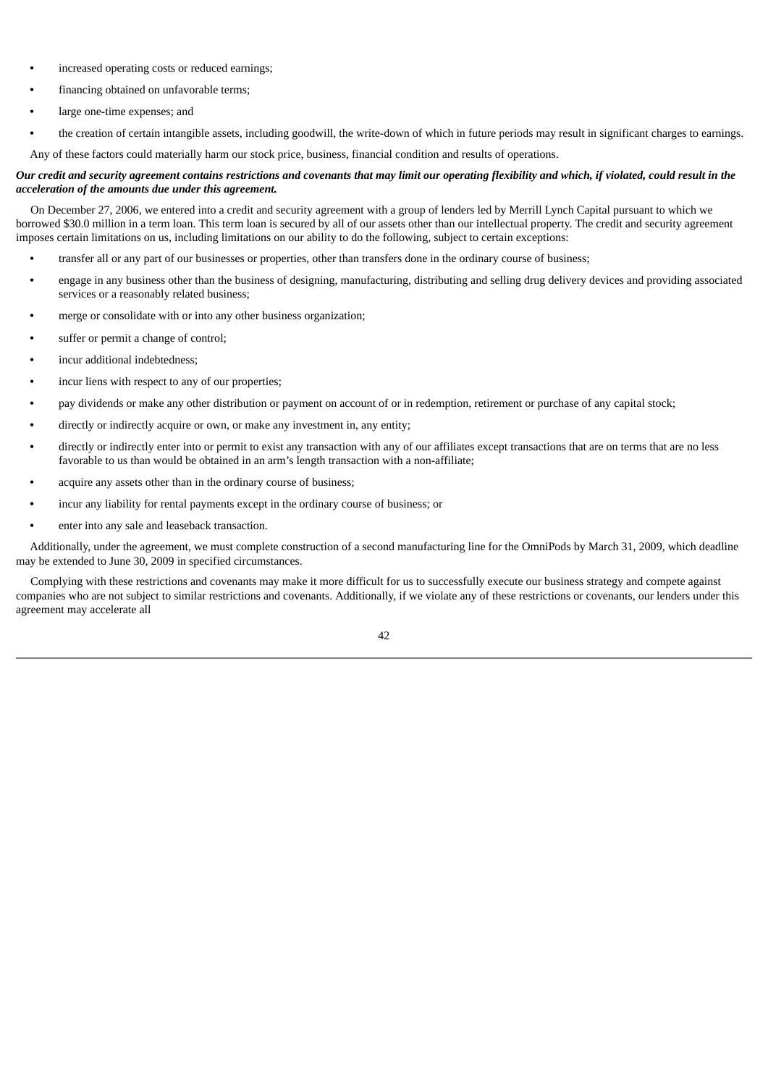- **•** increased operating costs or reduced earnings;
- **•** financing obtained on unfavorable terms;
- **•** large one-time expenses; and
- **•** the creation of certain intangible assets, including goodwill, the write-down of which in future periods may result in significant charges to earnings.
- Any of these factors could materially harm our stock price, business, financial condition and results of operations.

# Our credit and security agreement contains restrictions and covenants that may limit our operating flexibility and which, if violated, could result in the *acceleration of the amounts due under this agreement.*

On December 27, 2006, we entered into a credit and security agreement with a group of lenders led by Merrill Lynch Capital pursuant to which we borrowed \$30.0 million in a term loan. This term loan is secured by all of our assets other than our intellectual property. The credit and security agreement imposes certain limitations on us, including limitations on our ability to do the following, subject to certain exceptions:

- **•** transfer all or any part of our businesses or properties, other than transfers done in the ordinary course of business;
- **•** engage in any business other than the business of designing, manufacturing, distributing and selling drug delivery devices and providing associated services or a reasonably related business;
- **•** merge or consolidate with or into any other business organization;
- **•** suffer or permit a change of control;
- **•** incur additional indebtedness;
- **•** incur liens with respect to any of our properties;
- **•** pay dividends or make any other distribution or payment on account of or in redemption, retirement or purchase of any capital stock;
- **•** directly or indirectly acquire or own, or make any investment in, any entity;
- **•** directly or indirectly enter into or permit to exist any transaction with any of our affiliates except transactions that are on terms that are no less favorable to us than would be obtained in an arm's length transaction with a non-affiliate;
- **•** acquire any assets other than in the ordinary course of business;
- **•** incur any liability for rental payments except in the ordinary course of business; or
- **•** enter into any sale and leaseback transaction.

Additionally, under the agreement, we must complete construction of a second manufacturing line for the OmniPods by March 31, 2009, which deadline may be extended to June 30, 2009 in specified circumstances.

Complying with these restrictions and covenants may make it more difficult for us to successfully execute our business strategy and compete against companies who are not subject to similar restrictions and covenants. Additionally, if we violate any of these restrictions or covenants, our lenders under this agreement may accelerate all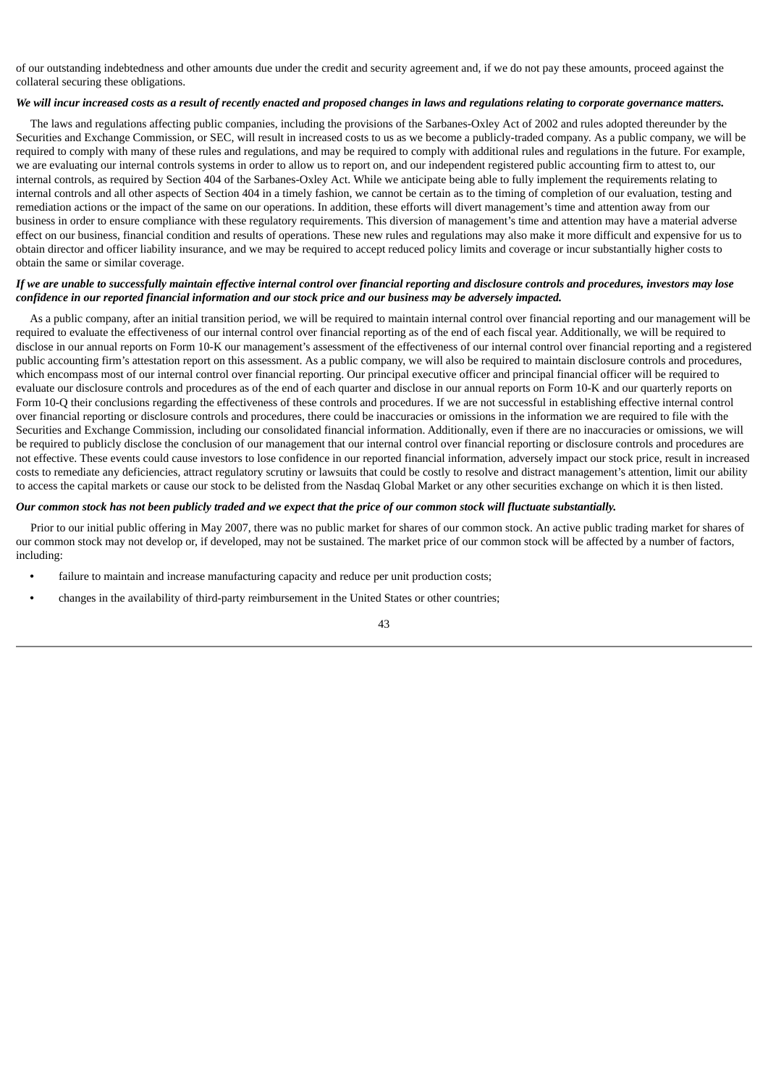of our outstanding indebtedness and other amounts due under the credit and security agreement and, if we do not pay these amounts, proceed against the collateral securing these obligations.

# We will incur increased costs as a result of recently enacted and proposed changes in laws and regulations relating to corporate governance matters.

The laws and regulations affecting public companies, including the provisions of the Sarbanes-Oxley Act of 2002 and rules adopted thereunder by the Securities and Exchange Commission, or SEC, will result in increased costs to us as we become a publicly-traded company. As a public company, we will be required to comply with many of these rules and regulations, and may be required to comply with additional rules and regulations in the future. For example, we are evaluating our internal controls systems in order to allow us to report on, and our independent registered public accounting firm to attest to, our internal controls, as required by Section 404 of the Sarbanes-Oxley Act. While we anticipate being able to fully implement the requirements relating to internal controls and all other aspects of Section 404 in a timely fashion, we cannot be certain as to the timing of completion of our evaluation, testing and remediation actions or the impact of the same on our operations. In addition, these efforts will divert management's time and attention away from our business in order to ensure compliance with these regulatory requirements. This diversion of management's time and attention may have a material adverse effect on our business, financial condition and results of operations. These new rules and regulations may also make it more difficult and expensive for us to obtain director and officer liability insurance, and we may be required to accept reduced policy limits and coverage or incur substantially higher costs to obtain the same or similar coverage.

# If we are unable to successfully maintain effective internal control over financial reporting and disclosure controls and procedures, investors may lose confidence in our reported financial information and our stock price and our business may be adversely impacted.

As a public company, after an initial transition period, we will be required to maintain internal control over financial reporting and our management will be required to evaluate the effectiveness of our internal control over financial reporting as of the end of each fiscal year. Additionally, we will be required to disclose in our annual reports on Form 10-K our management's assessment of the effectiveness of our internal control over financial reporting and a registered public accounting firm's attestation report on this assessment. As a public company, we will also be required to maintain disclosure controls and procedures, which encompass most of our internal control over financial reporting. Our principal executive officer and principal financial officer will be required to evaluate our disclosure controls and procedures as of the end of each quarter and disclose in our annual reports on Form 10-K and our quarterly reports on Form 10-Q their conclusions regarding the effectiveness of these controls and procedures. If we are not successful in establishing effective internal control over financial reporting or disclosure controls and procedures, there could be inaccuracies or omissions in the information we are required to file with the Securities and Exchange Commission, including our consolidated financial information. Additionally, even if there are no inaccuracies or omissions, we will be required to publicly disclose the conclusion of our management that our internal control over financial reporting or disclosure controls and procedures are not effective. These events could cause investors to lose confidence in our reported financial information, adversely impact our stock price, result in increased costs to remediate any deficiencies, attract regulatory scrutiny or lawsuits that could be costly to resolve and distract management's attention, limit our ability to access the capital markets or cause our stock to be delisted from the Nasdaq Global Market or any other securities exchange on which it is then listed.

# Our common stock has not been publicly traded and we expect that the price of our common stock will fluctuate substantially.

Prior to our initial public offering in May 2007, there was no public market for shares of our common stock. An active public trading market for shares of our common stock may not develop or, if developed, may not be sustained. The market price of our common stock will be affected by a number of factors, including:

- **•** failure to maintain and increase manufacturing capacity and reduce per unit production costs;
- **•** changes in the availability of third-party reimbursement in the United States or other countries;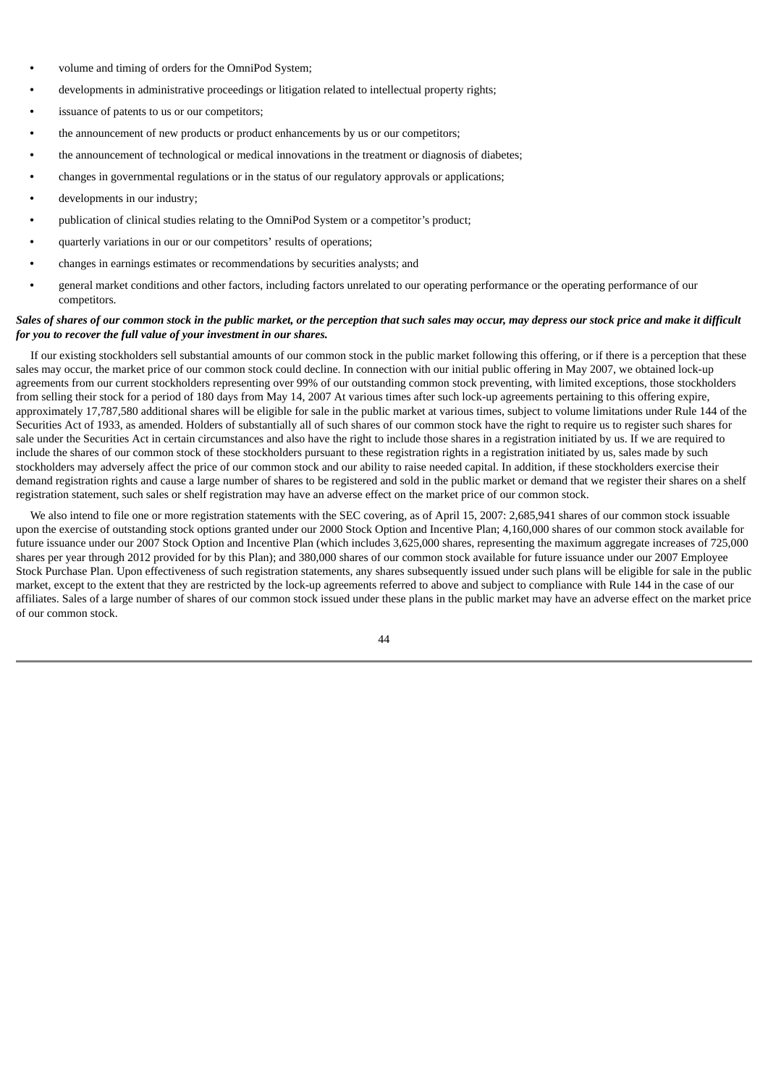- **•** volume and timing of orders for the OmniPod System;
- **•** developments in administrative proceedings or litigation related to intellectual property rights;
- **•** issuance of patents to us or our competitors;
- **•** the announcement of new products or product enhancements by us or our competitors;
- **•** the announcement of technological or medical innovations in the treatment or diagnosis of diabetes;
- **•** changes in governmental regulations or in the status of our regulatory approvals or applications;
- **•** developments in our industry;
- **•** publication of clinical studies relating to the OmniPod System or a competitor's product;
- **•** quarterly variations in our or our competitors' results of operations;
- **•** changes in earnings estimates or recommendations by securities analysts; and
- **•** general market conditions and other factors, including factors unrelated to our operating performance or the operating performance of our competitors.

# Sales of shares of our common stock in the public market, or the perception that such sales may occur, may depress our stock price and make it difficult *for you to recover the full value of your investment in our shares.*

If our existing stockholders sell substantial amounts of our common stock in the public market following this offering, or if there is a perception that these sales may occur, the market price of our common stock could decline. In connection with our initial public offering in May 2007, we obtained lock-up agreements from our current stockholders representing over 99% of our outstanding common stock preventing, with limited exceptions, those stockholders from selling their stock for a period of 180 days from May 14, 2007 At various times after such lock-up agreements pertaining to this offering expire, approximately 17,787,580 additional shares will be eligible for sale in the public market at various times, subject to volume limitations under Rule 144 of the Securities Act of 1933, as amended. Holders of substantially all of such shares of our common stock have the right to require us to register such shares for sale under the Securities Act in certain circumstances and also have the right to include those shares in a registration initiated by us. If we are required to include the shares of our common stock of these stockholders pursuant to these registration rights in a registration initiated by us, sales made by such stockholders may adversely affect the price of our common stock and our ability to raise needed capital. In addition, if these stockholders exercise their demand registration rights and cause a large number of shares to be registered and sold in the public market or demand that we register their shares on a shelf registration statement, such sales or shelf registration may have an adverse effect on the market price of our common stock.

We also intend to file one or more registration statements with the SEC covering, as of April 15, 2007: 2,685,941 shares of our common stock issuable upon the exercise of outstanding stock options granted under our 2000 Stock Option and Incentive Plan; 4,160,000 shares of our common stock available for future issuance under our 2007 Stock Option and Incentive Plan (which includes 3,625,000 shares, representing the maximum aggregate increases of 725,000 shares per year through 2012 provided for by this Plan); and 380,000 shares of our common stock available for future issuance under our 2007 Employee Stock Purchase Plan. Upon effectiveness of such registration statements, any shares subsequently issued under such plans will be eligible for sale in the public market, except to the extent that they are restricted by the lock-up agreements referred to above and subject to compliance with Rule 144 in the case of our affiliates. Sales of a large number of shares of our common stock issued under these plans in the public market may have an adverse effect on the market price of our common stock.

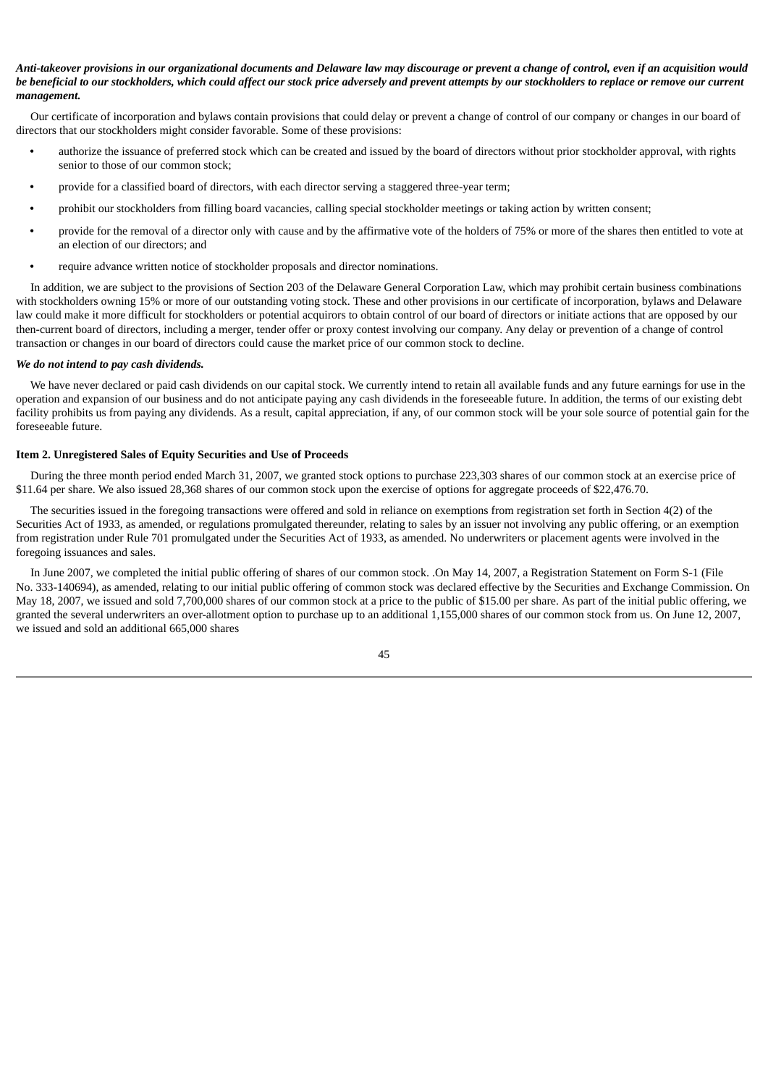# Anti-takeover provisions in our organizational documents and Delaware law may discourage or prevent a change of control, even if an acquisition would be beneficial to our stockholders, which could affect our stock price adversely and prevent attempts by our stockholders to replace or remove our current *management.*

Our certificate of incorporation and bylaws contain provisions that could delay or prevent a change of control of our company or changes in our board of directors that our stockholders might consider favorable. Some of these provisions:

- **•** authorize the issuance of preferred stock which can be created and issued by the board of directors without prior stockholder approval, with rights senior to those of our common stock;
- **•** provide for a classified board of directors, with each director serving a staggered three-year term;
- **•** prohibit our stockholders from filling board vacancies, calling special stockholder meetings or taking action by written consent;
- **•** provide for the removal of a director only with cause and by the affirmative vote of the holders of 75% or more of the shares then entitled to vote at an election of our directors; and
- **•** require advance written notice of stockholder proposals and director nominations.

In addition, we are subject to the provisions of Section 203 of the Delaware General Corporation Law, which may prohibit certain business combinations with stockholders owning 15% or more of our outstanding voting stock. These and other provisions in our certificate of incorporation, bylaws and Delaware law could make it more difficult for stockholders or potential acquirors to obtain control of our board of directors or initiate actions that are opposed by our then-current board of directors, including a merger, tender offer or proxy contest involving our company. Any delay or prevention of a change of control transaction or changes in our board of directors could cause the market price of our common stock to decline.

#### *We do not intend to pay cash dividends.*

We have never declared or paid cash dividends on our capital stock. We currently intend to retain all available funds and any future earnings for use in the operation and expansion of our business and do not anticipate paying any cash dividends in the foreseeable future. In addition, the terms of our existing debt facility prohibits us from paying any dividends. As a result, capital appreciation, if any, of our common stock will be your sole source of potential gain for the foreseeable future.

#### <span id="page-47-0"></span>**Item 2. Unregistered Sales of Equity Securities and Use of Proceeds**

During the three month period ended March 31, 2007, we granted stock options to purchase 223,303 shares of our common stock at an exercise price of \$11.64 per share. We also issued 28,368 shares of our common stock upon the exercise of options for aggregate proceeds of \$22,476.70.

The securities issued in the foregoing transactions were offered and sold in reliance on exemptions from registration set forth in Section 4(2) of the Securities Act of 1933, as amended, or regulations promulgated thereunder, relating to sales by an issuer not involving any public offering, or an exemption from registration under Rule 701 promulgated under the Securities Act of 1933, as amended. No underwriters or placement agents were involved in the foregoing issuances and sales.

In June 2007, we completed the initial public offering of shares of our common stock. .On May 14, 2007, a Registration Statement on Form S-1 (File No. 333-140694), as amended, relating to our initial public offering of common stock was declared effective by the Securities and Exchange Commission. On May 18, 2007, we issued and sold 7,700,000 shares of our common stock at a price to the public of \$15.00 per share. As part of the initial public offering, we granted the several underwriters an over-allotment option to purchase up to an additional 1,155,000 shares of our common stock from us. On June 12, 2007, we issued and sold an additional 665,000 shares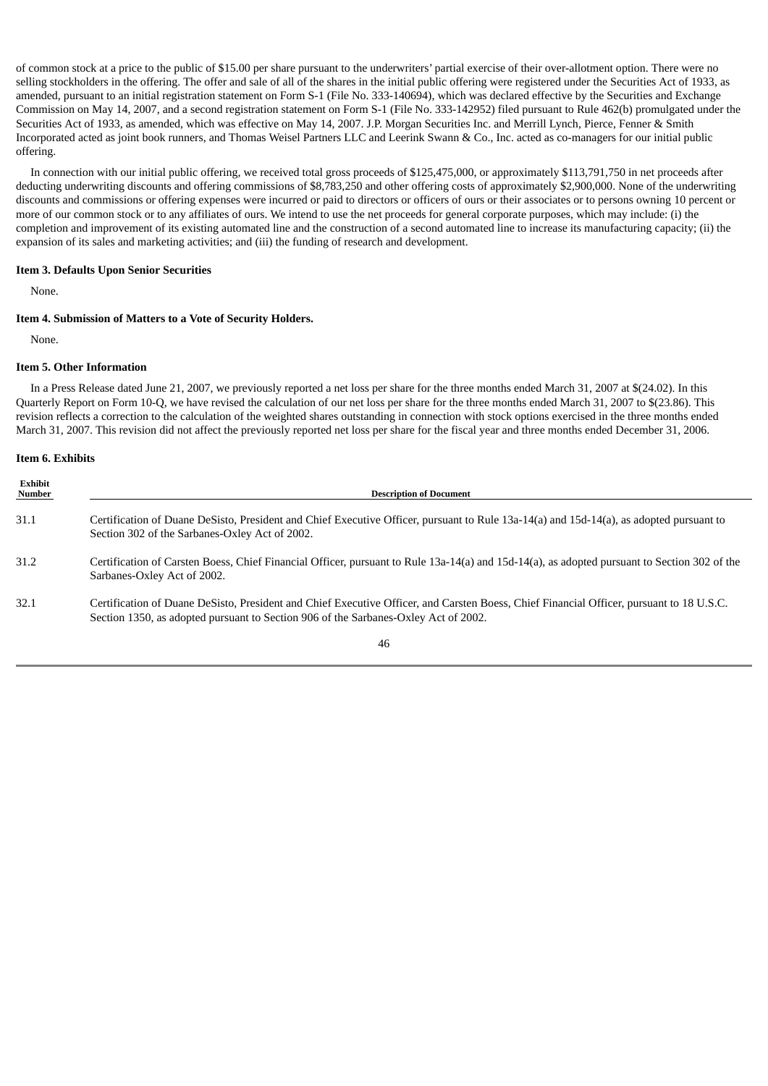of common stock at a price to the public of \$15.00 per share pursuant to the underwriters' partial exercise of their over-allotment option. There were no selling stockholders in the offering. The offer and sale of all of the shares in the initial public offering were registered under the Securities Act of 1933, as amended, pursuant to an initial registration statement on Form S-1 (File No. 333-140694), which was declared effective by the Securities and Exchange Commission on May 14, 2007, and a second registration statement on Form S-1 (File No. 333-142952) filed pursuant to Rule 462(b) promulgated under the Securities Act of 1933, as amended, which was effective on May 14, 2007. J.P. Morgan Securities Inc. and Merrill Lynch, Pierce, Fenner & Smith Incorporated acted as joint book runners, and Thomas Weisel Partners LLC and Leerink Swann & Co., Inc. acted as co-managers for our initial public offering.

In connection with our initial public offering, we received total gross proceeds of \$125,475,000, or approximately \$113,791,750 in net proceeds after deducting underwriting discounts and offering commissions of \$8,783,250 and other offering costs of approximately \$2,900,000. None of the underwriting discounts and commissions or offering expenses were incurred or paid to directors or officers of ours or their associates or to persons owning 10 percent or more of our common stock or to any affiliates of ours. We intend to use the net proceeds for general corporate purposes, which may include: (i) the completion and improvement of its existing automated line and the construction of a second automated line to increase its manufacturing capacity; (ii) the expansion of its sales and marketing activities; and (iii) the funding of research and development.

#### <span id="page-48-0"></span>**Item 3. Defaults Upon Senior Securities**

None.

# <span id="page-48-1"></span>**Item 4. Submission of Matters to a Vote of Security Holders.**

None.

#### <span id="page-48-2"></span>**Item 5. Other Information**

In a Press Release dated June 21, 2007, we previously reported a net loss per share for the three months ended March 31, 2007 at \$(24.02). In this Quarterly Report on Form 10-Q, we have revised the calculation of our net loss per share for the three months ended March 31, 2007 to \$(23.86). This revision reflects a correction to the calculation of the weighted shares outstanding in connection with stock options exercised in the three months ended March 31, 2007. This revision did not affect the previously reported net loss per share for the fiscal year and three months ended December 31, 2006.

#### <span id="page-48-3"></span>**Item 6. Exhibits**

| Exhibit<br>Number | <b>Description of Document</b>                                                                                                                                                                                                  |
|-------------------|---------------------------------------------------------------------------------------------------------------------------------------------------------------------------------------------------------------------------------|
| 31.1              | Certification of Duane DeSisto, President and Chief Executive Officer, pursuant to Rule 13a-14(a) and 15d-14(a), as adopted pursuant to<br>Section 302 of the Sarbanes-Oxley Act of 2002.                                       |
| 31.2              | Certification of Carsten Boess, Chief Financial Officer, pursuant to Rule 13a-14(a) and 15d-14(a), as adopted pursuant to Section 302 of the<br>Sarbanes-Oxley Act of 2002.                                                     |
| 32.1              | Certification of Duane DeSisto, President and Chief Executive Officer, and Carsten Boess, Chief Financial Officer, pursuant to 18 U.S.C.<br>Section 1350, as adopted pursuant to Section 906 of the Sarbanes-Oxley Act of 2002. |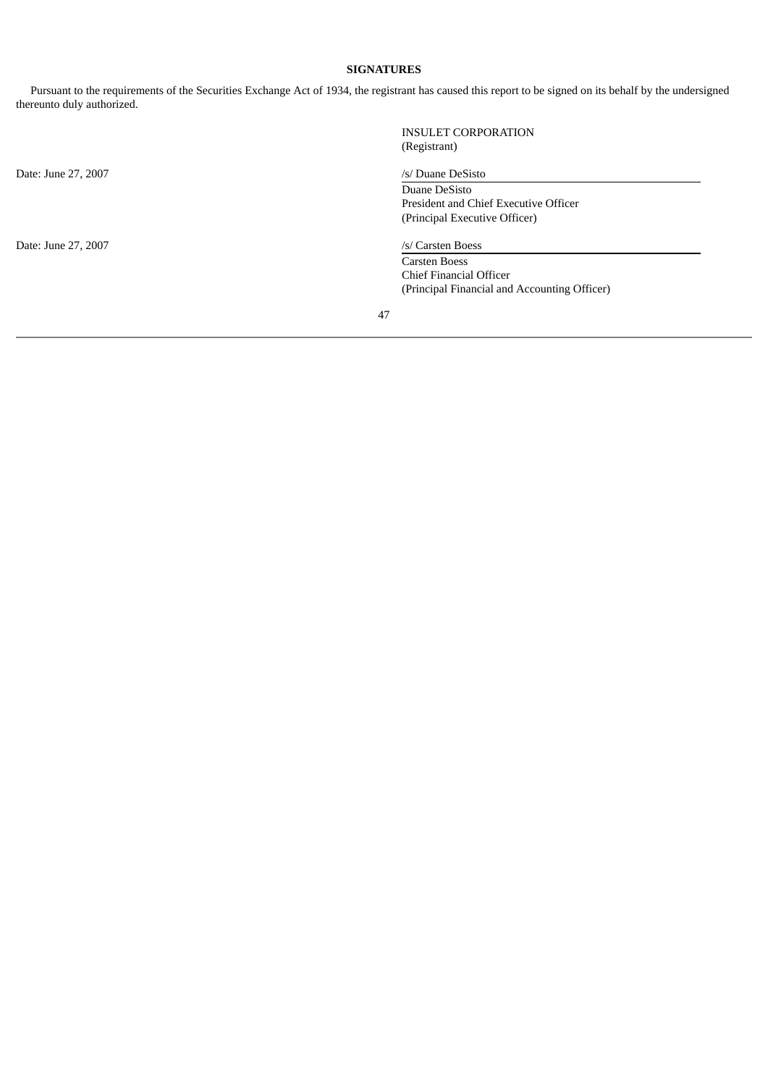# **SIGNATURES**

<span id="page-49-0"></span>Pursuant to the requirements of the Securities Exchange Act of 1934, the registrant has caused this report to be signed on its behalf by the undersigned thereunto duly authorized.

|                     | <b>INSULET CORPORATION</b>                   |
|---------------------|----------------------------------------------|
|                     | (Registrant)                                 |
| Date: June 27, 2007 | /s/ Duane DeSisto                            |
|                     | Duane DeSisto                                |
|                     | President and Chief Executive Officer        |
|                     | (Principal Executive Officer)                |
| Date: June 27, 2007 | /s/ Carsten Boess                            |
|                     | <b>Carsten Boess</b>                         |
|                     | Chief Financial Officer                      |
|                     | (Principal Financial and Accounting Officer) |
|                     | 47                                           |
|                     |                                              |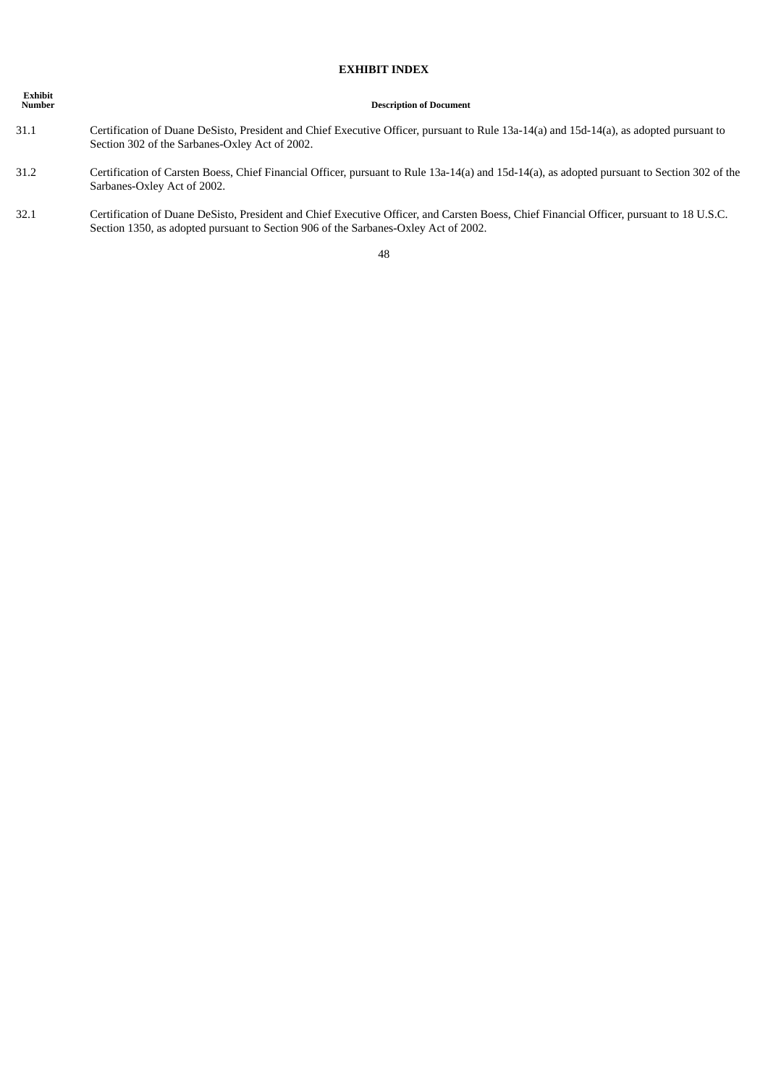# **EXHIBIT INDEX**

| <b>Exhibit</b><br><b>Number</b> | <b>Description of Document</b>                                                                                                                                                            |
|---------------------------------|-------------------------------------------------------------------------------------------------------------------------------------------------------------------------------------------|
| 31.1                            | Certification of Duane DeSisto, President and Chief Executive Officer, pursuant to Rule 13a-14(a) and 15d-14(a), as adopted pursuant to<br>Section 302 of the Sarbanes-Oxley Act of 2002. |
| 31.2                            | Certification of Carsten Boess, Chief Financial Officer, pursuant to Rule 13a-14(a) and 15d-14(a), as adopted pursuant to Section 302 of the<br>Sarbanes-Oxley Act of 2002.               |

32.1 Certification of Duane DeSisto, President and Chief Executive Officer, and Carsten Boess, Chief Financial Officer, pursuant to 18 U.S.C. Section 1350, as adopted pursuant to Section 906 of the Sarbanes-Oxley Act of 2002.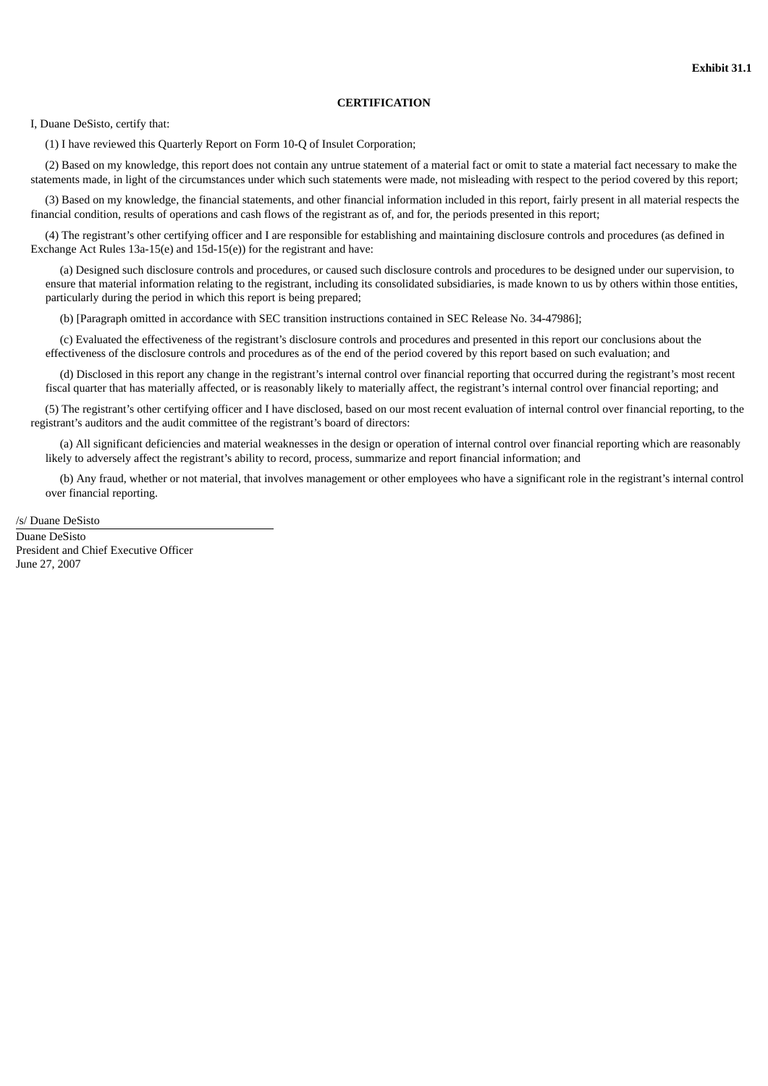# **CERTIFICATION**

I, Duane DeSisto, certify that:

(1) I have reviewed this Quarterly Report on Form 10-Q of Insulet Corporation;

(2) Based on my knowledge, this report does not contain any untrue statement of a material fact or omit to state a material fact necessary to make the statements made, in light of the circumstances under which such statements were made, not misleading with respect to the period covered by this report;

(3) Based on my knowledge, the financial statements, and other financial information included in this report, fairly present in all material respects the financial condition, results of operations and cash flows of the registrant as of, and for, the periods presented in this report;

(4) The registrant's other certifying officer and I are responsible for establishing and maintaining disclosure controls and procedures (as defined in Exchange Act Rules 13a-15(e) and 15d-15(e)) for the registrant and have:

(a) Designed such disclosure controls and procedures, or caused such disclosure controls and procedures to be designed under our supervision, to ensure that material information relating to the registrant, including its consolidated subsidiaries, is made known to us by others within those entities, particularly during the period in which this report is being prepared;

(b) [Paragraph omitted in accordance with SEC transition instructions contained in SEC Release No. 34-47986];

(c) Evaluated the effectiveness of the registrant's disclosure controls and procedures and presented in this report our conclusions about the effectiveness of the disclosure controls and procedures as of the end of the period covered by this report based on such evaluation; and

(d) Disclosed in this report any change in the registrant's internal control over financial reporting that occurred during the registrant's most recent fiscal quarter that has materially affected, or is reasonably likely to materially affect, the registrant's internal control over financial reporting; and

(5) The registrant's other certifying officer and I have disclosed, based on our most recent evaluation of internal control over financial reporting, to the registrant's auditors and the audit committee of the registrant's board of directors:

(a) All significant deficiencies and material weaknesses in the design or operation of internal control over financial reporting which are reasonably likely to adversely affect the registrant's ability to record, process, summarize and report financial information; and

(b) Any fraud, whether or not material, that involves management or other employees who have a significant role in the registrant's internal control over financial reporting.

/s/ Duane DeSisto

Duane DeSisto President and Chief Executive Officer June 27, 2007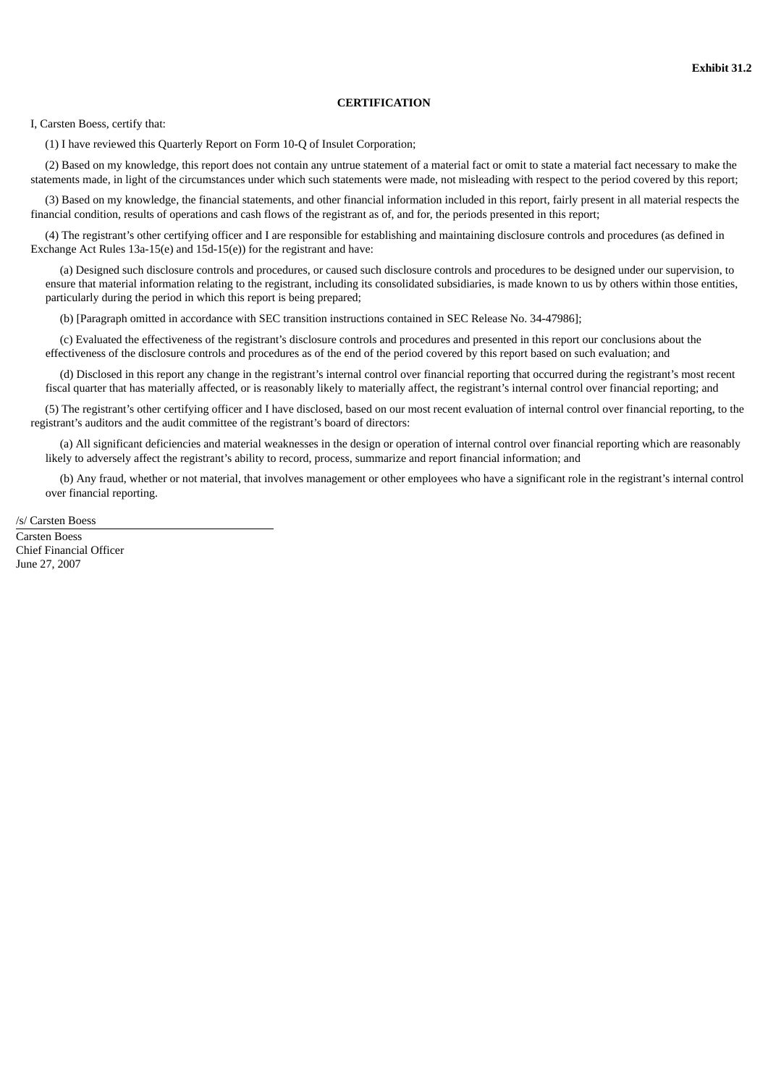# **CERTIFICATION**

I, Carsten Boess, certify that:

(1) I have reviewed this Quarterly Report on Form 10-Q of Insulet Corporation;

(2) Based on my knowledge, this report does not contain any untrue statement of a material fact or omit to state a material fact necessary to make the statements made, in light of the circumstances under which such statements were made, not misleading with respect to the period covered by this report;

(3) Based on my knowledge, the financial statements, and other financial information included in this report, fairly present in all material respects the financial condition, results of operations and cash flows of the registrant as of, and for, the periods presented in this report;

(4) The registrant's other certifying officer and I are responsible for establishing and maintaining disclosure controls and procedures (as defined in Exchange Act Rules 13a-15(e) and 15d-15(e)) for the registrant and have:

(a) Designed such disclosure controls and procedures, or caused such disclosure controls and procedures to be designed under our supervision, to ensure that material information relating to the registrant, including its consolidated subsidiaries, is made known to us by others within those entities, particularly during the period in which this report is being prepared;

(b) [Paragraph omitted in accordance with SEC transition instructions contained in SEC Release No. 34-47986];

(c) Evaluated the effectiveness of the registrant's disclosure controls and procedures and presented in this report our conclusions about the effectiveness of the disclosure controls and procedures as of the end of the period covered by this report based on such evaluation; and

(d) Disclosed in this report any change in the registrant's internal control over financial reporting that occurred during the registrant's most recent fiscal quarter that has materially affected, or is reasonably likely to materially affect, the registrant's internal control over financial reporting; and

(5) The registrant's other certifying officer and I have disclosed, based on our most recent evaluation of internal control over financial reporting, to the registrant's auditors and the audit committee of the registrant's board of directors:

(a) All significant deficiencies and material weaknesses in the design or operation of internal control over financial reporting which are reasonably likely to adversely affect the registrant's ability to record, process, summarize and report financial information; and

(b) Any fraud, whether or not material, that involves management or other employees who have a significant role in the registrant's internal control over financial reporting.

/s/ Carsten Boess

Carsten Boess Chief Financial Officer June 27, 2007